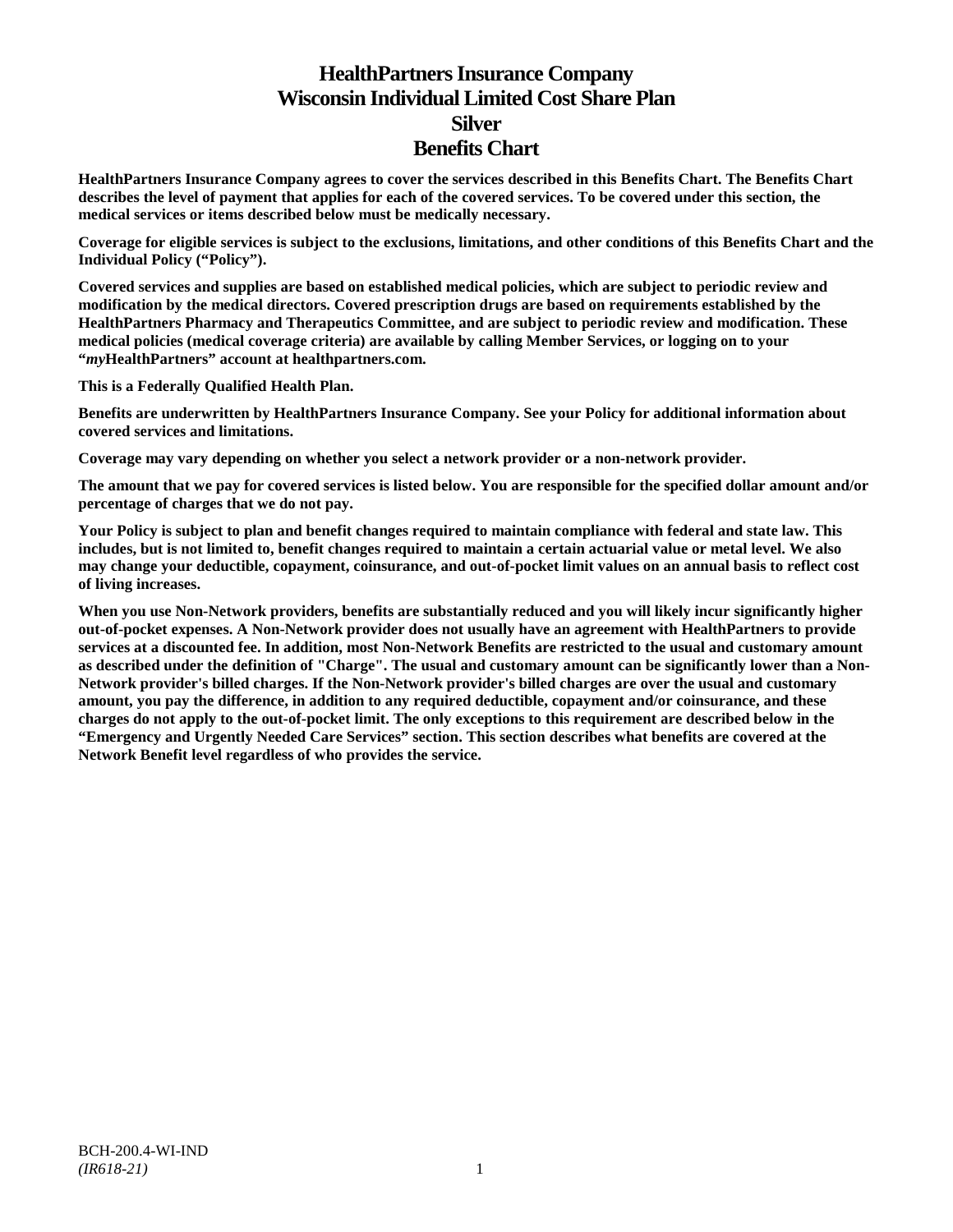# **HealthPartners Insurance Company Wisconsin Individual Limited Cost Share Plan Silver Benefits Chart**

**HealthPartners Insurance Company agrees to cover the services described in this Benefits Chart. The Benefits Chart describes the level of payment that applies for each of the covered services. To be covered under this section, the medical services or items described below must be medically necessary.**

**Coverage for eligible services is subject to the exclusions, limitations, and other conditions of this Benefits Chart and the Individual Policy ("Policy").**

**Covered services and supplies are based on established medical policies, which are subject to periodic review and modification by the medical directors. Covered prescription drugs are based on requirements established by the HealthPartners Pharmacy and Therapeutics Committee, and are subject to periodic review and modification. These medical policies (medical coverage criteria) are available by calling Member Services, or logging on to your "***my***HealthPartners" account at [healthpartners.com.](http://www.healthpartners.com/)**

**This is a Federally Qualified Health Plan.**

**Benefits are underwritten by HealthPartners Insurance Company. See your Policy for additional information about covered services and limitations.**

**Coverage may vary depending on whether you select a network provider or a non-network provider.**

**The amount that we pay for covered services is listed below. You are responsible for the specified dollar amount and/or percentage of charges that we do not pay.**

**Your Policy is subject to plan and benefit changes required to maintain compliance with federal and state law. This includes, but is not limited to, benefit changes required to maintain a certain actuarial value or metal level. We also may change your deductible, copayment, coinsurance, and out-of-pocket limit values on an annual basis to reflect cost of living increases.**

**When you use Non-Network providers, benefits are substantially reduced and you will likely incur significantly higher out-of-pocket expenses. A Non-Network provider does not usually have an agreement with HealthPartners to provide services at a discounted fee. In addition, most Non-Network Benefits are restricted to the usual and customary amount as described under the definition of "Charge". The usual and customary amount can be significantly lower than a Non-Network provider's billed charges. If the Non-Network provider's billed charges are over the usual and customary amount, you pay the difference, in addition to any required deductible, copayment and/or coinsurance, and these charges do not apply to the out-of-pocket limit. The only exceptions to this requirement are described below in the "Emergency and Urgently Needed Care Services" section. This section describes what benefits are covered at the Network Benefit level regardless of who provides the service.**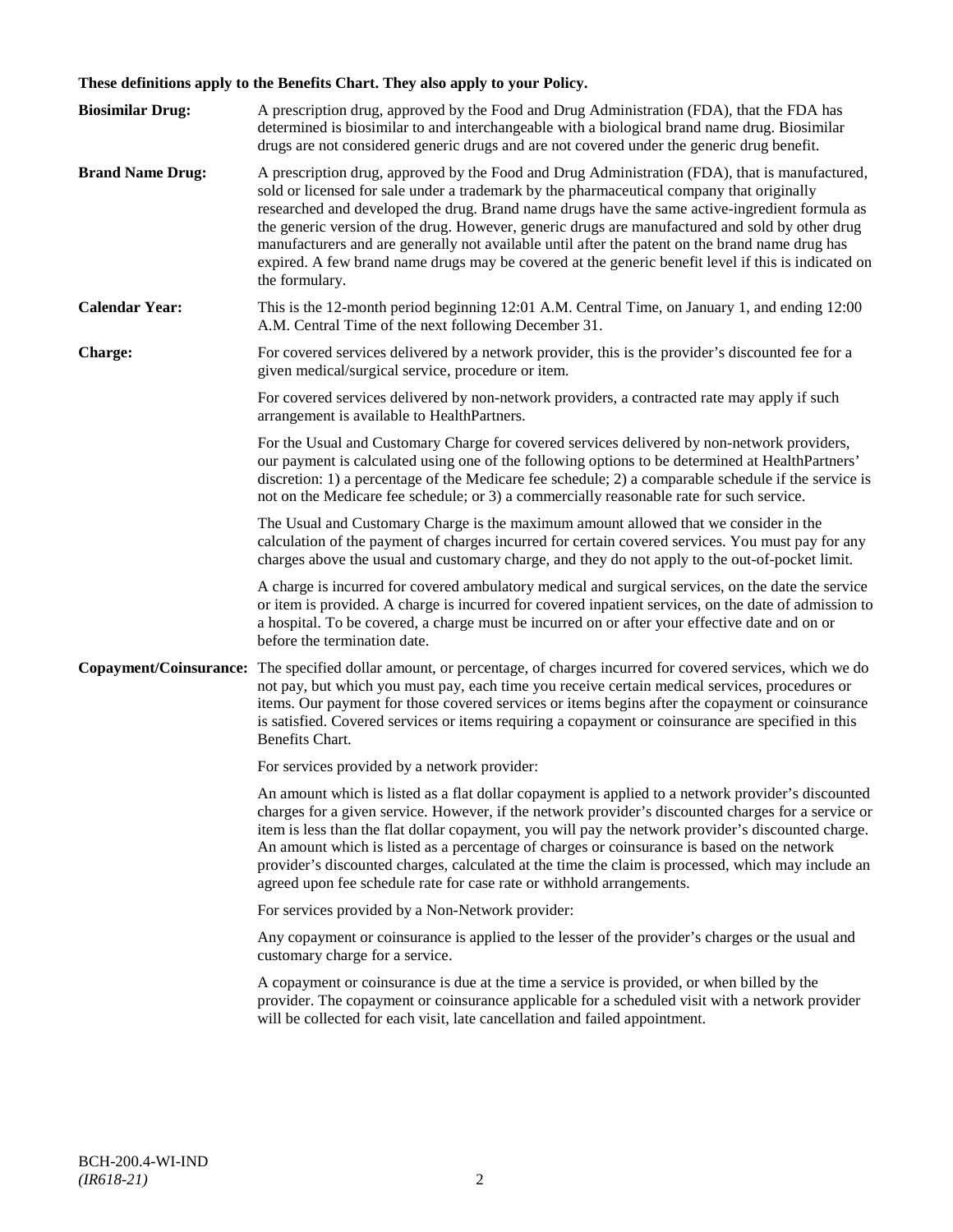## **These definitions apply to the Benefits Chart. They also apply to your Policy.**

| <b>Biosimilar Drug:</b> | A prescription drug, approved by the Food and Drug Administration (FDA), that the FDA has<br>determined is biosimilar to and interchangeable with a biological brand name drug. Biosimilar                                                                                                                                                                                                                                                                                                                                                                                                                                                                                                                                 |
|-------------------------|----------------------------------------------------------------------------------------------------------------------------------------------------------------------------------------------------------------------------------------------------------------------------------------------------------------------------------------------------------------------------------------------------------------------------------------------------------------------------------------------------------------------------------------------------------------------------------------------------------------------------------------------------------------------------------------------------------------------------|
| <b>Brand Name Drug:</b> | drugs are not considered generic drugs and are not covered under the generic drug benefit.<br>A prescription drug, approved by the Food and Drug Administration (FDA), that is manufactured,<br>sold or licensed for sale under a trademark by the pharmaceutical company that originally<br>researched and developed the drug. Brand name drugs have the same active-ingredient formula as<br>the generic version of the drug. However, generic drugs are manufactured and sold by other drug<br>manufacturers and are generally not available until after the patent on the brand name drug has<br>expired. A few brand name drugs may be covered at the generic benefit level if this is indicated on<br>the formulary. |
| <b>Calendar Year:</b>   | This is the 12-month period beginning 12:01 A.M. Central Time, on January 1, and ending 12:00<br>A.M. Central Time of the next following December 31.                                                                                                                                                                                                                                                                                                                                                                                                                                                                                                                                                                      |
| Charge:                 | For covered services delivered by a network provider, this is the provider's discounted fee for a<br>given medical/surgical service, procedure or item.                                                                                                                                                                                                                                                                                                                                                                                                                                                                                                                                                                    |
|                         | For covered services delivered by non-network providers, a contracted rate may apply if such<br>arrangement is available to HealthPartners.                                                                                                                                                                                                                                                                                                                                                                                                                                                                                                                                                                                |
|                         | For the Usual and Customary Charge for covered services delivered by non-network providers,<br>our payment is calculated using one of the following options to be determined at HealthPartners'<br>discretion: 1) a percentage of the Medicare fee schedule; 2) a comparable schedule if the service is<br>not on the Medicare fee schedule; or 3) a commercially reasonable rate for such service.                                                                                                                                                                                                                                                                                                                        |
|                         | The Usual and Customary Charge is the maximum amount allowed that we consider in the<br>calculation of the payment of charges incurred for certain covered services. You must pay for any<br>charges above the usual and customary charge, and they do not apply to the out-of-pocket limit.                                                                                                                                                                                                                                                                                                                                                                                                                               |
|                         | A charge is incurred for covered ambulatory medical and surgical services, on the date the service<br>or item is provided. A charge is incurred for covered inpatient services, on the date of admission to<br>a hospital. To be covered, a charge must be incurred on or after your effective date and on or<br>before the termination date.                                                                                                                                                                                                                                                                                                                                                                              |
| Copayment/Coinsurance:  | The specified dollar amount, or percentage, of charges incurred for covered services, which we do<br>not pay, but which you must pay, each time you receive certain medical services, procedures or<br>items. Our payment for those covered services or items begins after the copayment or coinsurance<br>is satisfied. Covered services or items requiring a copayment or coinsurance are specified in this<br>Benefits Chart.                                                                                                                                                                                                                                                                                           |
|                         | For services provided by a network provider:                                                                                                                                                                                                                                                                                                                                                                                                                                                                                                                                                                                                                                                                               |
|                         | An amount which is listed as a flat dollar copayment is applied to a network provider's discounted<br>charges for a given service. However, if the network provider's discounted charges for a service or<br>item is less than the flat dollar copayment, you will pay the network provider's discounted charge.<br>An amount which is listed as a percentage of charges or coinsurance is based on the network<br>provider's discounted charges, calculated at the time the claim is processed, which may include an<br>agreed upon fee schedule rate for case rate or withhold arrangements.                                                                                                                             |
|                         | For services provided by a Non-Network provider:                                                                                                                                                                                                                                                                                                                                                                                                                                                                                                                                                                                                                                                                           |
|                         | Any copayment or coinsurance is applied to the lesser of the provider's charges or the usual and<br>customary charge for a service.                                                                                                                                                                                                                                                                                                                                                                                                                                                                                                                                                                                        |
|                         | A copayment or coinsurance is due at the time a service is provided, or when billed by the<br>provider. The copayment or coinsurance applicable for a scheduled visit with a network provider<br>will be collected for each visit, late cancellation and failed appointment.                                                                                                                                                                                                                                                                                                                                                                                                                                               |
|                         |                                                                                                                                                                                                                                                                                                                                                                                                                                                                                                                                                                                                                                                                                                                            |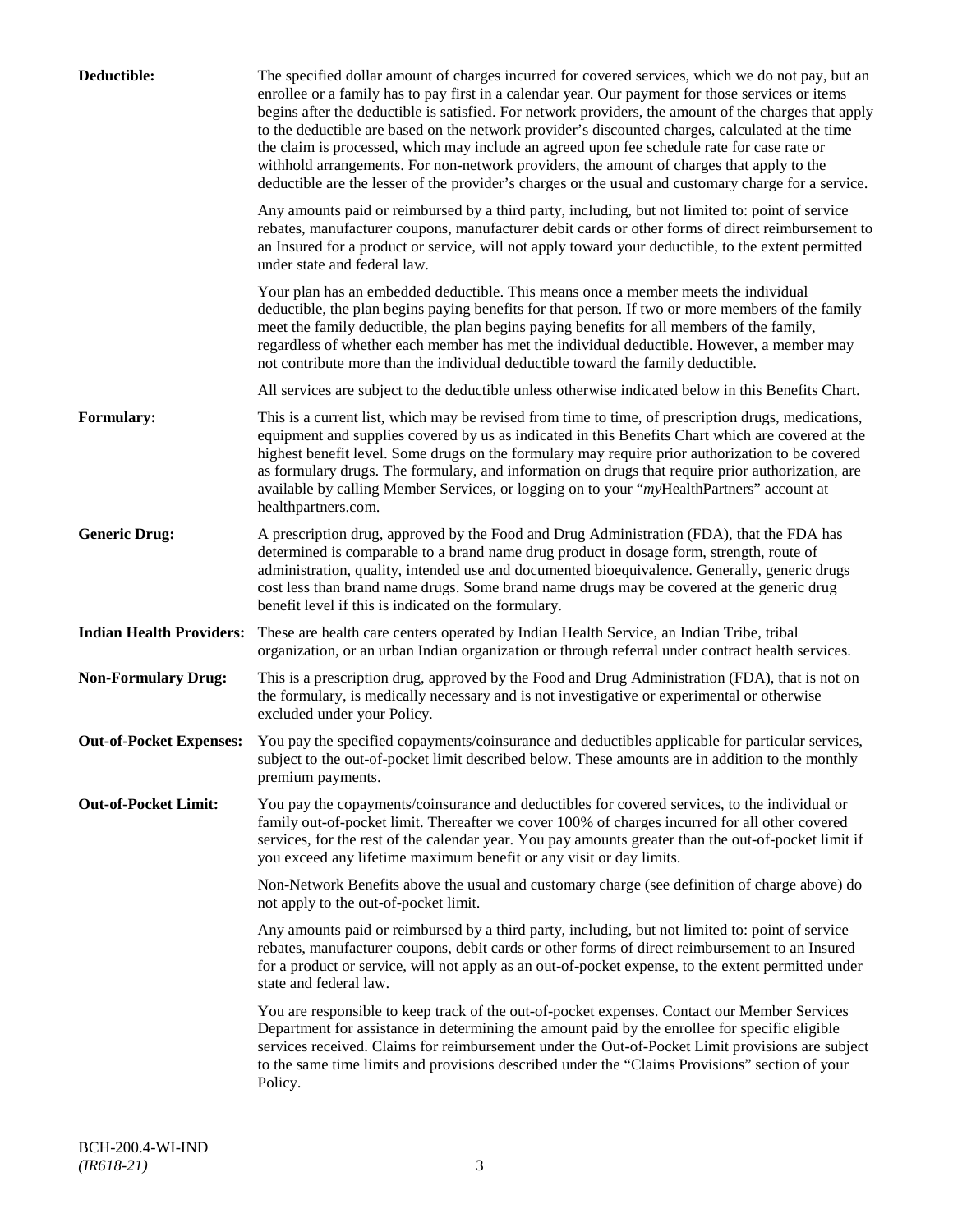| Deductible:                     | The specified dollar amount of charges incurred for covered services, which we do not pay, but an<br>enrollee or a family has to pay first in a calendar year. Our payment for those services or items<br>begins after the deductible is satisfied. For network providers, the amount of the charges that apply<br>to the deductible are based on the network provider's discounted charges, calculated at the time<br>the claim is processed, which may include an agreed upon fee schedule rate for case rate or<br>withhold arrangements. For non-network providers, the amount of charges that apply to the<br>deductible are the lesser of the provider's charges or the usual and customary charge for a service. |
|---------------------------------|-------------------------------------------------------------------------------------------------------------------------------------------------------------------------------------------------------------------------------------------------------------------------------------------------------------------------------------------------------------------------------------------------------------------------------------------------------------------------------------------------------------------------------------------------------------------------------------------------------------------------------------------------------------------------------------------------------------------------|
|                                 | Any amounts paid or reimbursed by a third party, including, but not limited to: point of service<br>rebates, manufacturer coupons, manufacturer debit cards or other forms of direct reimbursement to<br>an Insured for a product or service, will not apply toward your deductible, to the extent permitted<br>under state and federal law.                                                                                                                                                                                                                                                                                                                                                                            |
|                                 | Your plan has an embedded deductible. This means once a member meets the individual<br>deductible, the plan begins paying benefits for that person. If two or more members of the family<br>meet the family deductible, the plan begins paying benefits for all members of the family,<br>regardless of whether each member has met the individual deductible. However, a member may<br>not contribute more than the individual deductible toward the family deductible.                                                                                                                                                                                                                                                |
|                                 | All services are subject to the deductible unless otherwise indicated below in this Benefits Chart.                                                                                                                                                                                                                                                                                                                                                                                                                                                                                                                                                                                                                     |
| Formulary:                      | This is a current list, which may be revised from time to time, of prescription drugs, medications,<br>equipment and supplies covered by us as indicated in this Benefits Chart which are covered at the<br>highest benefit level. Some drugs on the formulary may require prior authorization to be covered<br>as formulary drugs. The formulary, and information on drugs that require prior authorization, are<br>available by calling Member Services, or logging on to your "myHealthPartners" account at<br>healthpartners.com.                                                                                                                                                                                   |
| <b>Generic Drug:</b>            | A prescription drug, approved by the Food and Drug Administration (FDA), that the FDA has<br>determined is comparable to a brand name drug product in dosage form, strength, route of<br>administration, quality, intended use and documented bioequivalence. Generally, generic drugs<br>cost less than brand name drugs. Some brand name drugs may be covered at the generic drug<br>benefit level if this is indicated on the formulary.                                                                                                                                                                                                                                                                             |
| <b>Indian Health Providers:</b> | These are health care centers operated by Indian Health Service, an Indian Tribe, tribal<br>organization, or an urban Indian organization or through referral under contract health services.                                                                                                                                                                                                                                                                                                                                                                                                                                                                                                                           |
| <b>Non-Formulary Drug:</b>      | This is a prescription drug, approved by the Food and Drug Administration (FDA), that is not on<br>the formulary, is medically necessary and is not investigative or experimental or otherwise<br>excluded under your Policy.                                                                                                                                                                                                                                                                                                                                                                                                                                                                                           |
| <b>Out-of-Pocket Expenses:</b>  | You pay the specified copayments/coinsurance and deductibles applicable for particular services,<br>subject to the out-of-pocket limit described below. These amounts are in addition to the monthly<br>premium payments.                                                                                                                                                                                                                                                                                                                                                                                                                                                                                               |
| <b>Out-of-Pocket Limit:</b>     | You pay the copayments/coinsurance and deductibles for covered services, to the individual or<br>family out-of-pocket limit. Thereafter we cover 100% of charges incurred for all other covered<br>services, for the rest of the calendar year. You pay amounts greater than the out-of-pocket limit if<br>you exceed any lifetime maximum benefit or any visit or day limits.                                                                                                                                                                                                                                                                                                                                          |
|                                 | Non-Network Benefits above the usual and customary charge (see definition of charge above) do<br>not apply to the out-of-pocket limit.                                                                                                                                                                                                                                                                                                                                                                                                                                                                                                                                                                                  |
|                                 | Any amounts paid or reimbursed by a third party, including, but not limited to: point of service<br>rebates, manufacturer coupons, debit cards or other forms of direct reimbursement to an Insured<br>for a product or service, will not apply as an out-of-pocket expense, to the extent permitted under<br>state and federal law.                                                                                                                                                                                                                                                                                                                                                                                    |
|                                 | You are responsible to keep track of the out-of-pocket expenses. Contact our Member Services<br>Department for assistance in determining the amount paid by the enrollee for specific eligible<br>services received. Claims for reimbursement under the Out-of-Pocket Limit provisions are subject<br>to the same time limits and provisions described under the "Claims Provisions" section of your<br>Policy.                                                                                                                                                                                                                                                                                                         |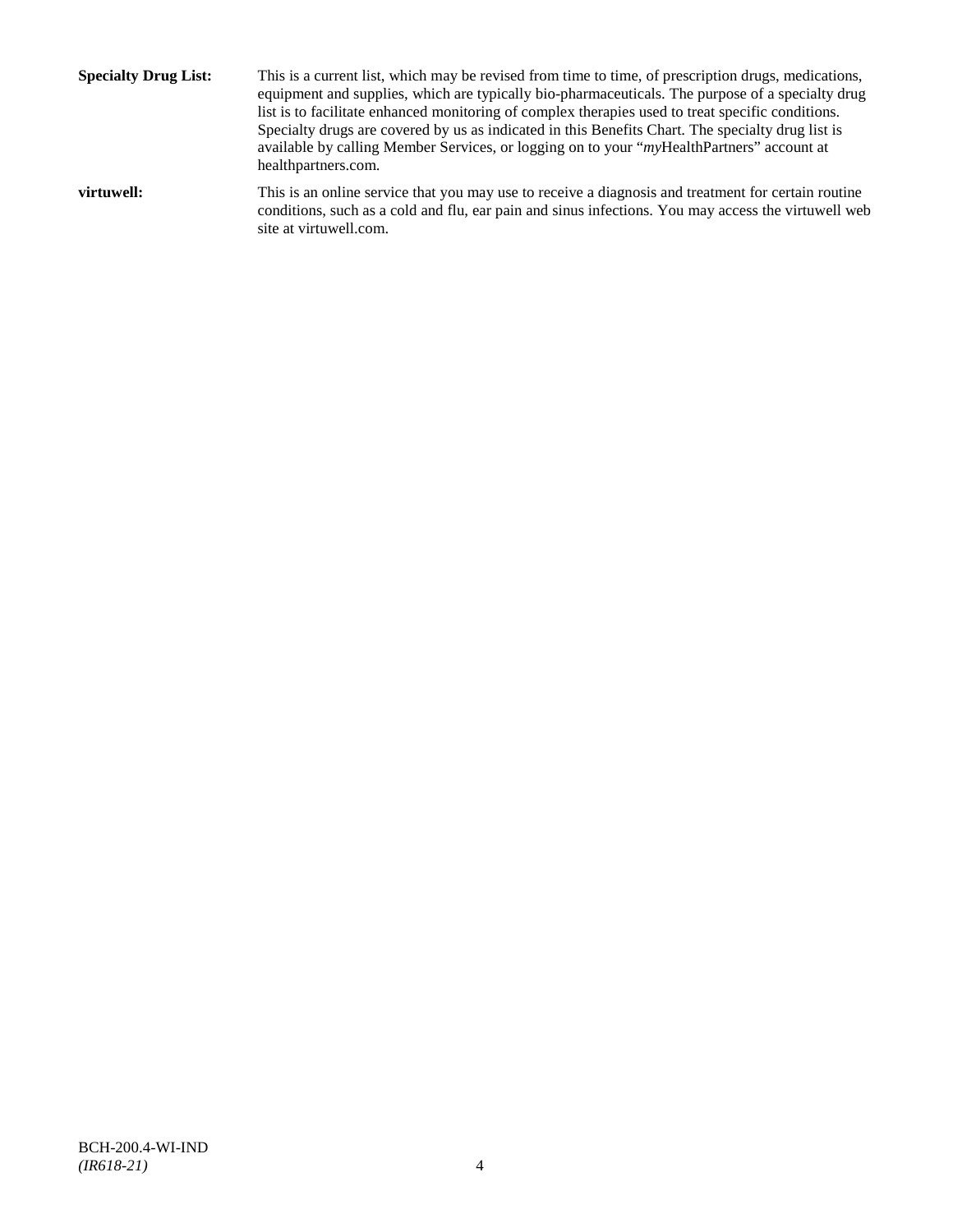**Specialty Drug List:** This is a current list, which may be revised from time to time, of prescription drugs, medications, equipment and supplies, which are typically bio-pharmaceuticals. The purpose of a specialty drug list is to facilitate enhanced monitoring of complex therapies used to treat specific conditions. Specialty drugs are covered by us as indicated in this Benefits Chart. The specialty drug list is available by calling Member Services, or logging on to your "*my*HealthPartners" account at [healthpartners.com.](http://www.healthpartners.com/) **virtuwell:** This is an online service that you may use to receive a diagnosis and treatment for certain routine conditions, such as a cold and flu, ear pain and sinus infections. You may access the virtuwell web

site a[t virtuwell.com.](http://www.virtuwell.com/)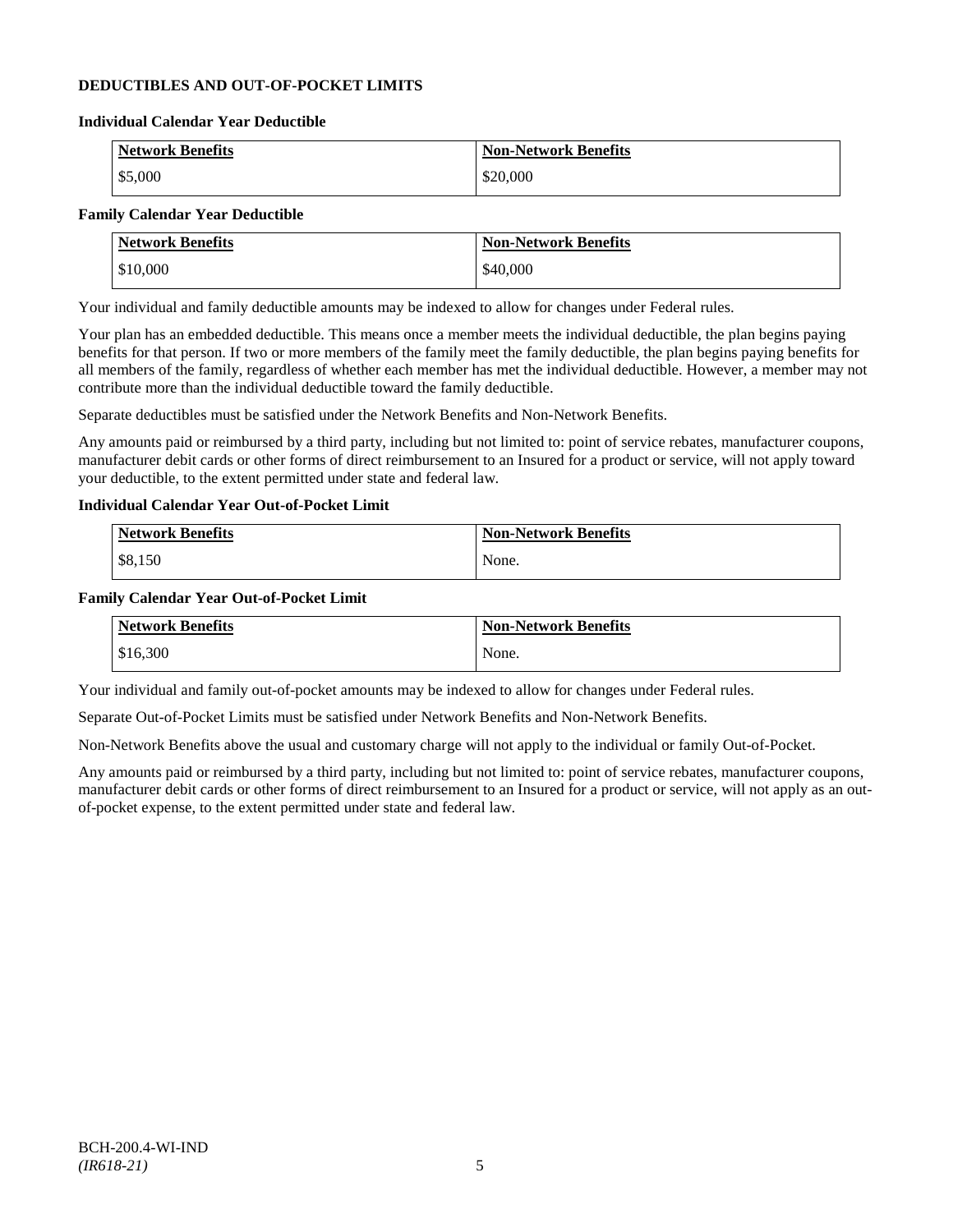## **DEDUCTIBLES AND OUT-OF-POCKET LIMITS**

#### **Individual Calendar Year Deductible**

| <b>Network Benefits</b> | <b>Non-Network Benefits</b> |
|-------------------------|-----------------------------|
| \$5,000                 | \$20,000                    |

## **Family Calendar Year Deductible**

| <b>Network Benefits</b> | <b>Non-Network Benefits</b> |
|-------------------------|-----------------------------|
| \$10,000                | \$40,000                    |

Your individual and family deductible amounts may be indexed to allow for changes under Federal rules.

Your plan has an embedded deductible. This means once a member meets the individual deductible, the plan begins paying benefits for that person. If two or more members of the family meet the family deductible, the plan begins paying benefits for all members of the family, regardless of whether each member has met the individual deductible. However, a member may not contribute more than the individual deductible toward the family deductible.

Separate deductibles must be satisfied under the Network Benefits and Non-Network Benefits.

Any amounts paid or reimbursed by a third party, including but not limited to: point of service rebates, manufacturer coupons, manufacturer debit cards or other forms of direct reimbursement to an Insured for a product or service, will not apply toward your deductible, to the extent permitted under state and federal law.

## **Individual Calendar Year Out-of-Pocket Limit**

| Network Benefits | <b>Non-Network Benefits</b> |
|------------------|-----------------------------|
| \$8,150          | None.                       |

#### **Family Calendar Year Out-of-Pocket Limit**

| <b>Network Benefits</b> | <b>Non-Network Benefits</b> |
|-------------------------|-----------------------------|
| \$16,300                | None.                       |

Your individual and family out-of-pocket amounts may be indexed to allow for changes under Federal rules.

Separate Out-of-Pocket Limits must be satisfied under Network Benefits and Non-Network Benefits.

Non-Network Benefits above the usual and customary charge will not apply to the individual or family Out-of-Pocket.

Any amounts paid or reimbursed by a third party, including but not limited to: point of service rebates, manufacturer coupons, manufacturer debit cards or other forms of direct reimbursement to an Insured for a product or service, will not apply as an outof-pocket expense, to the extent permitted under state and federal law.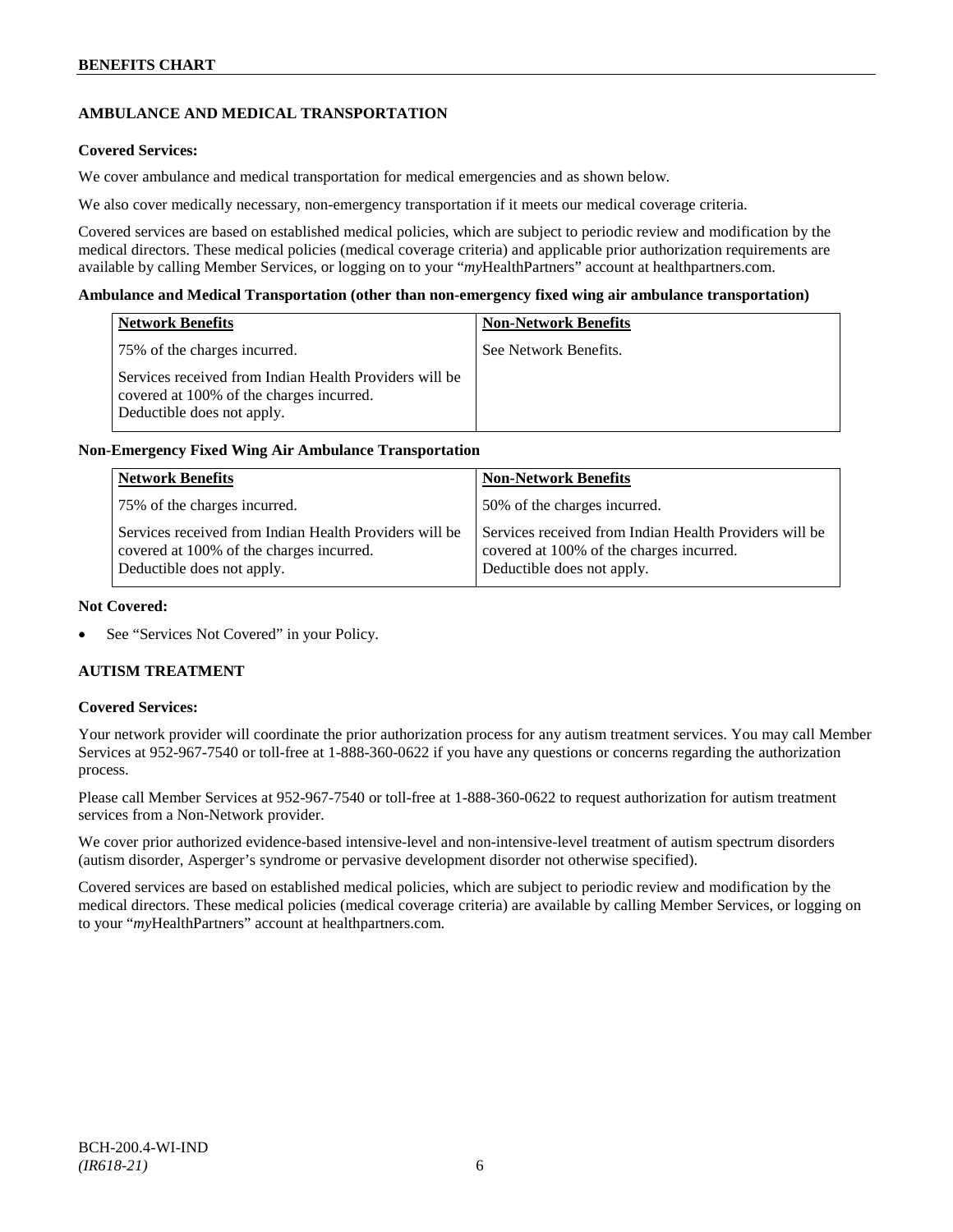## **AMBULANCE AND MEDICAL TRANSPORTATION**

## **Covered Services:**

We cover ambulance and medical transportation for medical emergencies and as shown below.

We also cover medically necessary, non-emergency transportation if it meets our medical coverage criteria.

Covered services are based on established medical policies, which are subject to periodic review and modification by the medical directors. These medical policies (medical coverage criteria) and applicable prior authorization requirements are available by calling Member Services, or logging on to your "*my*HealthPartners" account a[t healthpartners.com.](http://www.healthpartners.com/)

#### **Ambulance and Medical Transportation (other than non-emergency fixed wing air ambulance transportation)**

| <b>Network Benefits</b>                                                                                                          | <b>Non-Network Benefits</b> |
|----------------------------------------------------------------------------------------------------------------------------------|-----------------------------|
| 75% of the charges incurred.                                                                                                     | See Network Benefits.       |
| Services received from Indian Health Providers will be<br>covered at 100% of the charges incurred.<br>Deductible does not apply. |                             |

## **Non-Emergency Fixed Wing Air Ambulance Transportation**

| <b>Network Benefits</b>                                                                                                          | <b>Non-Network Benefits</b>                                                                                                      |
|----------------------------------------------------------------------------------------------------------------------------------|----------------------------------------------------------------------------------------------------------------------------------|
| 75% of the charges incurred.                                                                                                     | 50% of the charges incurred.                                                                                                     |
| Services received from Indian Health Providers will be<br>covered at 100% of the charges incurred.<br>Deductible does not apply. | Services received from Indian Health Providers will be<br>covered at 100% of the charges incurred.<br>Deductible does not apply. |

### **Not Covered:**

See "Services Not Covered" in your Policy.

## **AUTISM TREATMENT**

#### **Covered Services:**

Your network provider will coordinate the prior authorization process for any autism treatment services. You may call Member Services at 952-967-7540 or toll-free at 1-888-360-0622 if you have any questions or concerns regarding the authorization process.

Please call Member Services at 952-967-7540 or toll-free at 1-888-360-0622 to request authorization for autism treatment services from a Non-Network provider.

We cover prior authorized evidence-based intensive-level and non-intensive-level treatment of autism spectrum disorders (autism disorder, Asperger's syndrome or pervasive development disorder not otherwise specified).

Covered services are based on established medical policies, which are subject to periodic review and modification by the medical directors. These medical policies (medical coverage criteria) are available by calling Member Services, or logging on to your "*my*HealthPartners" account at [healthpartners.com.](http://www.healthpartners.com/)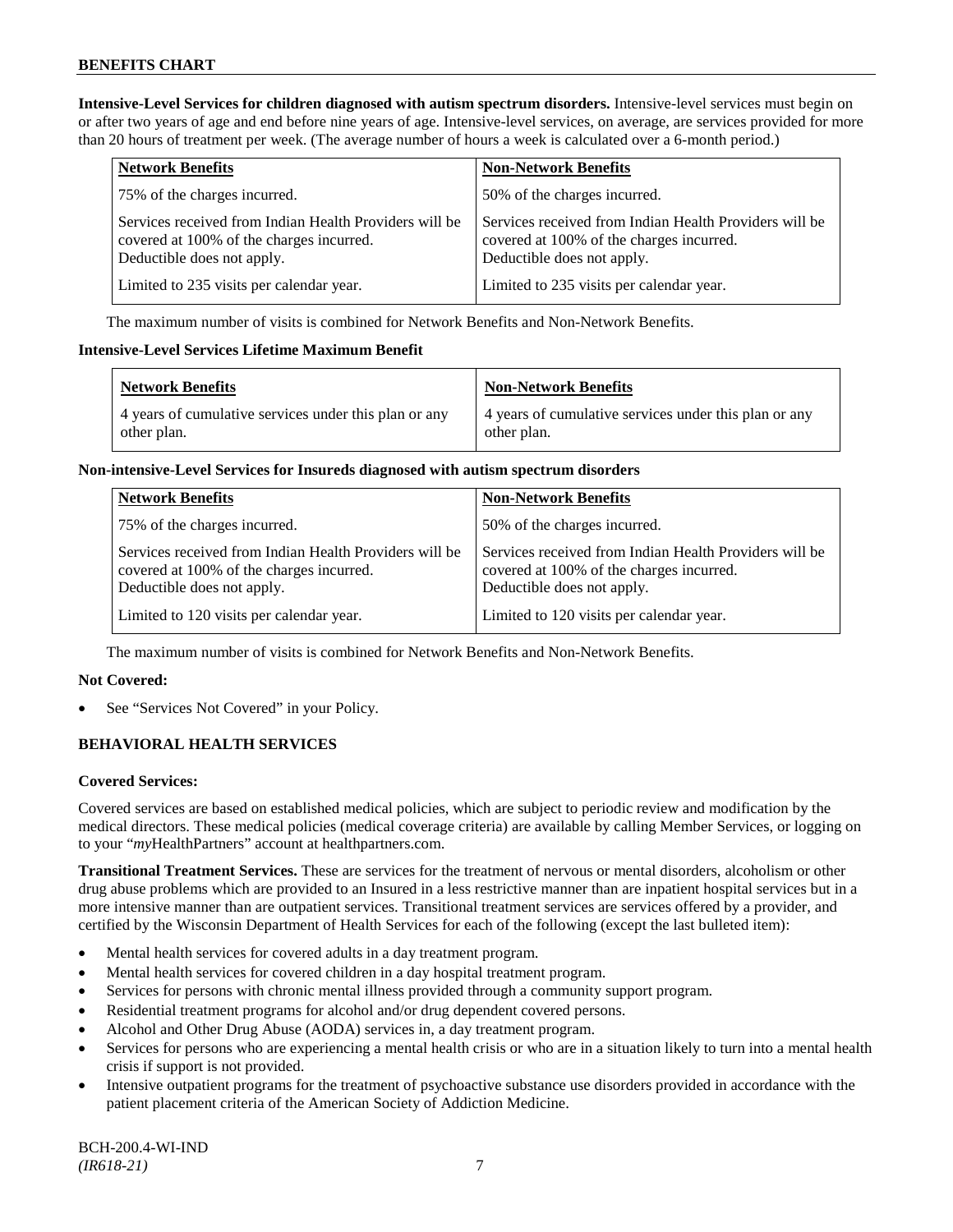**Intensive-Level Services for children diagnosed with autism spectrum disorders.** Intensive-level services must begin on or after two years of age and end before nine years of age. Intensive-level services, on average, are services provided for more than 20 hours of treatment per week. (The average number of hours a week is calculated over a 6-month period.)

| <b>Network Benefits</b>                                                                                                          | <b>Non-Network Benefits</b>                                                                                                      |
|----------------------------------------------------------------------------------------------------------------------------------|----------------------------------------------------------------------------------------------------------------------------------|
| 75% of the charges incurred.                                                                                                     | 50% of the charges incurred.                                                                                                     |
| Services received from Indian Health Providers will be<br>covered at 100% of the charges incurred.<br>Deductible does not apply. | Services received from Indian Health Providers will be<br>covered at 100% of the charges incurred.<br>Deductible does not apply. |
| Limited to 235 visits per calendar year.                                                                                         | Limited to 235 visits per calendar year.                                                                                         |

The maximum number of visits is combined for Network Benefits and Non-Network Benefits.

#### **Intensive-Level Services Lifetime Maximum Benefit**

| <b>Network Benefits</b>                                              | <b>Non-Network Benefits</b>                                          |
|----------------------------------------------------------------------|----------------------------------------------------------------------|
| 4 years of cumulative services under this plan or any<br>other plan. | 4 years of cumulative services under this plan or any<br>other plan. |

#### **Non-intensive-Level Services for Insureds diagnosed with autism spectrum disorders**

| <b>Network Benefits</b>                                                                                                          | <b>Non-Network Benefits</b>                                                                                                      |
|----------------------------------------------------------------------------------------------------------------------------------|----------------------------------------------------------------------------------------------------------------------------------|
| 75% of the charges incurred.                                                                                                     | 50% of the charges incurred.                                                                                                     |
| Services received from Indian Health Providers will be<br>covered at 100% of the charges incurred.<br>Deductible does not apply. | Services received from Indian Health Providers will be<br>covered at 100% of the charges incurred.<br>Deductible does not apply. |
| Limited to 120 visits per calendar year.                                                                                         | Limited to 120 visits per calendar year.                                                                                         |

The maximum number of visits is combined for Network Benefits and Non-Network Benefits.

## **Not Covered:**

See "Services Not Covered" in your Policy.

## **BEHAVIORAL HEALTH SERVICES**

## **Covered Services:**

Covered services are based on established medical policies, which are subject to periodic review and modification by the medical directors. These medical policies (medical coverage criteria) are available by calling Member Services, or logging on to your "*my*HealthPartners" account at [healthpartners.com.](http://www.healthpartners.com/)

**Transitional Treatment Services.** These are services for the treatment of nervous or mental disorders, alcoholism or other drug abuse problems which are provided to an Insured in a less restrictive manner than are inpatient hospital services but in a more intensive manner than are outpatient services. Transitional treatment services are services offered by a provider, and certified by the Wisconsin Department of Health Services for each of the following (except the last bulleted item):

- Mental health services for covered adults in a day treatment program.
- Mental health services for covered children in a day hospital treatment program.
- Services for persons with chronic mental illness provided through a community support program.
- Residential treatment programs for alcohol and/or drug dependent covered persons.
- Alcohol and Other Drug Abuse (AODA) services in, a day treatment program.
- Services for persons who are experiencing a mental health crisis or who are in a situation likely to turn into a mental health crisis if support is not provided.
- Intensive outpatient programs for the treatment of psychoactive substance use disorders provided in accordance with the patient placement criteria of the American Society of Addiction Medicine.

BCH-200.4-WI-IND *(IR618-21)* 7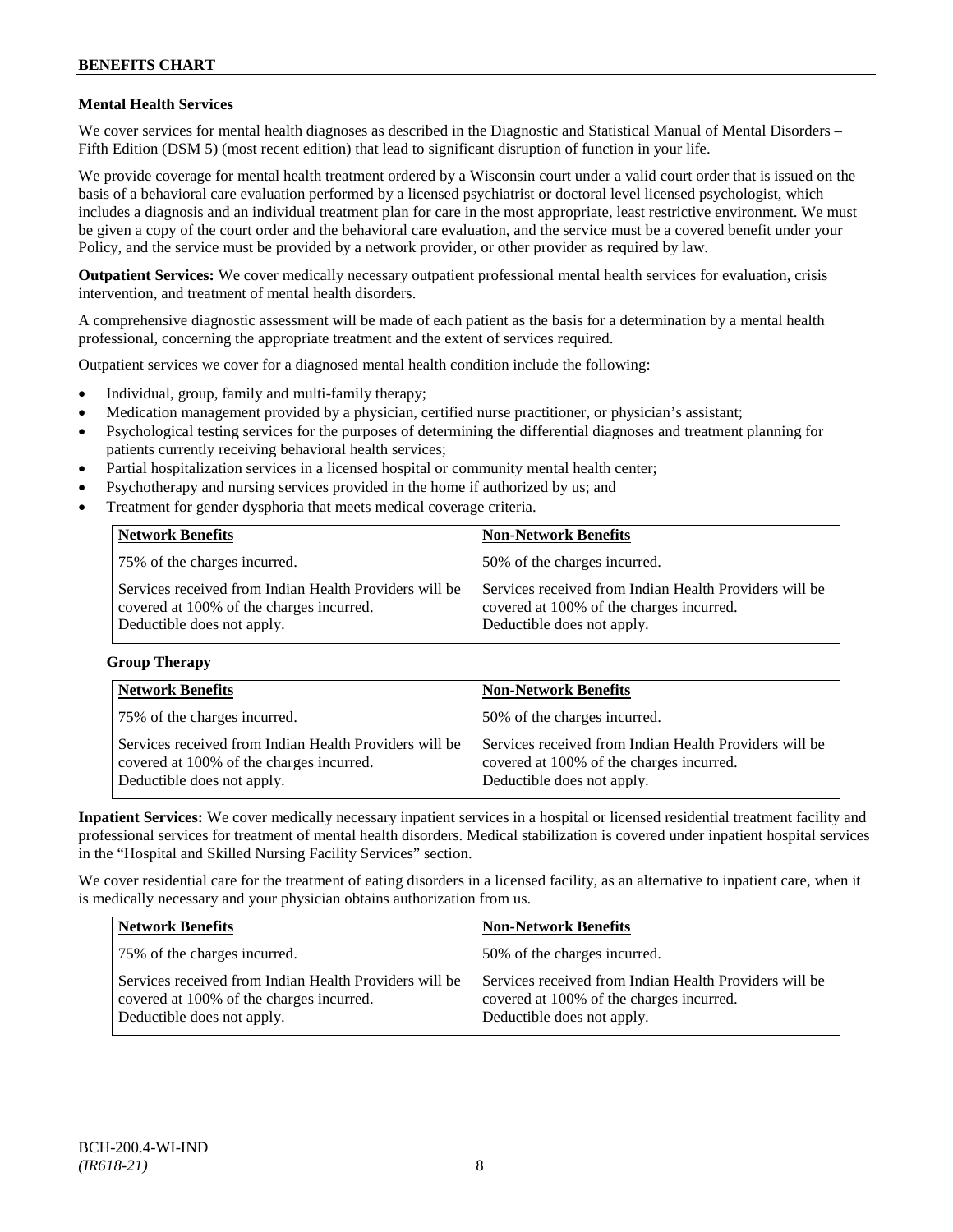## **Mental Health Services**

We cover services for mental health diagnoses as described in the Diagnostic and Statistical Manual of Mental Disorders – Fifth Edition (DSM 5) (most recent edition) that lead to significant disruption of function in your life.

We provide coverage for mental health treatment ordered by a Wisconsin court under a valid court order that is issued on the basis of a behavioral care evaluation performed by a licensed psychiatrist or doctoral level licensed psychologist, which includes a diagnosis and an individual treatment plan for care in the most appropriate, least restrictive environment. We must be given a copy of the court order and the behavioral care evaluation, and the service must be a covered benefit under your Policy, and the service must be provided by a network provider, or other provider as required by law.

**Outpatient Services:** We cover medically necessary outpatient professional mental health services for evaluation, crisis intervention, and treatment of mental health disorders.

A comprehensive diagnostic assessment will be made of each patient as the basis for a determination by a mental health professional, concerning the appropriate treatment and the extent of services required.

Outpatient services we cover for a diagnosed mental health condition include the following:

- Individual, group, family and multi-family therapy;
- Medication management provided by a physician, certified nurse practitioner, or physician's assistant;
- Psychological testing services for the purposes of determining the differential diagnoses and treatment planning for patients currently receiving behavioral health services;
- Partial hospitalization services in a licensed hospital or community mental health center;
- Psychotherapy and nursing services provided in the home if authorized by us; and
- Treatment for gender dysphoria that meets medical coverage criteria.

| <b>Network Benefits</b>                                                                                                          | <b>Non-Network Benefits</b>                                                                                                      |
|----------------------------------------------------------------------------------------------------------------------------------|----------------------------------------------------------------------------------------------------------------------------------|
| 75% of the charges incurred.                                                                                                     | 50% of the charges incurred.                                                                                                     |
| Services received from Indian Health Providers will be<br>covered at 100% of the charges incurred.<br>Deductible does not apply. | Services received from Indian Health Providers will be<br>covered at 100% of the charges incurred.<br>Deductible does not apply. |

#### **Group Therapy**

| <b>Network Benefits</b>                                                                                                          | <b>Non-Network Benefits</b>                                                                                                      |
|----------------------------------------------------------------------------------------------------------------------------------|----------------------------------------------------------------------------------------------------------------------------------|
| 75% of the charges incurred.                                                                                                     | 50% of the charges incurred.                                                                                                     |
| Services received from Indian Health Providers will be<br>covered at 100% of the charges incurred.<br>Deductible does not apply. | Services received from Indian Health Providers will be<br>covered at 100% of the charges incurred.<br>Deductible does not apply. |

**Inpatient Services:** We cover medically necessary inpatient services in a hospital or licensed residential treatment facility and professional services for treatment of mental health disorders. Medical stabilization is covered under inpatient hospital services in the "Hospital and Skilled Nursing Facility Services" section.

We cover residential care for the treatment of eating disorders in a licensed facility, as an alternative to inpatient care, when it is medically necessary and your physician obtains authorization from us.

| <b>Network Benefits</b>                                                                                                          | <b>Non-Network Benefits</b>                                                                                                      |
|----------------------------------------------------------------------------------------------------------------------------------|----------------------------------------------------------------------------------------------------------------------------------|
| 75% of the charges incurred.                                                                                                     | 50% of the charges incurred.                                                                                                     |
| Services received from Indian Health Providers will be<br>covered at 100% of the charges incurred.<br>Deductible does not apply. | Services received from Indian Health Providers will be<br>covered at 100% of the charges incurred.<br>Deductible does not apply. |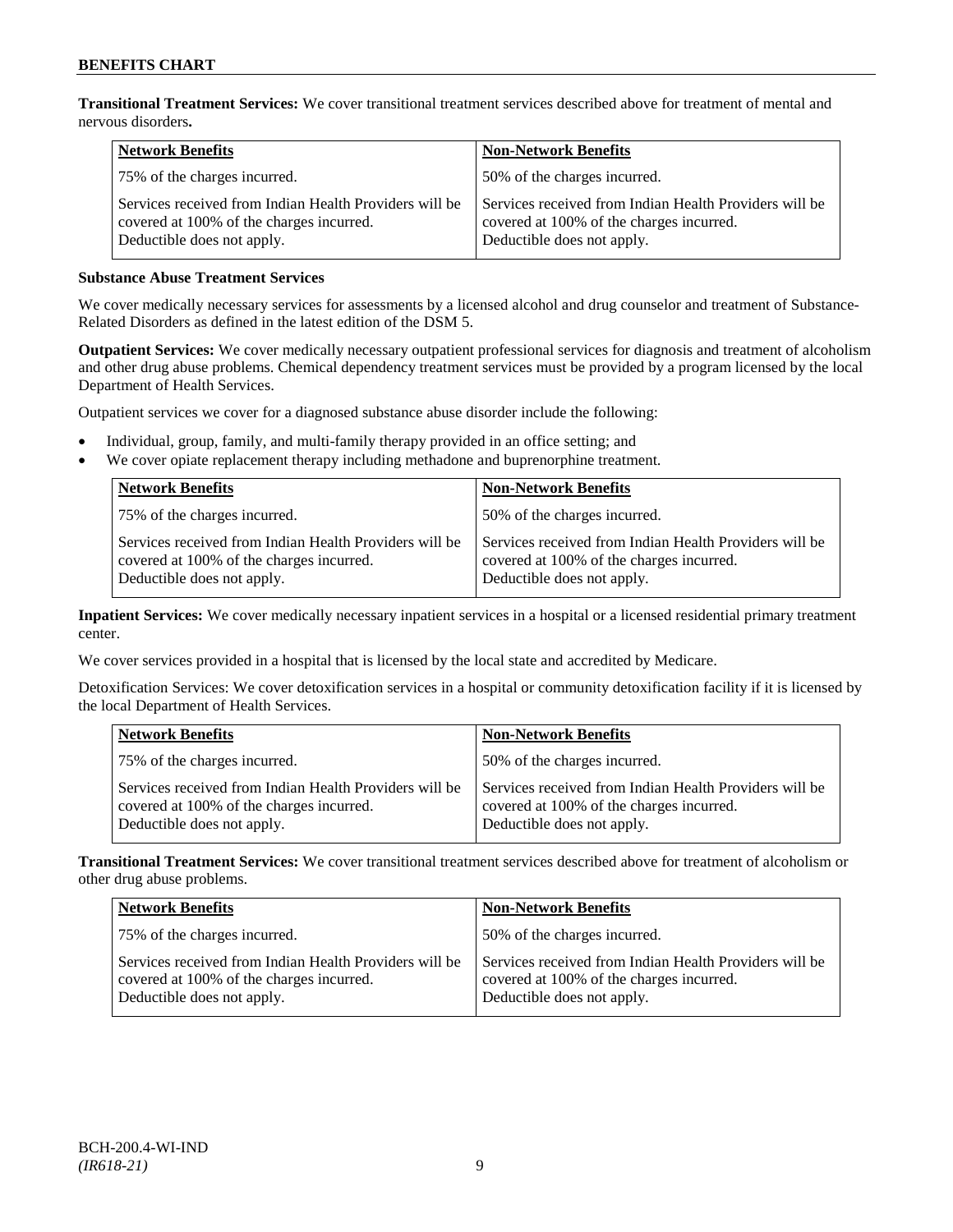**Transitional Treatment Services:** We cover transitional treatment services described above for treatment of mental and nervous disorders**.**

| <b>Network Benefits</b>                                                                                                          | <b>Non-Network Benefits</b>                                                                                                      |
|----------------------------------------------------------------------------------------------------------------------------------|----------------------------------------------------------------------------------------------------------------------------------|
| 75% of the charges incurred.                                                                                                     | 50% of the charges incurred.                                                                                                     |
| Services received from Indian Health Providers will be<br>covered at 100% of the charges incurred.<br>Deductible does not apply. | Services received from Indian Health Providers will be<br>covered at 100% of the charges incurred.<br>Deductible does not apply. |

## **Substance Abuse Treatment Services**

We cover medically necessary services for assessments by a licensed alcohol and drug counselor and treatment of Substance-Related Disorders as defined in the latest edition of the DSM 5.

**Outpatient Services:** We cover medically necessary outpatient professional services for diagnosis and treatment of alcoholism and other drug abuse problems. Chemical dependency treatment services must be provided by a program licensed by the local Department of Health Services.

Outpatient services we cover for a diagnosed substance abuse disorder include the following:

- Individual, group, family, and multi-family therapy provided in an office setting; and
- We cover opiate replacement therapy including methadone and buprenorphine treatment.

| <b>Network Benefits</b>                                                                                                          | <b>Non-Network Benefits</b>                                                                                                      |
|----------------------------------------------------------------------------------------------------------------------------------|----------------------------------------------------------------------------------------------------------------------------------|
| 75% of the charges incurred.                                                                                                     | 50% of the charges incurred.                                                                                                     |
| Services received from Indian Health Providers will be<br>covered at 100% of the charges incurred.<br>Deductible does not apply. | Services received from Indian Health Providers will be<br>covered at 100% of the charges incurred.<br>Deductible does not apply. |

**Inpatient Services:** We cover medically necessary inpatient services in a hospital or a licensed residential primary treatment center.

We cover services provided in a hospital that is licensed by the local state and accredited by Medicare.

Detoxification Services: We cover detoxification services in a hospital or community detoxification facility if it is licensed by the local Department of Health Services.

| <b>Network Benefits</b>                                                                                                          | <b>Non-Network Benefits</b>                                                                                                      |
|----------------------------------------------------------------------------------------------------------------------------------|----------------------------------------------------------------------------------------------------------------------------------|
| 75% of the charges incurred.                                                                                                     | 50% of the charges incurred.                                                                                                     |
| Services received from Indian Health Providers will be<br>covered at 100% of the charges incurred.<br>Deductible does not apply. | Services received from Indian Health Providers will be<br>covered at 100% of the charges incurred.<br>Deductible does not apply. |

**Transitional Treatment Services:** We cover transitional treatment services described above for treatment of alcoholism or other drug abuse problems.

| <b>Network Benefits</b>                                                                                                          | <b>Non-Network Benefits</b>                                                                                                      |
|----------------------------------------------------------------------------------------------------------------------------------|----------------------------------------------------------------------------------------------------------------------------------|
| 75% of the charges incurred.                                                                                                     | 50% of the charges incurred.                                                                                                     |
| Services received from Indian Health Providers will be<br>covered at 100% of the charges incurred.<br>Deductible does not apply. | Services received from Indian Health Providers will be<br>covered at 100% of the charges incurred.<br>Deductible does not apply. |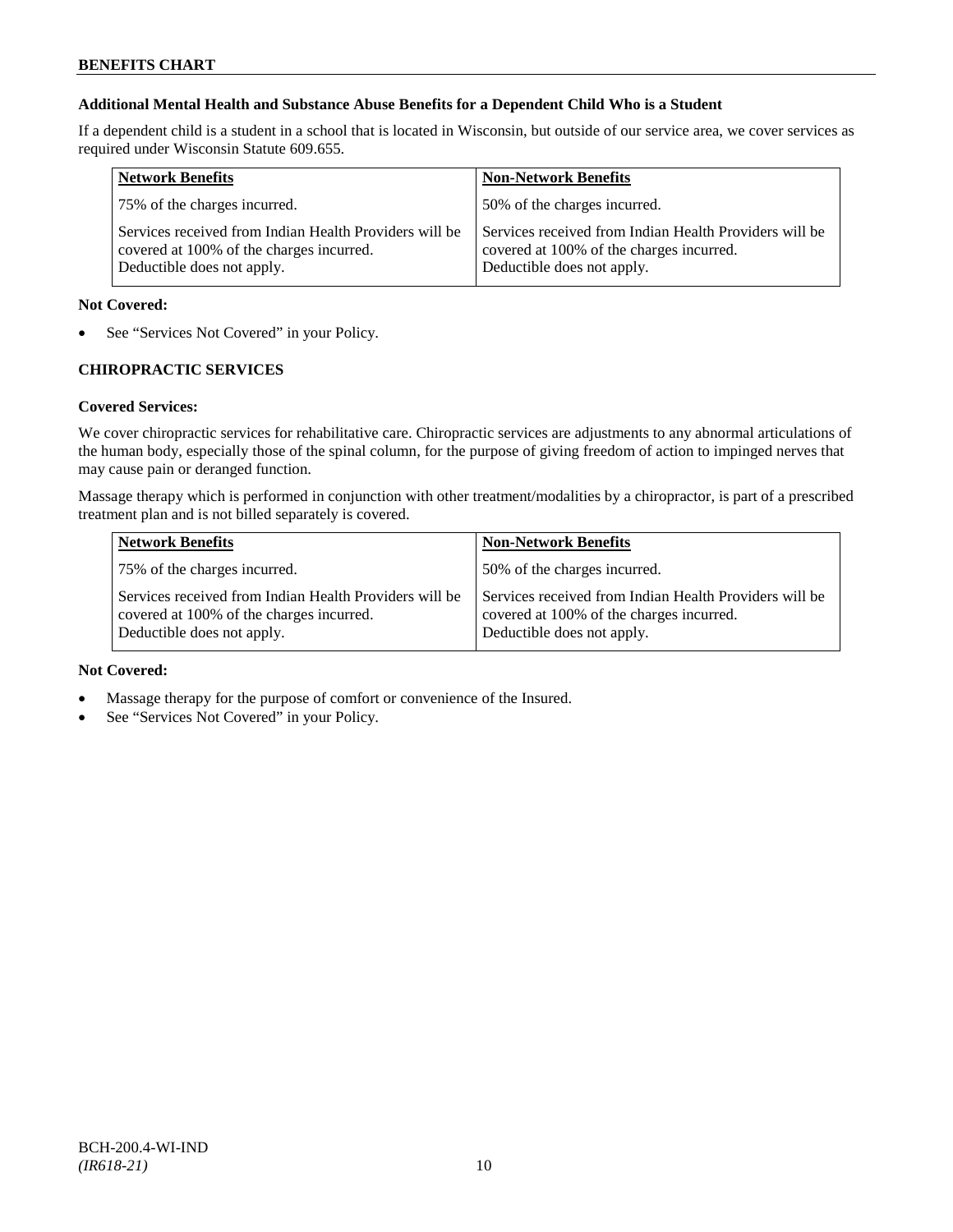## **Additional Mental Health and Substance Abuse Benefits for a Dependent Child Who is a Student**

If a dependent child is a student in a school that is located in Wisconsin, but outside of our service area, we cover services as required under Wisconsin Statute 609.655.

| <b>Network Benefits</b>                                                                                                          | <b>Non-Network Benefits</b>                                                                                                      |
|----------------------------------------------------------------------------------------------------------------------------------|----------------------------------------------------------------------------------------------------------------------------------|
| 75% of the charges incurred.                                                                                                     | 50% of the charges incurred.                                                                                                     |
| Services received from Indian Health Providers will be<br>covered at 100% of the charges incurred.<br>Deductible does not apply. | Services received from Indian Health Providers will be<br>covered at 100% of the charges incurred.<br>Deductible does not apply. |

## **Not Covered:**

See "Services Not Covered" in your Policy.

## **CHIROPRACTIC SERVICES**

## **Covered Services:**

We cover chiropractic services for rehabilitative care. Chiropractic services are adjustments to any abnormal articulations of the human body, especially those of the spinal column, for the purpose of giving freedom of action to impinged nerves that may cause pain or deranged function.

Massage therapy which is performed in conjunction with other treatment/modalities by a chiropractor, is part of a prescribed treatment plan and is not billed separately is covered.

| <b>Network Benefits</b>                                                                                                          | Non-Network Benefits                                                                                                               |
|----------------------------------------------------------------------------------------------------------------------------------|------------------------------------------------------------------------------------------------------------------------------------|
| 75% of the charges incurred.                                                                                                     | 50% of the charges incurred.                                                                                                       |
| Services received from Indian Health Providers will be<br>covered at 100% of the charges incurred.<br>Deductible does not apply. | l Services received from Indian Health Providers will be<br>covered at 100% of the charges incurred.<br>Deductible does not apply. |

- Massage therapy for the purpose of comfort or convenience of the Insured.
- See "Services Not Covered" in your Policy.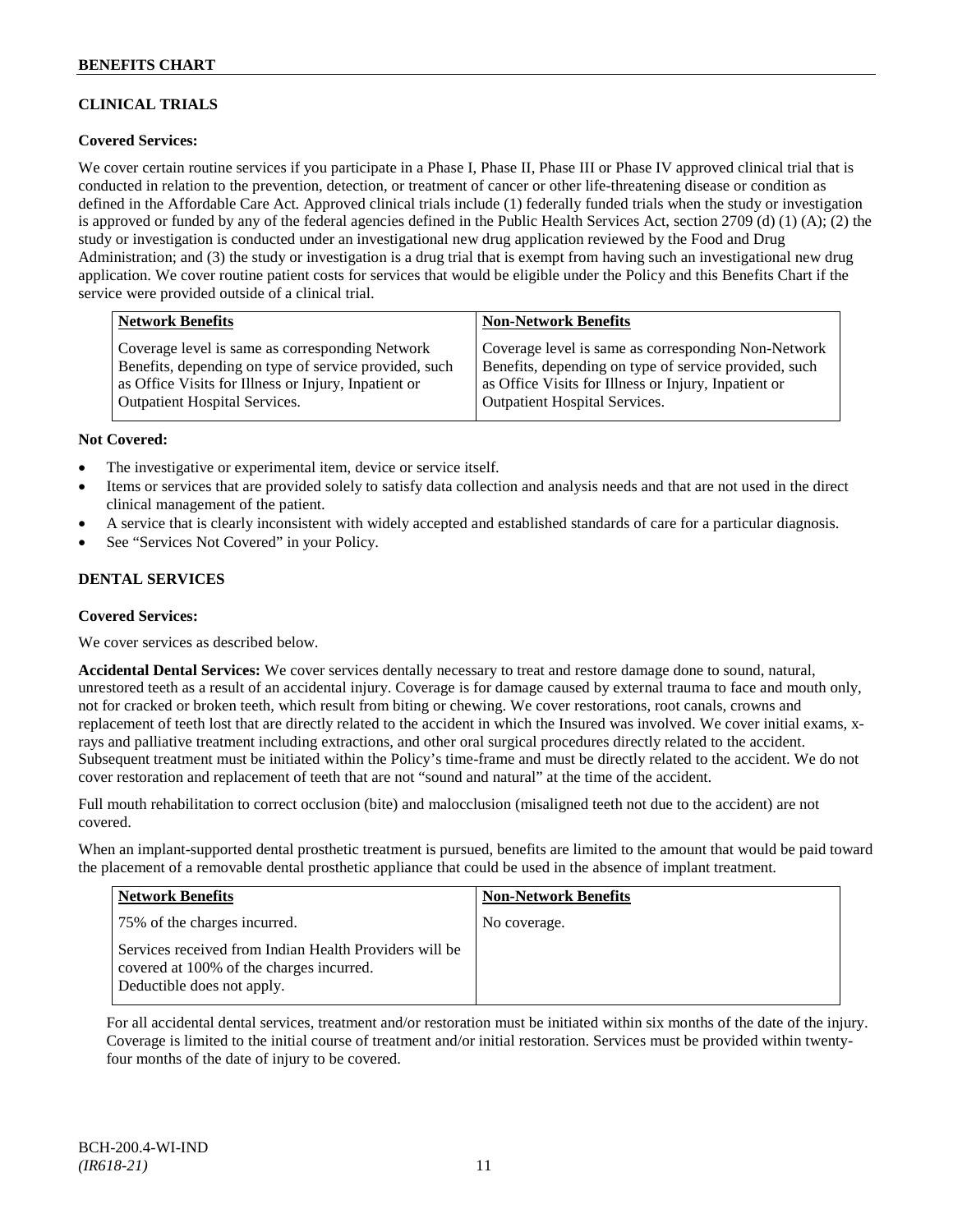## **CLINICAL TRIALS**

## **Covered Services:**

We cover certain routine services if you participate in a Phase I, Phase II, Phase III or Phase IV approved clinical trial that is conducted in relation to the prevention, detection, or treatment of cancer or other life-threatening disease or condition as defined in the Affordable Care Act. Approved clinical trials include (1) federally funded trials when the study or investigation is approved or funded by any of the federal agencies defined in the Public Health Services Act, section 2709 (d) (1) (A); (2) the study or investigation is conducted under an investigational new drug application reviewed by the Food and Drug Administration; and (3) the study or investigation is a drug trial that is exempt from having such an investigational new drug application. We cover routine patient costs for services that would be eligible under the Policy and this Benefits Chart if the service were provided outside of a clinical trial.

| <b>Network Benefits</b>                               | <b>Non-Network Benefits</b>                           |
|-------------------------------------------------------|-------------------------------------------------------|
| Coverage level is same as corresponding Network       | Coverage level is same as corresponding Non-Network   |
| Benefits, depending on type of service provided, such | Benefits, depending on type of service provided, such |
| as Office Visits for Illness or Injury, Inpatient or  | as Office Visits for Illness or Injury, Inpatient or  |
| Outpatient Hospital Services.                         | <b>Outpatient Hospital Services.</b>                  |

#### **Not Covered:**

- The investigative or experimental item, device or service itself.
- Items or services that are provided solely to satisfy data collection and analysis needs and that are not used in the direct clinical management of the patient.
- A service that is clearly inconsistent with widely accepted and established standards of care for a particular diagnosis.
- See "Services Not Covered" in your Policy.

## **DENTAL SERVICES**

#### **Covered Services:**

We cover services as described below.

**Accidental Dental Services:** We cover services dentally necessary to treat and restore damage done to sound, natural, unrestored teeth as a result of an accidental injury. Coverage is for damage caused by external trauma to face and mouth only, not for cracked or broken teeth, which result from biting or chewing. We cover restorations, root canals, crowns and replacement of teeth lost that are directly related to the accident in which the Insured was involved. We cover initial exams, xrays and palliative treatment including extractions, and other oral surgical procedures directly related to the accident. Subsequent treatment must be initiated within the Policy's time-frame and must be directly related to the accident. We do not cover restoration and replacement of teeth that are not "sound and natural" at the time of the accident.

Full mouth rehabilitation to correct occlusion (bite) and malocclusion (misaligned teeth not due to the accident) are not covered.

When an implant-supported dental prosthetic treatment is pursued, benefits are limited to the amount that would be paid toward the placement of a removable dental prosthetic appliance that could be used in the absence of implant treatment.

| <b>Network Benefits</b>                                                                                                          | <b>Non-Network Benefits</b> |
|----------------------------------------------------------------------------------------------------------------------------------|-----------------------------|
| 75% of the charges incurred.                                                                                                     | No coverage.                |
| Services received from Indian Health Providers will be<br>covered at 100% of the charges incurred.<br>Deductible does not apply. |                             |

For all accidental dental services, treatment and/or restoration must be initiated within six months of the date of the injury. Coverage is limited to the initial course of treatment and/or initial restoration. Services must be provided within twentyfour months of the date of injury to be covered.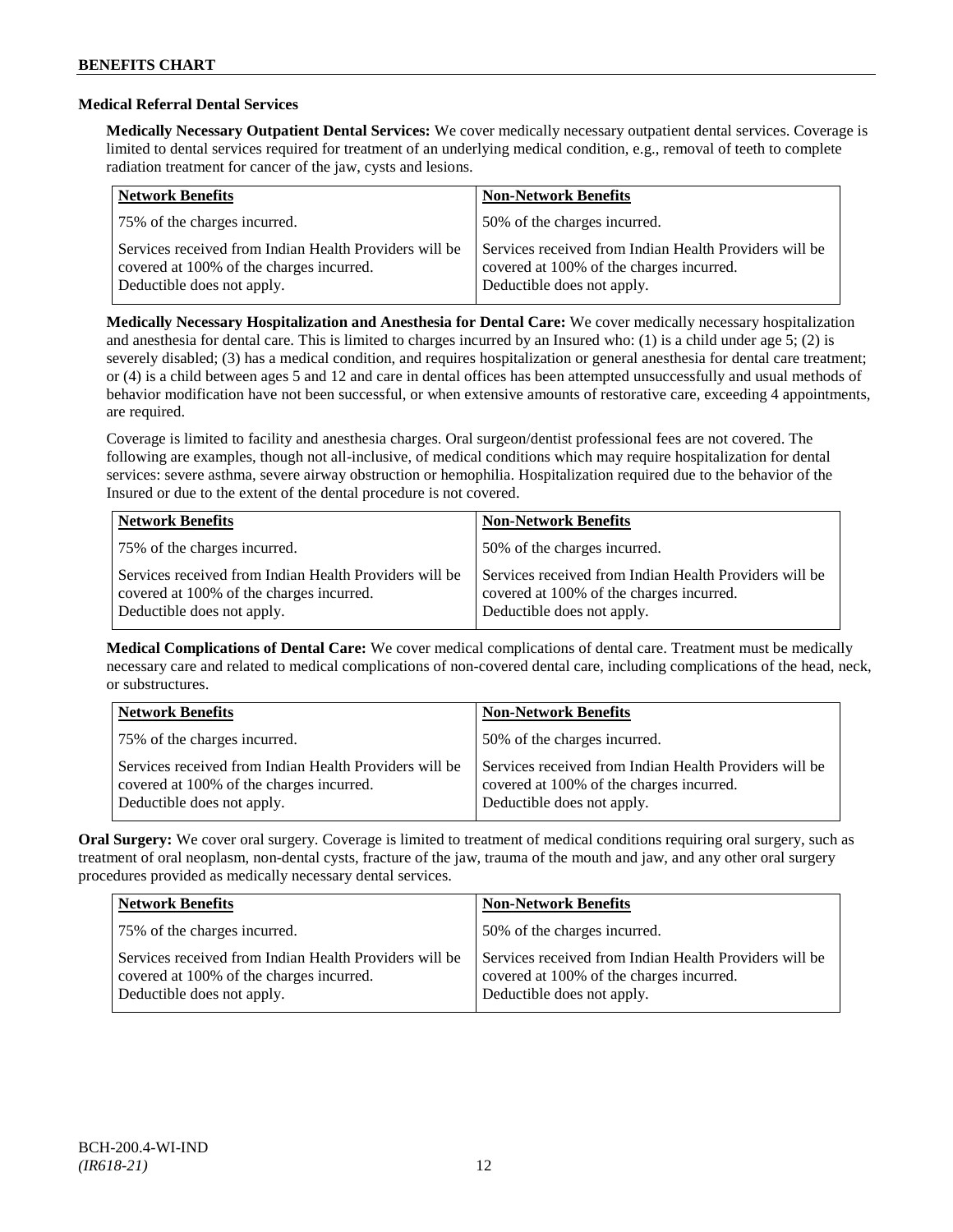## **Medical Referral Dental Services**

**Medically Necessary Outpatient Dental Services:** We cover medically necessary outpatient dental services. Coverage is limited to dental services required for treatment of an underlying medical condition, e.g., removal of teeth to complete radiation treatment for cancer of the jaw, cysts and lesions.

| <b>Network Benefits</b>                                                                                                          | <b>Non-Network Benefits</b>                                                                                                      |
|----------------------------------------------------------------------------------------------------------------------------------|----------------------------------------------------------------------------------------------------------------------------------|
| 75% of the charges incurred.                                                                                                     | 50% of the charges incurred.                                                                                                     |
| Services received from Indian Health Providers will be<br>covered at 100% of the charges incurred.<br>Deductible does not apply. | Services received from Indian Health Providers will be<br>covered at 100% of the charges incurred.<br>Deductible does not apply. |

**Medically Necessary Hospitalization and Anesthesia for Dental Care:** We cover medically necessary hospitalization and anesthesia for dental care. This is limited to charges incurred by an Insured who: (1) is a child under age 5; (2) is severely disabled; (3) has a medical condition, and requires hospitalization or general anesthesia for dental care treatment; or (4) is a child between ages 5 and 12 and care in dental offices has been attempted unsuccessfully and usual methods of behavior modification have not been successful, or when extensive amounts of restorative care, exceeding 4 appointments, are required.

Coverage is limited to facility and anesthesia charges. Oral surgeon/dentist professional fees are not covered. The following are examples, though not all-inclusive, of medical conditions which may require hospitalization for dental services: severe asthma, severe airway obstruction or hemophilia. Hospitalization required due to the behavior of the Insured or due to the extent of the dental procedure is not covered.

| <b>Network Benefits</b>                                                                                                          | <b>Non-Network Benefits</b>                                                                                                      |
|----------------------------------------------------------------------------------------------------------------------------------|----------------------------------------------------------------------------------------------------------------------------------|
| 75% of the charges incurred.                                                                                                     | 50% of the charges incurred.                                                                                                     |
| Services received from Indian Health Providers will be<br>covered at 100% of the charges incurred.<br>Deductible does not apply. | Services received from Indian Health Providers will be<br>covered at 100% of the charges incurred.<br>Deductible does not apply. |

**Medical Complications of Dental Care:** We cover medical complications of dental care. Treatment must be medically necessary care and related to medical complications of non-covered dental care, including complications of the head, neck, or substructures.

| <b>Network Benefits</b>                                                                                                          | <b>Non-Network Benefits</b>                                                                                                      |
|----------------------------------------------------------------------------------------------------------------------------------|----------------------------------------------------------------------------------------------------------------------------------|
| 75% of the charges incurred.                                                                                                     | 50% of the charges incurred.                                                                                                     |
| Services received from Indian Health Providers will be<br>covered at 100% of the charges incurred.<br>Deductible does not apply. | Services received from Indian Health Providers will be<br>covered at 100% of the charges incurred.<br>Deductible does not apply. |

**Oral Surgery:** We cover oral surgery. Coverage is limited to treatment of medical conditions requiring oral surgery, such as treatment of oral neoplasm, non-dental cysts, fracture of the jaw, trauma of the mouth and jaw, and any other oral surgery procedures provided as medically necessary dental services.

| <b>Network Benefits</b>                                                                                                          | <b>Non-Network Benefits</b>                                                                                                      |
|----------------------------------------------------------------------------------------------------------------------------------|----------------------------------------------------------------------------------------------------------------------------------|
| 75% of the charges incurred.                                                                                                     | 50% of the charges incurred.                                                                                                     |
| Services received from Indian Health Providers will be<br>covered at 100% of the charges incurred.<br>Deductible does not apply. | Services received from Indian Health Providers will be<br>covered at 100% of the charges incurred.<br>Deductible does not apply. |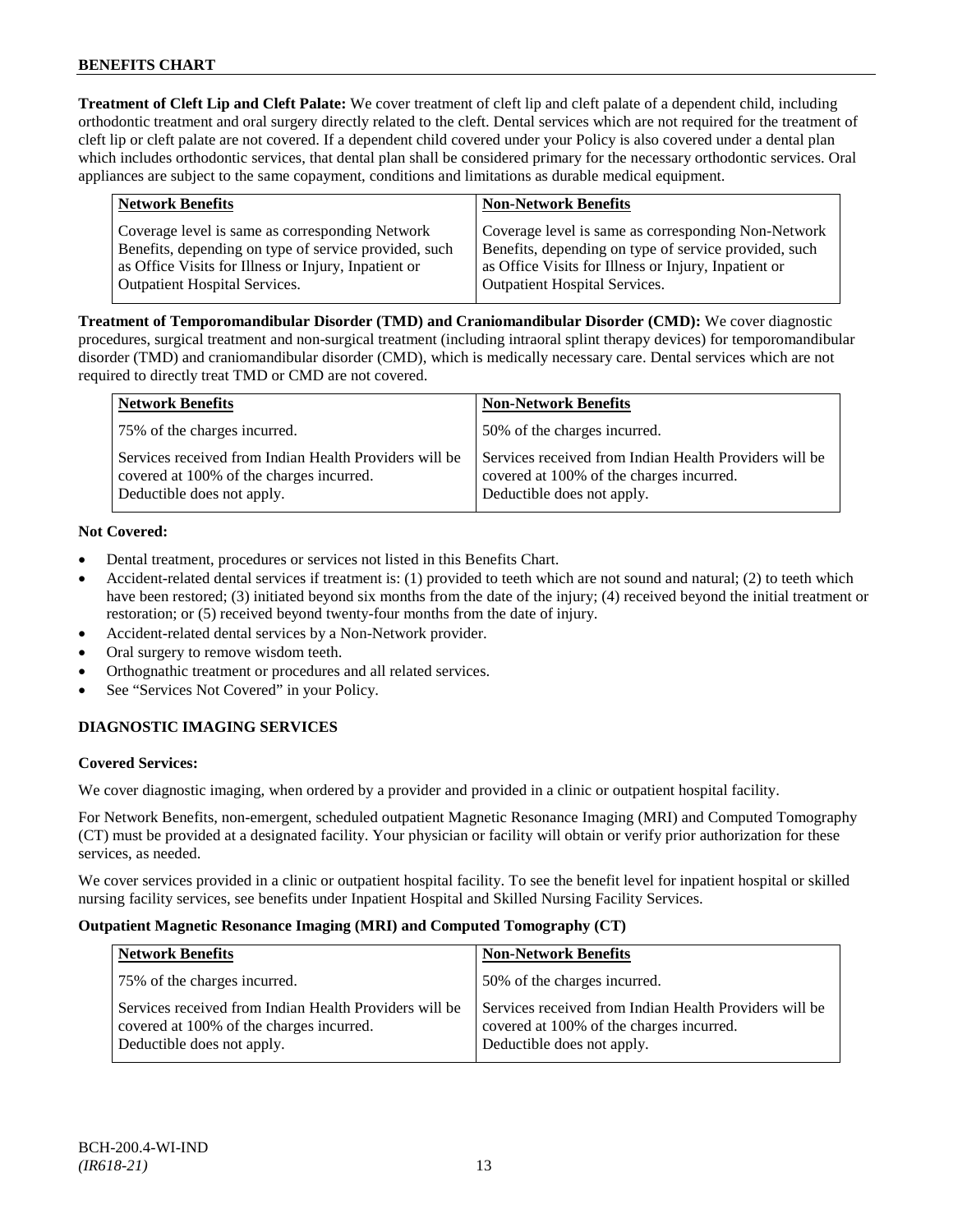**Treatment of Cleft Lip and Cleft Palate:** We cover treatment of cleft lip and cleft palate of a dependent child, including orthodontic treatment and oral surgery directly related to the cleft. Dental services which are not required for the treatment of cleft lip or cleft palate are not covered. If a dependent child covered under your Policy is also covered under a dental plan which includes orthodontic services, that dental plan shall be considered primary for the necessary orthodontic services. Oral appliances are subject to the same copayment, conditions and limitations as durable medical equipment.

| <b>Network Benefits</b>                               | <b>Non-Network Benefits</b>                           |
|-------------------------------------------------------|-------------------------------------------------------|
| Coverage level is same as corresponding Network       | Coverage level is same as corresponding Non-Network   |
| Benefits, depending on type of service provided, such | Benefits, depending on type of service provided, such |
| as Office Visits for Illness or Injury, Inpatient or  | as Office Visits for Illness or Injury, Inpatient or  |
| <b>Outpatient Hospital Services.</b>                  | <b>Outpatient Hospital Services.</b>                  |
|                                                       |                                                       |

**Treatment of Temporomandibular Disorder (TMD) and Craniomandibular Disorder (CMD):** We cover diagnostic procedures, surgical treatment and non-surgical treatment (including intraoral splint therapy devices) for temporomandibular disorder (TMD) and craniomandibular disorder (CMD), which is medically necessary care. Dental services which are not required to directly treat TMD or CMD are not covered.

| <b>Network Benefits</b>                                                                                                          | <b>Non-Network Benefits</b>                                                                                                      |
|----------------------------------------------------------------------------------------------------------------------------------|----------------------------------------------------------------------------------------------------------------------------------|
| 75% of the charges incurred.                                                                                                     | 50% of the charges incurred.                                                                                                     |
| Services received from Indian Health Providers will be<br>covered at 100% of the charges incurred.<br>Deductible does not apply. | Services received from Indian Health Providers will be<br>covered at 100% of the charges incurred.<br>Deductible does not apply. |

## **Not Covered:**

- Dental treatment, procedures or services not listed in this Benefits Chart.
- Accident-related dental services if treatment is: (1) provided to teeth which are not sound and natural; (2) to teeth which have been restored; (3) initiated beyond six months from the date of the injury; (4) received beyond the initial treatment or restoration; or (5) received beyond twenty-four months from the date of injury.
- Accident-related dental services by a Non-Network provider.
- Oral surgery to remove wisdom teeth.
- Orthognathic treatment or procedures and all related services.
- See "Services Not Covered" in your Policy.

## **DIAGNOSTIC IMAGING SERVICES**

## **Covered Services:**

We cover diagnostic imaging, when ordered by a provider and provided in a clinic or outpatient hospital facility.

For Network Benefits, non-emergent, scheduled outpatient Magnetic Resonance Imaging (MRI) and Computed Tomography (CT) must be provided at a designated facility. Your physician or facility will obtain or verify prior authorization for these services, as needed.

We cover services provided in a clinic or outpatient hospital facility. To see the benefit level for inpatient hospital or skilled nursing facility services, see benefits under Inpatient Hospital and Skilled Nursing Facility Services.

## **Outpatient Magnetic Resonance Imaging (MRI) and Computed Tomography (CT)**

| <b>Network Benefits</b>                                                                                                          | <b>Non-Network Benefits</b>                                                                                                      |
|----------------------------------------------------------------------------------------------------------------------------------|----------------------------------------------------------------------------------------------------------------------------------|
| 75% of the charges incurred.                                                                                                     | 50% of the charges incurred.                                                                                                     |
| Services received from Indian Health Providers will be<br>covered at 100% of the charges incurred.<br>Deductible does not apply. | Services received from Indian Health Providers will be<br>covered at 100% of the charges incurred.<br>Deductible does not apply. |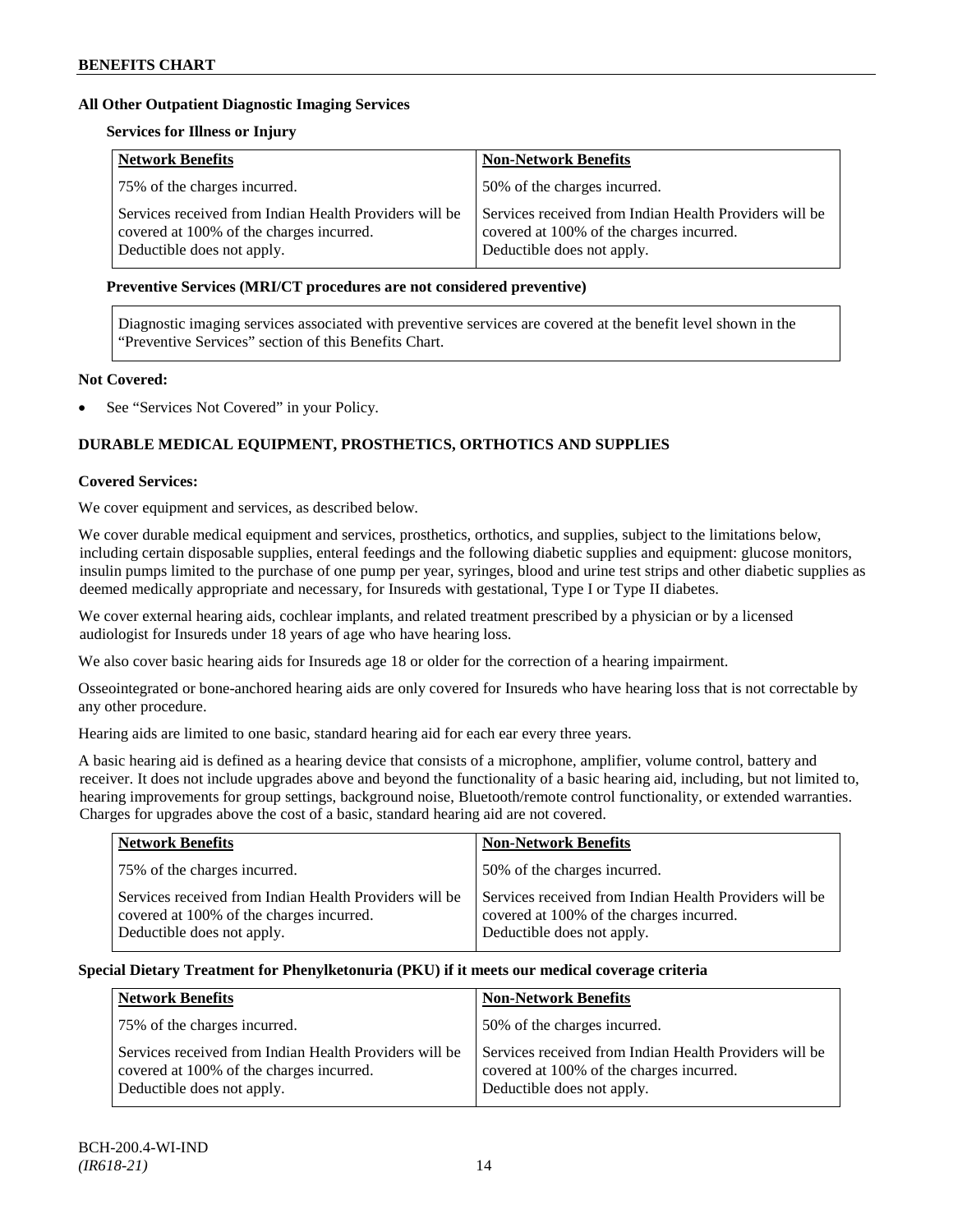## **All Other Outpatient Diagnostic Imaging Services**

## **Services for Illness or Injury**

| <b>Network Benefits</b>                                                                                                          | <b>Non-Network Benefits</b>                                                                                                      |
|----------------------------------------------------------------------------------------------------------------------------------|----------------------------------------------------------------------------------------------------------------------------------|
| 75% of the charges incurred.                                                                                                     | 50% of the charges incurred.                                                                                                     |
| Services received from Indian Health Providers will be<br>covered at 100% of the charges incurred.<br>Deductible does not apply. | Services received from Indian Health Providers will be<br>covered at 100% of the charges incurred.<br>Deductible does not apply. |

## **Preventive Services (MRI/CT procedures are not considered preventive)**

Diagnostic imaging services associated with preventive services are covered at the benefit level shown in the "Preventive Services" section of this Benefits Chart.

## **Not Covered:**

See "Services Not Covered" in your Policy.

## **DURABLE MEDICAL EQUIPMENT, PROSTHETICS, ORTHOTICS AND SUPPLIES**

## **Covered Services:**

We cover equipment and services, as described below.

We cover durable medical equipment and services, prosthetics, orthotics, and supplies, subject to the limitations below, including certain disposable supplies, enteral feedings and the following diabetic supplies and equipment: glucose monitors, insulin pumps limited to the purchase of one pump per year, syringes, blood and urine test strips and other diabetic supplies as deemed medically appropriate and necessary, for Insureds with gestational, Type I or Type II diabetes.

We cover external hearing aids, cochlear implants, and related treatment prescribed by a physician or by a licensed audiologist for Insureds under 18 years of age who have hearing loss.

We also cover basic hearing aids for Insureds age 18 or older for the correction of a hearing impairment.

Osseointegrated or bone-anchored hearing aids are only covered for Insureds who have hearing loss that is not correctable by any other procedure.

Hearing aids are limited to one basic, standard hearing aid for each ear every three years.

A basic hearing aid is defined as a hearing device that consists of a microphone, amplifier, volume control, battery and receiver. It does not include upgrades above and beyond the functionality of a basic hearing aid, including, but not limited to, hearing improvements for group settings, background noise, Bluetooth/remote control functionality, or extended warranties. Charges for upgrades above the cost of a basic, standard hearing aid are not covered.

| <b>Network Benefits</b>                                                                                                          | <b>Non-Network Benefits</b>                                                                                                      |
|----------------------------------------------------------------------------------------------------------------------------------|----------------------------------------------------------------------------------------------------------------------------------|
| 75% of the charges incurred.                                                                                                     | 50% of the charges incurred.                                                                                                     |
| Services received from Indian Health Providers will be<br>covered at 100% of the charges incurred.<br>Deductible does not apply. | Services received from Indian Health Providers will be<br>covered at 100% of the charges incurred.<br>Deductible does not apply. |

## **Special Dietary Treatment for Phenylketonuria (PKU) if it meets our medical coverage criteria**

| <b>Network Benefits</b>                                                                                                          | <b>Non-Network Benefits</b>                                                                                                      |
|----------------------------------------------------------------------------------------------------------------------------------|----------------------------------------------------------------------------------------------------------------------------------|
| 75% of the charges incurred.                                                                                                     | 50% of the charges incurred.                                                                                                     |
| Services received from Indian Health Providers will be<br>covered at 100% of the charges incurred.<br>Deductible does not apply. | Services received from Indian Health Providers will be<br>covered at 100% of the charges incurred.<br>Deductible does not apply. |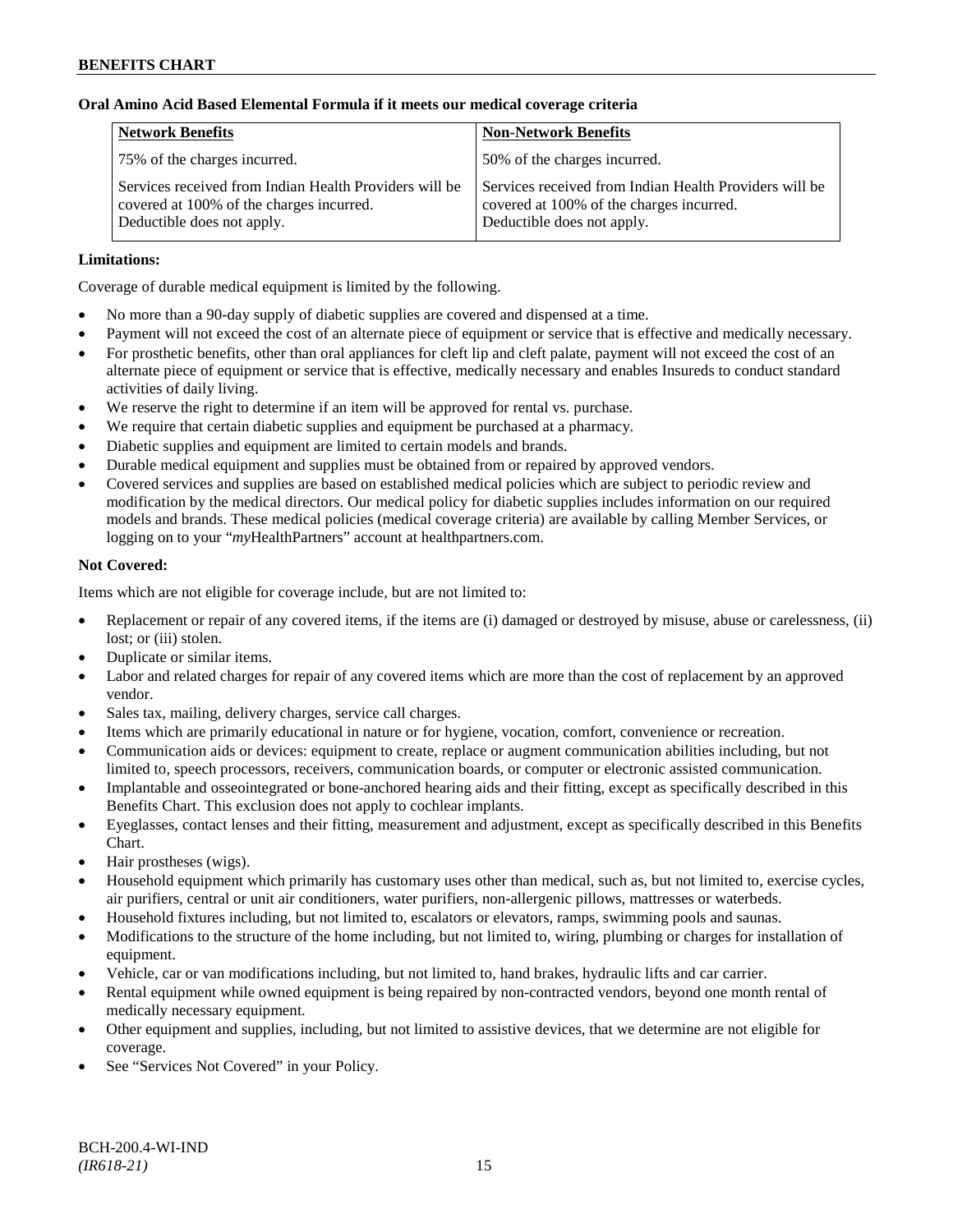## **Oral Amino Acid Based Elemental Formula if it meets our medical coverage criteria**

| <b>Network Benefits</b>                                                                                                          | <b>Non-Network Benefits</b>                                                                                                      |
|----------------------------------------------------------------------------------------------------------------------------------|----------------------------------------------------------------------------------------------------------------------------------|
| 75% of the charges incurred.                                                                                                     | 50% of the charges incurred.                                                                                                     |
| Services received from Indian Health Providers will be<br>covered at 100% of the charges incurred.<br>Deductible does not apply. | Services received from Indian Health Providers will be<br>covered at 100% of the charges incurred.<br>Deductible does not apply. |

## **Limitations:**

Coverage of durable medical equipment is limited by the following.

- No more than a 90-day supply of diabetic supplies are covered and dispensed at a time.
- Payment will not exceed the cost of an alternate piece of equipment or service that is effective and medically necessary.
- For prosthetic benefits, other than oral appliances for cleft lip and cleft palate, payment will not exceed the cost of an alternate piece of equipment or service that is effective, medically necessary and enables Insureds to conduct standard activities of daily living.
- We reserve the right to determine if an item will be approved for rental vs. purchase.
- We require that certain diabetic supplies and equipment be purchased at a pharmacy.
- Diabetic supplies and equipment are limited to certain models and brands.
- Durable medical equipment and supplies must be obtained from or repaired by approved vendors.
- Covered services and supplies are based on established medical policies which are subject to periodic review and modification by the medical directors. Our medical policy for diabetic supplies includes information on our required models and brands. These medical policies (medical coverage criteria) are available by calling Member Services, or logging on to your "*my*HealthPartners" account at [healthpartners.com.](http://www.healthpartners.com/)

## **Not Covered:**

Items which are not eligible for coverage include, but are not limited to:

- Replacement or repair of any covered items, if the items are (i) damaged or destroyed by misuse, abuse or carelessness, (ii) lost; or (iii) stolen.
- Duplicate or similar items.
- Labor and related charges for repair of any covered items which are more than the cost of replacement by an approved vendor.
- Sales tax, mailing, delivery charges, service call charges.
- Items which are primarily educational in nature or for hygiene, vocation, comfort, convenience or recreation.
- Communication aids or devices: equipment to create, replace or augment communication abilities including, but not limited to, speech processors, receivers, communication boards, or computer or electronic assisted communication.
- Implantable and osseointegrated or bone-anchored hearing aids and their fitting, except as specifically described in this Benefits Chart. This exclusion does not apply to cochlear implants.
- Eyeglasses, contact lenses and their fitting, measurement and adjustment, except as specifically described in this Benefits Chart.
- Hair prostheses (wigs).
- Household equipment which primarily has customary uses other than medical, such as, but not limited to, exercise cycles, air purifiers, central or unit air conditioners, water purifiers, non-allergenic pillows, mattresses or waterbeds.
- Household fixtures including, but not limited to, escalators or elevators, ramps, swimming pools and saunas.
- Modifications to the structure of the home including, but not limited to, wiring, plumbing or charges for installation of equipment.
- Vehicle, car or van modifications including, but not limited to, hand brakes, hydraulic lifts and car carrier.
- Rental equipment while owned equipment is being repaired by non-contracted vendors, beyond one month rental of medically necessary equipment.
- Other equipment and supplies, including, but not limited to assistive devices, that we determine are not eligible for coverage.
- See "Services Not Covered" in your Policy.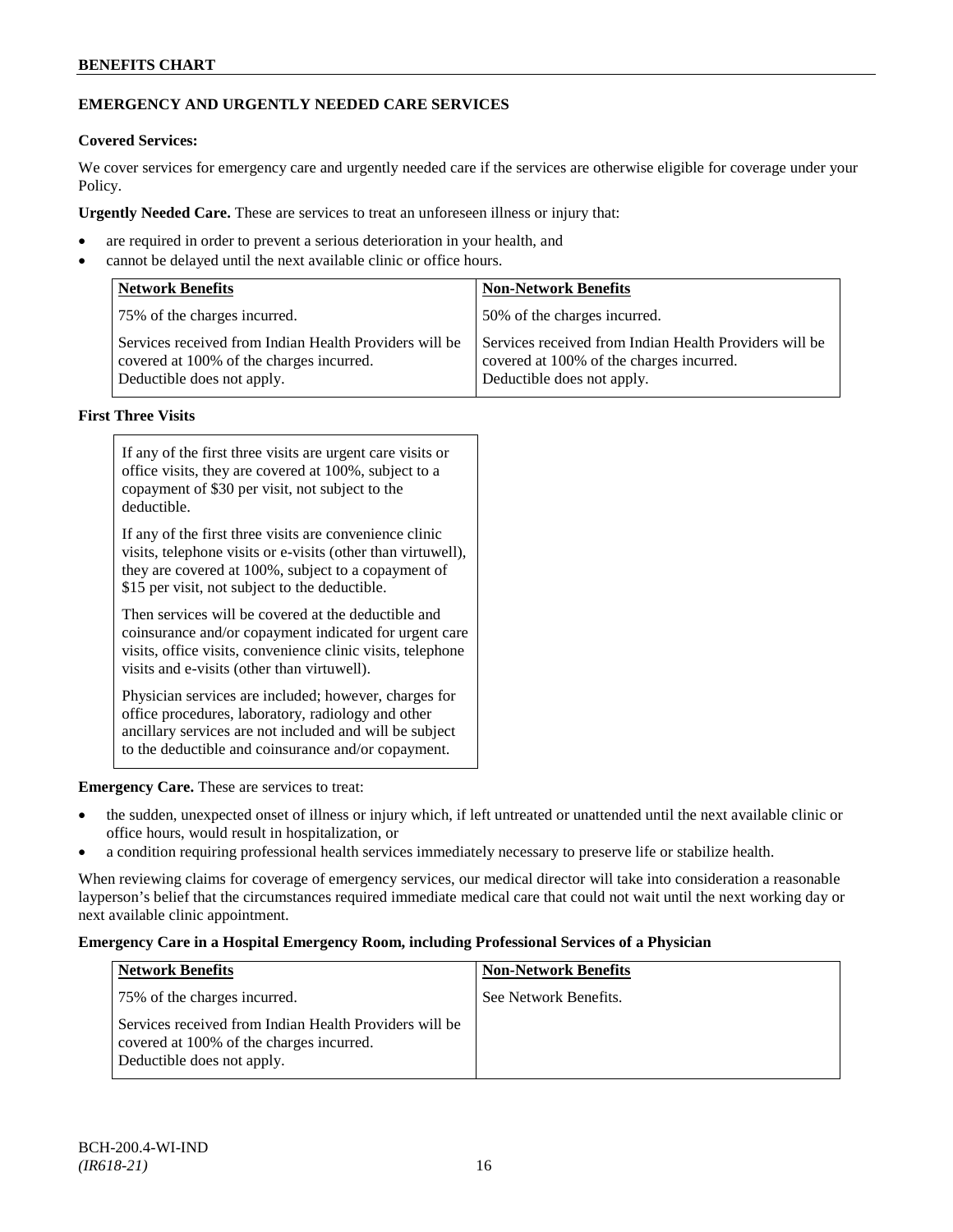## **BENEFITS CHART**

## **EMERGENCY AND URGENTLY NEEDED CARE SERVICES**

## **Covered Services:**

We cover services for emergency care and urgently needed care if the services are otherwise eligible for coverage under your Policy.

**Urgently Needed Care.** These are services to treat an unforeseen illness or injury that:

- are required in order to prevent a serious deterioration in your health, and
- cannot be delayed until the next available clinic or office hours.

| <b>Network Benefits</b>                                                                                                          | <b>Non-Network Benefits</b>                                                                                                      |
|----------------------------------------------------------------------------------------------------------------------------------|----------------------------------------------------------------------------------------------------------------------------------|
| 75% of the charges incurred.                                                                                                     | 50% of the charges incurred.                                                                                                     |
| Services received from Indian Health Providers will be<br>covered at 100% of the charges incurred.<br>Deductible does not apply. | Services received from Indian Health Providers will be<br>covered at 100% of the charges incurred.<br>Deductible does not apply. |

## **First Three Visits**

| If any of the first three visits are urgent care visits or<br>office visits, they are covered at 100%, subject to a<br>copayment of \$30 per visit, not subject to the<br>deductible.                                            |  |
|----------------------------------------------------------------------------------------------------------------------------------------------------------------------------------------------------------------------------------|--|
| If any of the first three visits are convenience clinic<br>visits, telephone visits or e-visits (other than virtuwell),<br>they are covered at 100%, subject to a copayment of<br>\$15 per visit, not subject to the deductible. |  |
| Then services will be covered at the deductible and<br>coinsurance and/or copayment indicated for urgent care<br>visits, office visits, convenience clinic visits, telephone<br>visits and e-visits (other than virtuwell).      |  |
| Physician services are included; however, charges for<br>office procedures, laboratory, radiology and other<br>ancillary services are not included and will be subject<br>to the deductible and coinsurance and/or copayment.    |  |

**Emergency Care.** These are services to treat:

- the sudden, unexpected onset of illness or injury which, if left untreated or unattended until the next available clinic or office hours, would result in hospitalization, or
- a condition requiring professional health services immediately necessary to preserve life or stabilize health.

When reviewing claims for coverage of emergency services, our medical director will take into consideration a reasonable layperson's belief that the circumstances required immediate medical care that could not wait until the next working day or next available clinic appointment.

## **Emergency Care in a Hospital Emergency Room, including Professional Services of a Physician**

| <b>Network Benefits</b>                                                                                                          | <b>Non-Network Benefits</b> |
|----------------------------------------------------------------------------------------------------------------------------------|-----------------------------|
| 75% of the charges incurred.                                                                                                     | See Network Benefits.       |
| Services received from Indian Health Providers will be<br>covered at 100% of the charges incurred.<br>Deductible does not apply. |                             |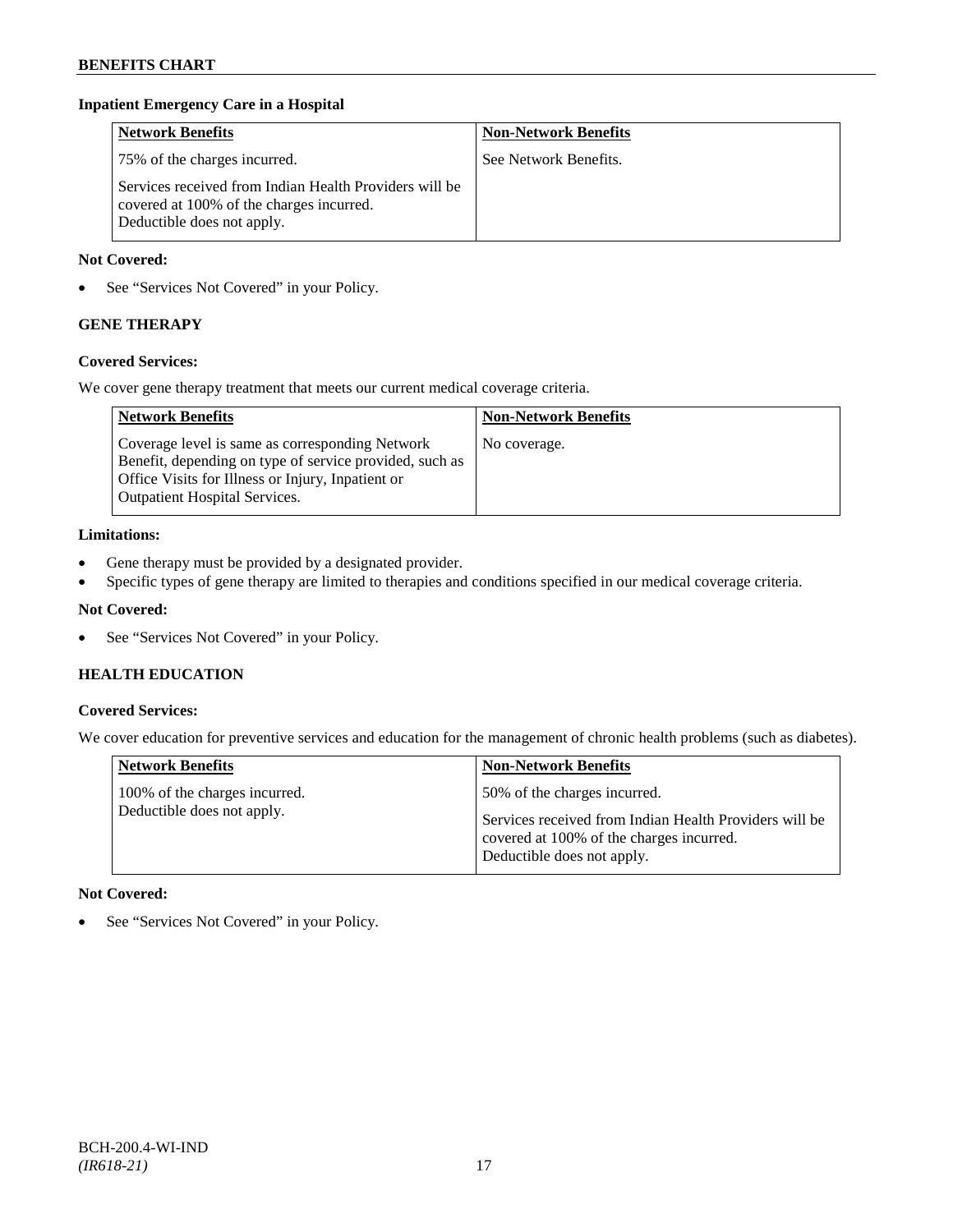#### **Inpatient Emergency Care in a Hospital**

| <b>Network Benefits</b>                                                                                                          | <b>Non-Network Benefits</b> |
|----------------------------------------------------------------------------------------------------------------------------------|-----------------------------|
| 75% of the charges incurred.                                                                                                     | See Network Benefits.       |
| Services received from Indian Health Providers will be<br>covered at 100% of the charges incurred.<br>Deductible does not apply. |                             |

### **Not Covered:**

• See "Services Not Covered" in your Policy.

## **GENE THERAPY**

## **Covered Services:**

We cover gene therapy treatment that meets our current medical coverage criteria.

| <b>Network Benefits</b>                                                                                                                                                                                 | <b>Non-Network Benefits</b> |
|---------------------------------------------------------------------------------------------------------------------------------------------------------------------------------------------------------|-----------------------------|
| Coverage level is same as corresponding Network<br>Benefit, depending on type of service provided, such as<br>Office Visits for Illness or Injury, Inpatient or<br><b>Outpatient Hospital Services.</b> | No coverage.                |

#### **Limitations:**

- Gene therapy must be provided by a designated provider.
- Specific types of gene therapy are limited to therapies and conditions specified in our medical coverage criteria.

## **Not Covered:**

• See "Services Not Covered" in your Policy.

## **HEALTH EDUCATION**

#### **Covered Services:**

We cover education for preventive services and education for the management of chronic health problems (such as diabetes).

| <b>Network Benefits</b>                                     | <b>Non-Network Benefits</b>                                                                                                                                      |
|-------------------------------------------------------------|------------------------------------------------------------------------------------------------------------------------------------------------------------------|
| 100% of the charges incurred.<br>Deductible does not apply. | 50% of the charges incurred.<br>Services received from Indian Health Providers will be<br>covered at 100% of the charges incurred.<br>Deductible does not apply. |

## **Not Covered:**

• See "Services Not Covered" in your Policy.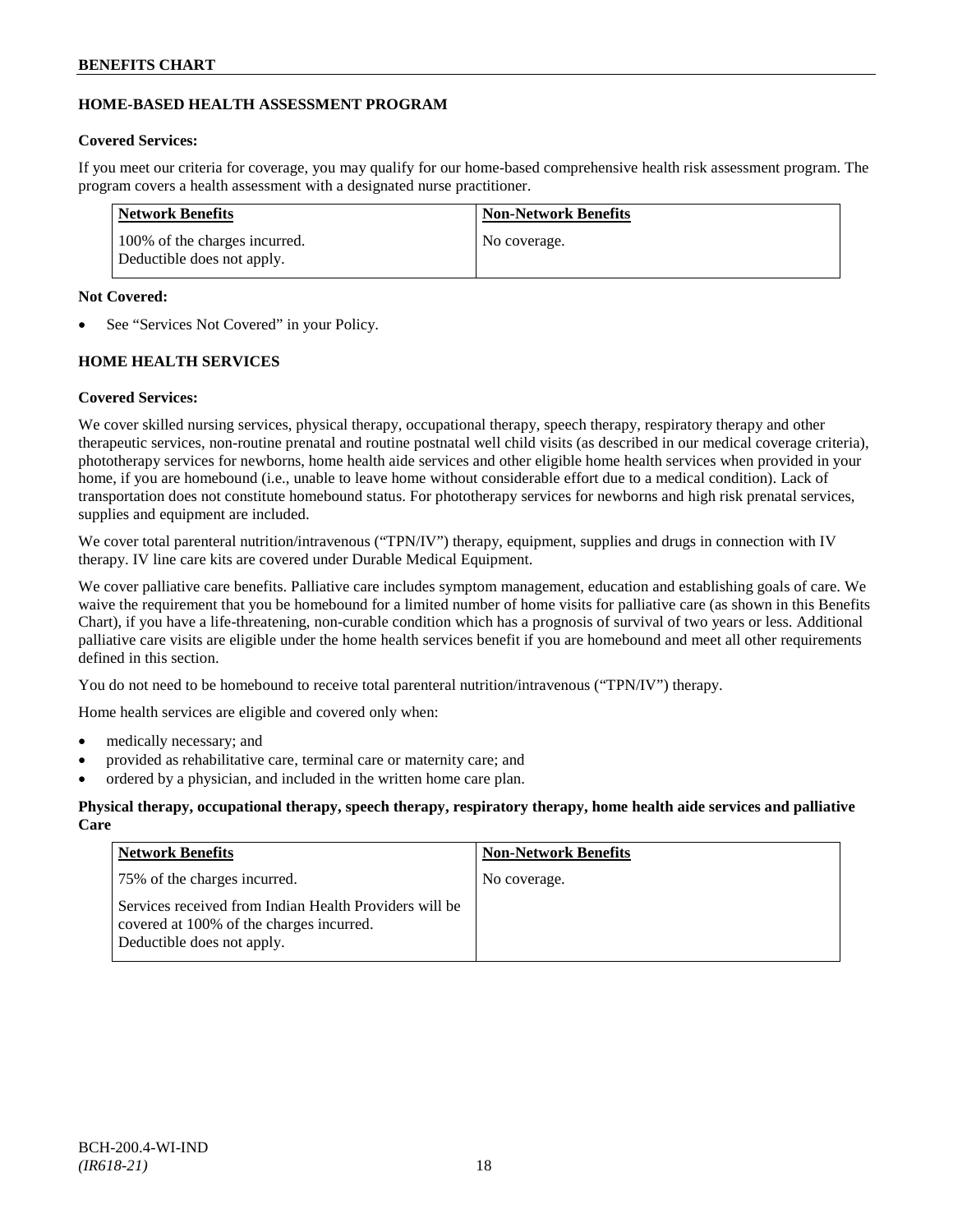## **HOME-BASED HEALTH ASSESSMENT PROGRAM**

## **Covered Services:**

If you meet our criteria for coverage, you may qualify for our home-based comprehensive health risk assessment program. The program covers a health assessment with a designated nurse practitioner.

| Network Benefits                                            | <b>Non-Network Benefits</b> |
|-------------------------------------------------------------|-----------------------------|
| 100% of the charges incurred.<br>Deductible does not apply. | No coverage.                |

## **Not Covered:**

See "Services Not Covered" in your Policy.

## **HOME HEALTH SERVICES**

## **Covered Services:**

We cover skilled nursing services, physical therapy, occupational therapy, speech therapy, respiratory therapy and other therapeutic services, non-routine prenatal and routine postnatal well child visits (as described in our medical coverage criteria), phototherapy services for newborns, home health aide services and other eligible home health services when provided in your home, if you are homebound (i.e., unable to leave home without considerable effort due to a medical condition). Lack of transportation does not constitute homebound status. For phototherapy services for newborns and high risk prenatal services, supplies and equipment are included.

We cover total parenteral nutrition/intravenous ("TPN/IV") therapy, equipment, supplies and drugs in connection with IV therapy. IV line care kits are covered under Durable Medical Equipment.

We cover palliative care benefits. Palliative care includes symptom management, education and establishing goals of care. We waive the requirement that you be homebound for a limited number of home visits for palliative care (as shown in this Benefits Chart), if you have a life-threatening, non-curable condition which has a prognosis of survival of two years or less. Additional palliative care visits are eligible under the home health services benefit if you are homebound and meet all other requirements defined in this section.

You do not need to be homebound to receive total parenteral nutrition/intravenous ("TPN/IV") therapy.

Home health services are eligible and covered only when:

- medically necessary; and
- provided as rehabilitative care, terminal care or maternity care; and
- ordered by a physician, and included in the written home care plan.

## **Physical therapy, occupational therapy, speech therapy, respiratory therapy, home health aide services and palliative Care**

| <b>Network Benefits</b>                                                                                                          | <b>Non-Network Benefits</b> |
|----------------------------------------------------------------------------------------------------------------------------------|-----------------------------|
| 75% of the charges incurred.                                                                                                     | No coverage.                |
| Services received from Indian Health Providers will be<br>covered at 100% of the charges incurred.<br>Deductible does not apply. |                             |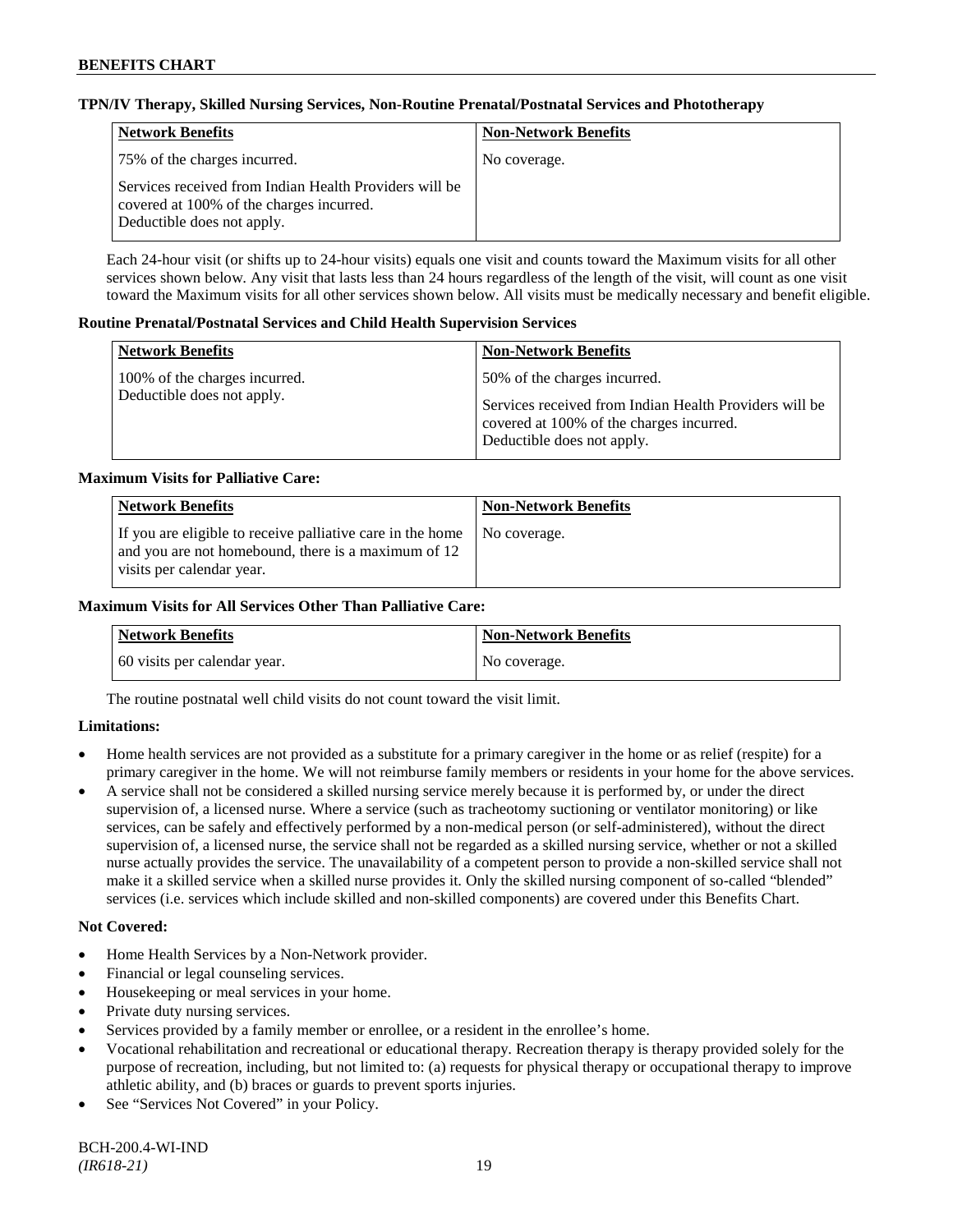### **TPN/IV Therapy, Skilled Nursing Services, Non-Routine Prenatal/Postnatal Services and Phototherapy**

| Network Benefits                                                                                                                 | <b>Non-Network Benefits</b> |
|----------------------------------------------------------------------------------------------------------------------------------|-----------------------------|
| 75% of the charges incurred.                                                                                                     | No coverage.                |
| Services received from Indian Health Providers will be<br>covered at 100% of the charges incurred.<br>Deductible does not apply. |                             |

Each 24-hour visit (or shifts up to 24-hour visits) equals one visit and counts toward the Maximum visits for all other services shown below. Any visit that lasts less than 24 hours regardless of the length of the visit, will count as one visit toward the Maximum visits for all other services shown below. All visits must be medically necessary and benefit eligible.

#### **Routine Prenatal/Postnatal Services and Child Health Supervision Services**

| <b>Network Benefits</b>                                     | <b>Non-Network Benefits</b>                                                                                                                                      |
|-------------------------------------------------------------|------------------------------------------------------------------------------------------------------------------------------------------------------------------|
| 100% of the charges incurred.<br>Deductible does not apply. | 50% of the charges incurred.<br>Services received from Indian Health Providers will be<br>covered at 100% of the charges incurred.<br>Deductible does not apply. |

#### **Maximum Visits for Palliative Care:**

| <b>Network Benefits</b>                                                                                                                        | <b>Non-Network Benefits</b> |
|------------------------------------------------------------------------------------------------------------------------------------------------|-----------------------------|
| If you are eligible to receive palliative care in the home<br>and you are not homebound, there is a maximum of 12<br>visits per calendar year. | No coverage.                |

#### **Maximum Visits for All Services Other Than Palliative Care:**

| Network Benefits             | <b>Non-Network Benefits</b> |
|------------------------------|-----------------------------|
| 60 visits per calendar year. | No coverage.                |

The routine postnatal well child visits do not count toward the visit limit.

## **Limitations:**

- Home health services are not provided as a substitute for a primary caregiver in the home or as relief (respite) for a primary caregiver in the home. We will not reimburse family members or residents in your home for the above services.
- A service shall not be considered a skilled nursing service merely because it is performed by, or under the direct supervision of, a licensed nurse. Where a service (such as tracheotomy suctioning or ventilator monitoring) or like services, can be safely and effectively performed by a non-medical person (or self-administered), without the direct supervision of, a licensed nurse, the service shall not be regarded as a skilled nursing service, whether or not a skilled nurse actually provides the service. The unavailability of a competent person to provide a non-skilled service shall not make it a skilled service when a skilled nurse provides it. Only the skilled nursing component of so-called "blended" services (i.e. services which include skilled and non-skilled components) are covered under this Benefits Chart.

- Home Health Services by a Non-Network provider.
- Financial or legal counseling services.
- Housekeeping or meal services in your home.
- Private duty nursing services.
- Services provided by a family member or enrollee, or a resident in the enrollee's home.
- Vocational rehabilitation and recreational or educational therapy. Recreation therapy is therapy provided solely for the purpose of recreation, including, but not limited to: (a) requests for physical therapy or occupational therapy to improve athletic ability, and (b) braces or guards to prevent sports injuries.
- See "Services Not Covered" in your Policy.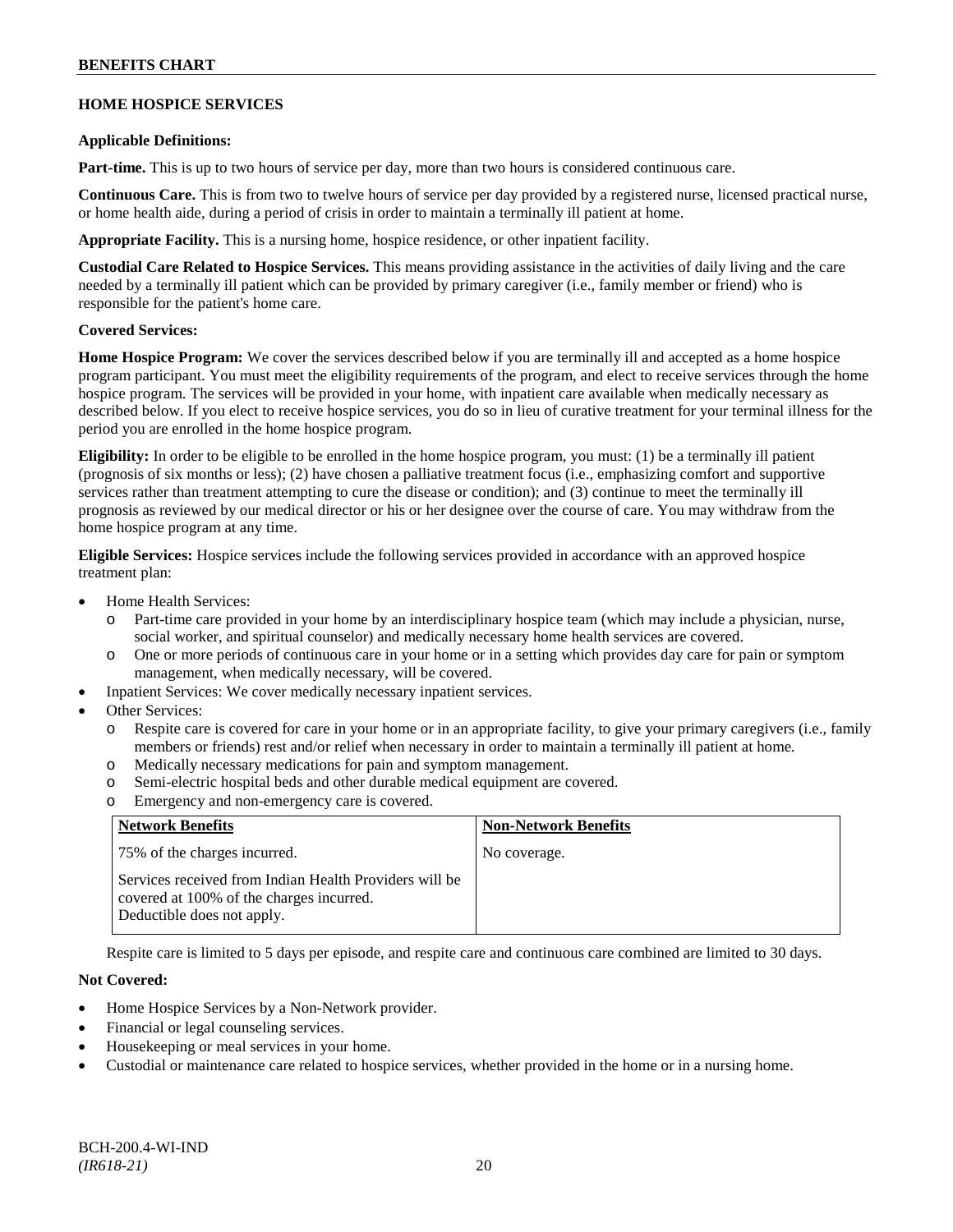## **BENEFITS CHART**

## **HOME HOSPICE SERVICES**

#### **Applicable Definitions:**

**Part-time.** This is up to two hours of service per day, more than two hours is considered continuous care.

**Continuous Care.** This is from two to twelve hours of service per day provided by a registered nurse, licensed practical nurse, or home health aide, during a period of crisis in order to maintain a terminally ill patient at home.

**Appropriate Facility.** This is a nursing home, hospice residence, or other inpatient facility.

**Custodial Care Related to Hospice Services.** This means providing assistance in the activities of daily living and the care needed by a terminally ill patient which can be provided by primary caregiver (i.e., family member or friend) who is responsible for the patient's home care.

## **Covered Services:**

**Home Hospice Program:** We cover the services described below if you are terminally ill and accepted as a home hospice program participant. You must meet the eligibility requirements of the program, and elect to receive services through the home hospice program. The services will be provided in your home, with inpatient care available when medically necessary as described below. If you elect to receive hospice services, you do so in lieu of curative treatment for your terminal illness for the period you are enrolled in the home hospice program.

**Eligibility:** In order to be eligible to be enrolled in the home hospice program, you must: (1) be a terminally ill patient (prognosis of six months or less); (2) have chosen a palliative treatment focus (i.e., emphasizing comfort and supportive services rather than treatment attempting to cure the disease or condition); and (3) continue to meet the terminally ill prognosis as reviewed by our medical director or his or her designee over the course of care. You may withdraw from the home hospice program at any time.

**Eligible Services:** Hospice services include the following services provided in accordance with an approved hospice treatment plan:

- Home Health Services:
	- o Part-time care provided in your home by an interdisciplinary hospice team (which may include a physician, nurse, social worker, and spiritual counselor) and medically necessary home health services are covered.
	- o One or more periods of continuous care in your home or in a setting which provides day care for pain or symptom management, when medically necessary, will be covered.
- Inpatient Services: We cover medically necessary inpatient services.
- Other Services:
	- o Respite care is covered for care in your home or in an appropriate facility, to give your primary caregivers (i.e., family members or friends) rest and/or relief when necessary in order to maintain a terminally ill patient at home*.*
	- o Medically necessary medications for pain and symptom management.
	- o Semi-electric hospital beds and other durable medical equipment are covered.
	- o Emergency and non-emergency care is covered.

| <b>Network Benefits</b>                                                                                                          | <b>Non-Network Benefits</b> |
|----------------------------------------------------------------------------------------------------------------------------------|-----------------------------|
| 75% of the charges incurred.                                                                                                     | No coverage.                |
| Services received from Indian Health Providers will be<br>covered at 100% of the charges incurred.<br>Deductible does not apply. |                             |

Respite care is limited to 5 days per episode, and respite care and continuous care combined are limited to 30 days.

- Home Hospice Services by a Non-Network provider.
- Financial or legal counseling services.
- Housekeeping or meal services in your home.
- Custodial or maintenance care related to hospice services, whether provided in the home or in a nursing home.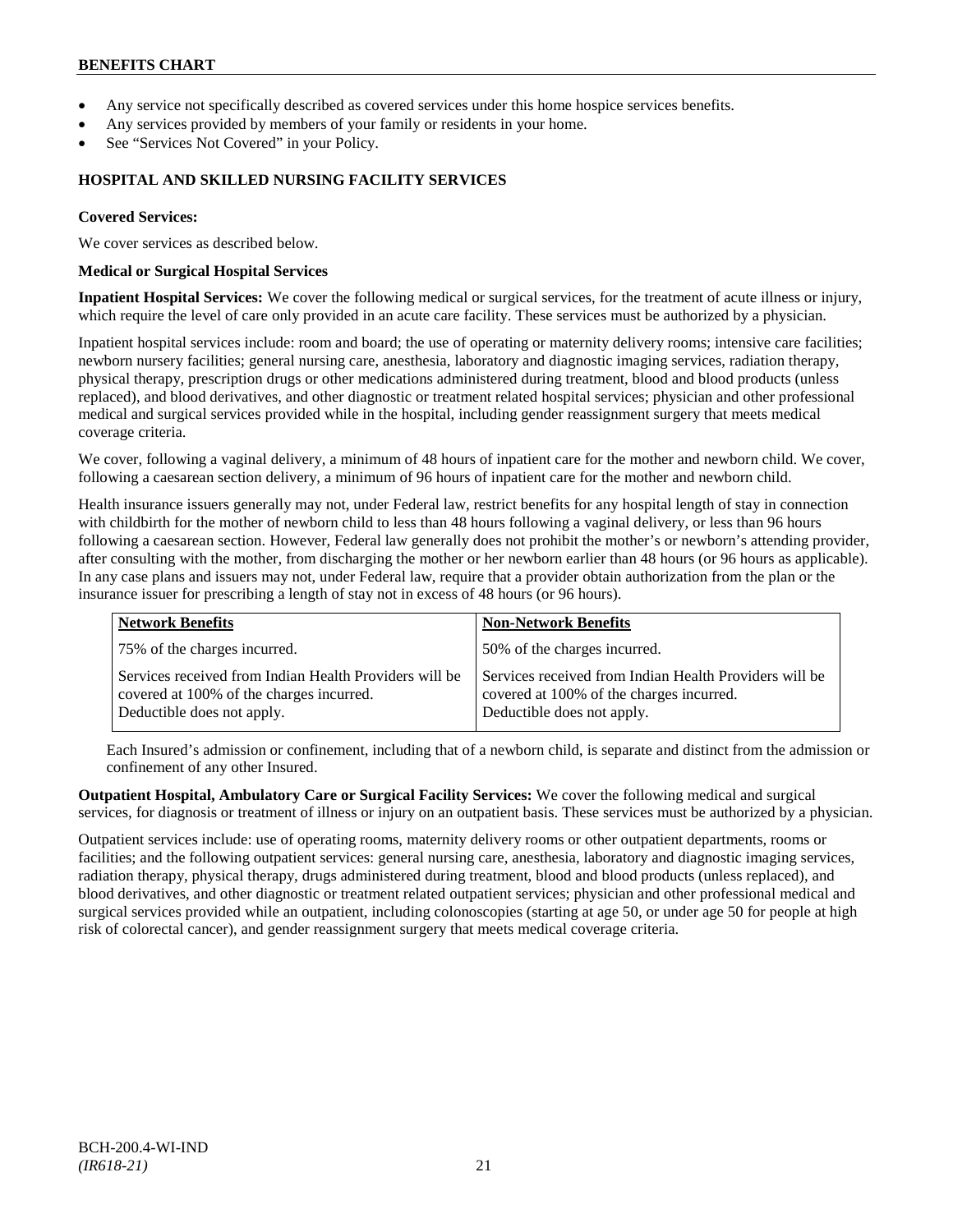## **BENEFITS CHART**

- Any service not specifically described as covered services under this home hospice services benefits.
- Any services provided by members of your family or residents in your home.
- See "Services Not Covered" in your Policy.

## **HOSPITAL AND SKILLED NURSING FACILITY SERVICES**

#### **Covered Services:**

We cover services as described below.

#### **Medical or Surgical Hospital Services**

**Inpatient Hospital Services:** We cover the following medical or surgical services, for the treatment of acute illness or injury, which require the level of care only provided in an acute care facility. These services must be authorized by a physician.

Inpatient hospital services include: room and board; the use of operating or maternity delivery rooms; intensive care facilities; newborn nursery facilities; general nursing care, anesthesia, laboratory and diagnostic imaging services, radiation therapy, physical therapy, prescription drugs or other medications administered during treatment, blood and blood products (unless replaced), and blood derivatives, and other diagnostic or treatment related hospital services; physician and other professional medical and surgical services provided while in the hospital, including gender reassignment surgery that meets medical coverage criteria.

We cover, following a vaginal delivery, a minimum of 48 hours of inpatient care for the mother and newborn child. We cover, following a caesarean section delivery, a minimum of 96 hours of inpatient care for the mother and newborn child.

Health insurance issuers generally may not, under Federal law, restrict benefits for any hospital length of stay in connection with childbirth for the mother of newborn child to less than 48 hours following a vaginal delivery, or less than 96 hours following a caesarean section. However, Federal law generally does not prohibit the mother's or newborn's attending provider, after consulting with the mother, from discharging the mother or her newborn earlier than 48 hours (or 96 hours as applicable). In any case plans and issuers may not, under Federal law, require that a provider obtain authorization from the plan or the insurance issuer for prescribing a length of stay not in excess of 48 hours (or 96 hours).

| <b>Network Benefits</b>                                                                                                          | <b>Non-Network Benefits</b>                                                                                                      |
|----------------------------------------------------------------------------------------------------------------------------------|----------------------------------------------------------------------------------------------------------------------------------|
| 75% of the charges incurred.                                                                                                     | 50% of the charges incurred.                                                                                                     |
| Services received from Indian Health Providers will be<br>covered at 100% of the charges incurred.<br>Deductible does not apply. | Services received from Indian Health Providers will be<br>covered at 100% of the charges incurred.<br>Deductible does not apply. |

Each Insured's admission or confinement, including that of a newborn child, is separate and distinct from the admission or confinement of any other Insured.

**Outpatient Hospital, Ambulatory Care or Surgical Facility Services:** We cover the following medical and surgical services, for diagnosis or treatment of illness or injury on an outpatient basis. These services must be authorized by a physician.

Outpatient services include: use of operating rooms, maternity delivery rooms or other outpatient departments, rooms or facilities; and the following outpatient services: general nursing care, anesthesia, laboratory and diagnostic imaging services, radiation therapy, physical therapy, drugs administered during treatment, blood and blood products (unless replaced), and blood derivatives, and other diagnostic or treatment related outpatient services; physician and other professional medical and surgical services provided while an outpatient, including colonoscopies (starting at age 50, or under age 50 for people at high risk of colorectal cancer), and gender reassignment surgery that meets medical coverage criteria.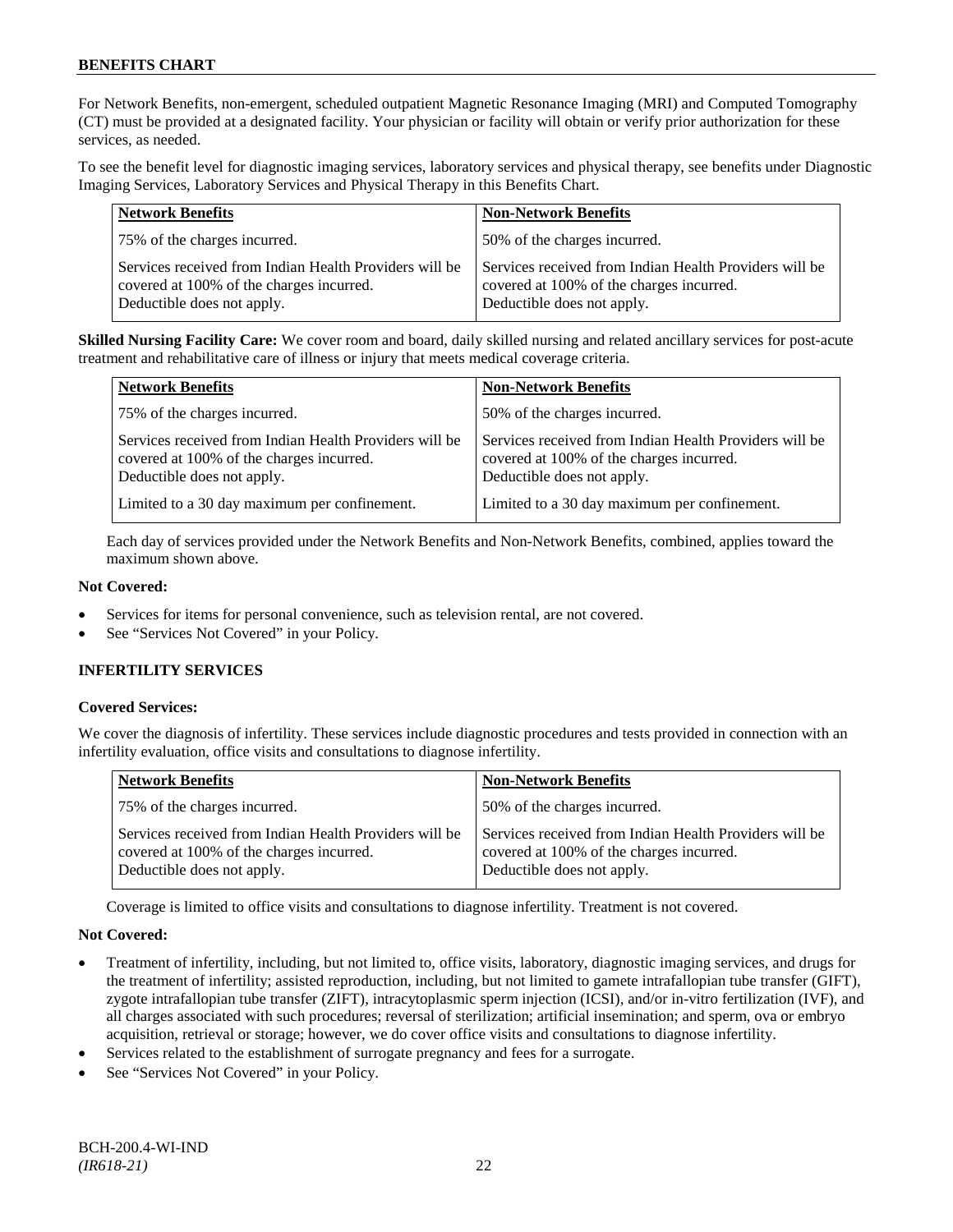For Network Benefits, non-emergent, scheduled outpatient Magnetic Resonance Imaging (MRI) and Computed Tomography (CT) must be provided at a designated facility. Your physician or facility will obtain or verify prior authorization for these services, as needed.

To see the benefit level for diagnostic imaging services, laboratory services and physical therapy, see benefits under Diagnostic Imaging Services, Laboratory Services and Physical Therapy in this Benefits Chart.

| <b>Network Benefits</b>                                                                                                          | <b>Non-Network Benefits</b>                                                                                                      |
|----------------------------------------------------------------------------------------------------------------------------------|----------------------------------------------------------------------------------------------------------------------------------|
| 75% of the charges incurred.                                                                                                     | 50% of the charges incurred.                                                                                                     |
| Services received from Indian Health Providers will be<br>covered at 100% of the charges incurred.<br>Deductible does not apply. | Services received from Indian Health Providers will be<br>covered at 100% of the charges incurred.<br>Deductible does not apply. |

**Skilled Nursing Facility Care:** We cover room and board, daily skilled nursing and related ancillary services for post-acute treatment and rehabilitative care of illness or injury that meets medical coverage criteria.

| <b>Non-Network Benefits</b><br><b>Network Benefits</b>                                                                           |                                                                                                                                  |
|----------------------------------------------------------------------------------------------------------------------------------|----------------------------------------------------------------------------------------------------------------------------------|
| 75% of the charges incurred.                                                                                                     | 50% of the charges incurred.                                                                                                     |
| Services received from Indian Health Providers will be<br>covered at 100% of the charges incurred.<br>Deductible does not apply. | Services received from Indian Health Providers will be<br>covered at 100% of the charges incurred.<br>Deductible does not apply. |
| Limited to a 30 day maximum per confinement.<br>Limited to a 30 day maximum per confinement.                                     |                                                                                                                                  |

Each day of services provided under the Network Benefits and Non-Network Benefits, combined, applies toward the maximum shown above.

## **Not Covered:**

- Services for items for personal convenience, such as television rental, are not covered.
- See "Services Not Covered" in your Policy.

## **INFERTILITY SERVICES**

## **Covered Services:**

We cover the diagnosis of infertility. These services include diagnostic procedures and tests provided in connection with an infertility evaluation, office visits and consultations to diagnose infertility.

| <b>Network Benefits</b>                                                                                                          | <b>Non-Network Benefits</b>                                                                                                      |
|----------------------------------------------------------------------------------------------------------------------------------|----------------------------------------------------------------------------------------------------------------------------------|
| 75% of the charges incurred.                                                                                                     | 50% of the charges incurred.                                                                                                     |
| Services received from Indian Health Providers will be<br>covered at 100% of the charges incurred.<br>Deductible does not apply. | Services received from Indian Health Providers will be<br>covered at 100% of the charges incurred.<br>Deductible does not apply. |

Coverage is limited to office visits and consultations to diagnose infertility. Treatment is not covered.

- Treatment of infertility, including, but not limited to, office visits, laboratory, diagnostic imaging services, and drugs for the treatment of infertility; assisted reproduction, including, but not limited to gamete intrafallopian tube transfer (GIFT), zygote intrafallopian tube transfer (ZIFT), intracytoplasmic sperm injection (ICSI), and/or in-vitro fertilization (IVF), and all charges associated with such procedures; reversal of sterilization; artificial insemination; and sperm, ova or embryo acquisition, retrieval or storage; however, we do cover office visits and consultations to diagnose infertility.
- Services related to the establishment of surrogate pregnancy and fees for a surrogate.
- See "Services Not Covered" in your Policy.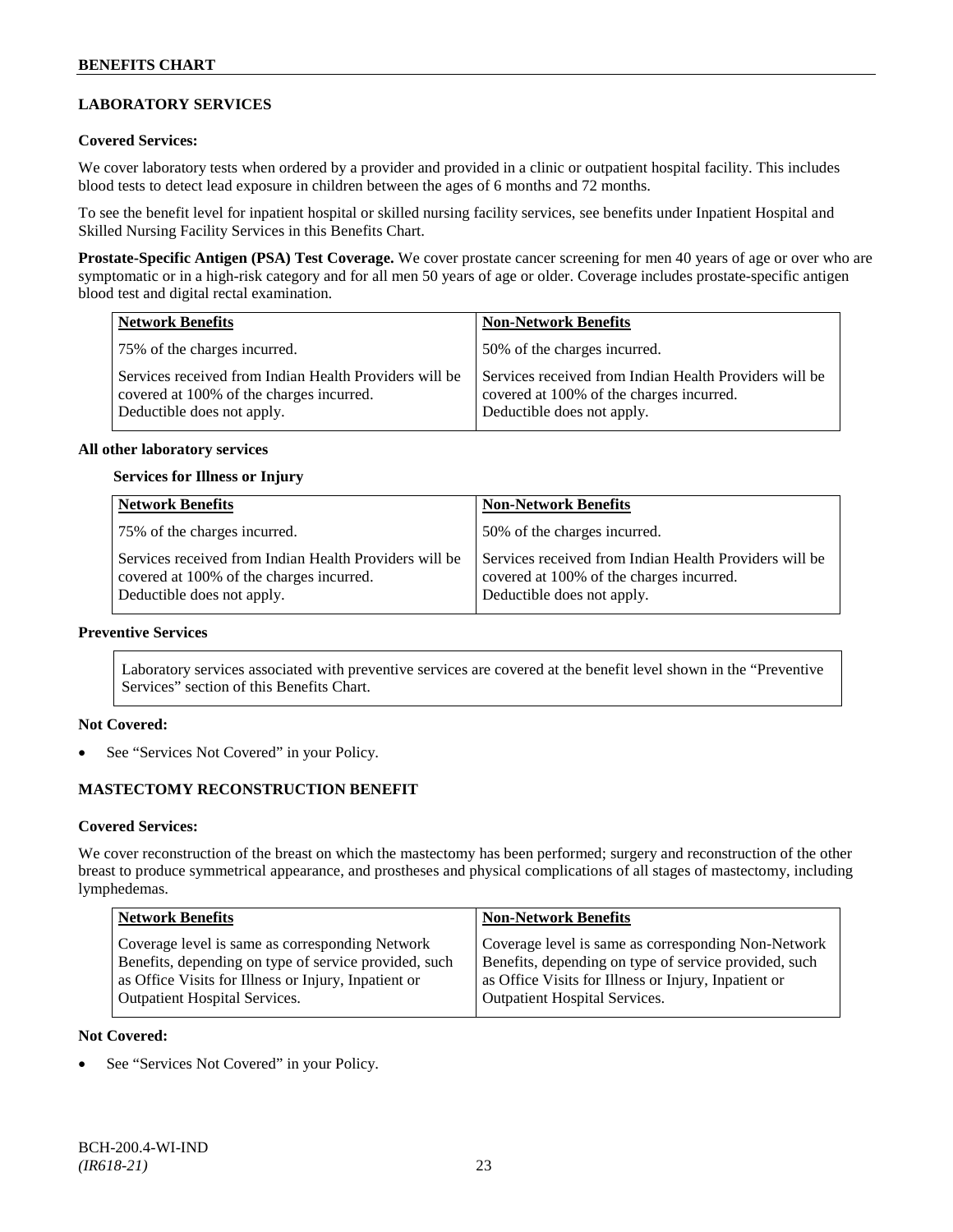## **LABORATORY SERVICES**

### **Covered Services:**

We cover laboratory tests when ordered by a provider and provided in a clinic or outpatient hospital facility. This includes blood tests to detect lead exposure in children between the ages of 6 months and 72 months.

To see the benefit level for inpatient hospital or skilled nursing facility services, see benefits under Inpatient Hospital and Skilled Nursing Facility Services in this Benefits Chart.

**Prostate-Specific Antigen (PSA) Test Coverage.** We cover prostate cancer screening for men 40 years of age or over who are symptomatic or in a high-risk category and for all men 50 years of age or older. Coverage includes prostate-specific antigen blood test and digital rectal examination.

| <b>Network Benefits</b><br><b>Non-Network Benefits</b>                                                                           |                                                                                                                                  |
|----------------------------------------------------------------------------------------------------------------------------------|----------------------------------------------------------------------------------------------------------------------------------|
| 75% of the charges incurred.                                                                                                     | 50% of the charges incurred.                                                                                                     |
| Services received from Indian Health Providers will be<br>covered at 100% of the charges incurred.<br>Deductible does not apply. | Services received from Indian Health Providers will be<br>covered at 100% of the charges incurred.<br>Deductible does not apply. |

#### **All other laboratory services**

#### **Services for Illness or Injury**

| <b>Network Benefits</b>                                                                                                          | <b>Non-Network Benefits</b>                                                                                                      |
|----------------------------------------------------------------------------------------------------------------------------------|----------------------------------------------------------------------------------------------------------------------------------|
| 75% of the charges incurred.                                                                                                     | 50% of the charges incurred.                                                                                                     |
| Services received from Indian Health Providers will be<br>covered at 100% of the charges incurred.<br>Deductible does not apply. | Services received from Indian Health Providers will be<br>covered at 100% of the charges incurred.<br>Deductible does not apply. |

## **Preventive Services**

Laboratory services associated with preventive services are covered at the benefit level shown in the "Preventive Services" section of this Benefits Chart.

#### **Not Covered:**

See "Services Not Covered" in your Policy.

## **MASTECTOMY RECONSTRUCTION BENEFIT**

#### **Covered Services:**

We cover reconstruction of the breast on which the mastectomy has been performed; surgery and reconstruction of the other breast to produce symmetrical appearance, and prostheses and physical complications of all stages of mastectomy, including lymphedemas.

| <b>Network Benefits</b>                               | <b>Non-Network Benefits</b>                           |
|-------------------------------------------------------|-------------------------------------------------------|
| Coverage level is same as corresponding Network       | Coverage level is same as corresponding Non-Network   |
| Benefits, depending on type of service provided, such | Benefits, depending on type of service provided, such |
| as Office Visits for Illness or Injury, Inpatient or  | as Office Visits for Illness or Injury, Inpatient or  |
| <b>Outpatient Hospital Services.</b>                  | <b>Outpatient Hospital Services.</b>                  |

#### **Not Covered:**

See "Services Not Covered" in your Policy.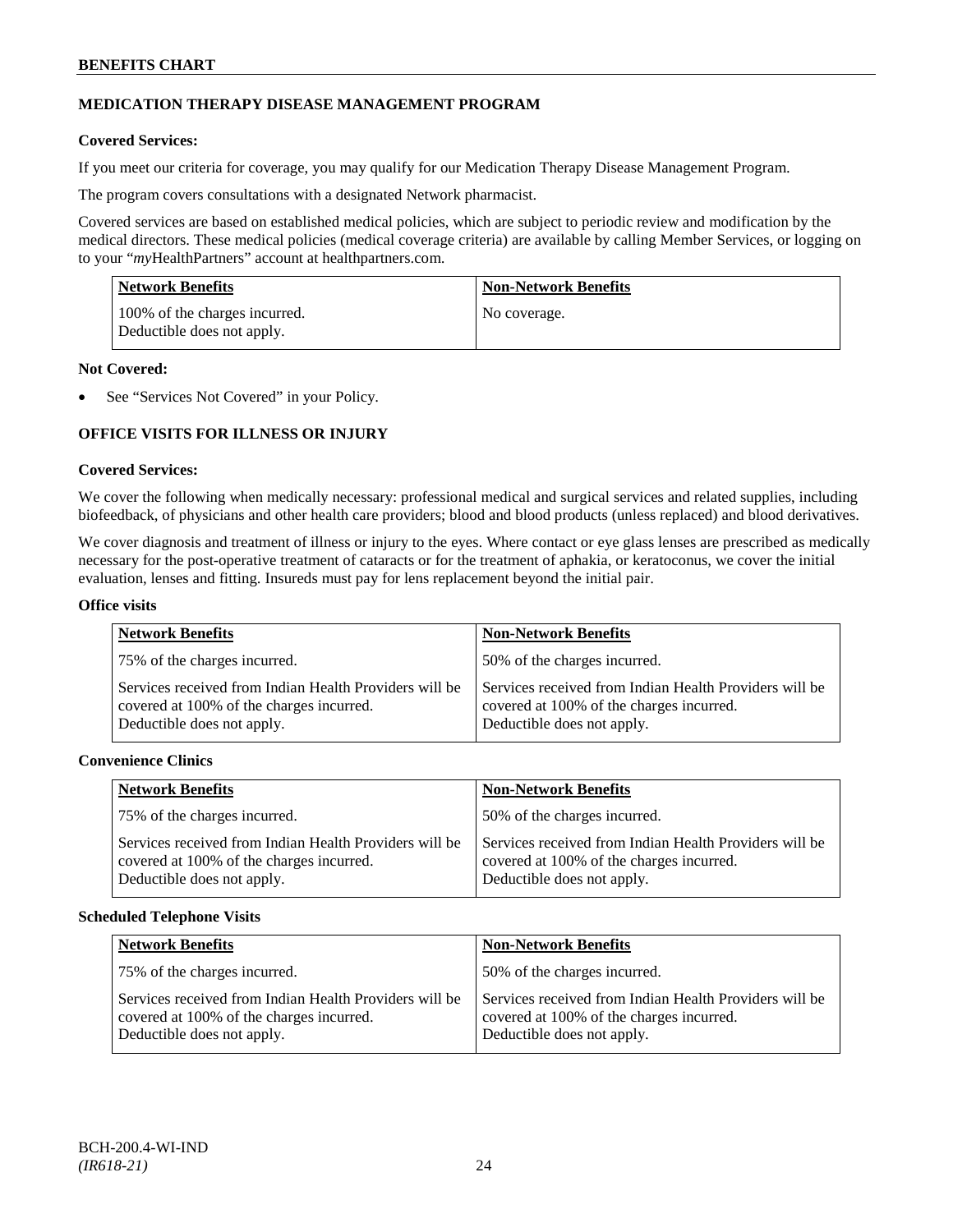## **MEDICATION THERAPY DISEASE MANAGEMENT PROGRAM**

## **Covered Services:**

If you meet our criteria for coverage, you may qualify for our Medication Therapy Disease Management Program.

The program covers consultations with a designated Network pharmacist.

Covered services are based on established medical policies, which are subject to periodic review and modification by the medical directors. These medical policies (medical coverage criteria) are available by calling Member Services, or logging on to your "*my*HealthPartners" account at [healthpartners.com.](http://www.healthpartners.com/)

| <b>Network Benefits</b>                                     | <b>Non-Network Benefits</b> |
|-------------------------------------------------------------|-----------------------------|
| 100% of the charges incurred.<br>Deductible does not apply. | No coverage.                |

#### **Not Covered:**

See "Services Not Covered" in your Policy.

## **OFFICE VISITS FOR ILLNESS OR INJURY**

#### **Covered Services:**

We cover the following when medically necessary: professional medical and surgical services and related supplies, including biofeedback, of physicians and other health care providers; blood and blood products (unless replaced) and blood derivatives.

We cover diagnosis and treatment of illness or injury to the eyes. Where contact or eye glass lenses are prescribed as medically necessary for the post-operative treatment of cataracts or for the treatment of aphakia, or keratoconus, we cover the initial evaluation, lenses and fitting. Insureds must pay for lens replacement beyond the initial pair.

#### **Office visits**

| <b>Network Benefits</b><br><b>Non-Network Benefits</b>                                                                           |                                                                                                                                  |
|----------------------------------------------------------------------------------------------------------------------------------|----------------------------------------------------------------------------------------------------------------------------------|
| 75% of the charges incurred.                                                                                                     | 50% of the charges incurred.                                                                                                     |
| Services received from Indian Health Providers will be<br>covered at 100% of the charges incurred.<br>Deductible does not apply. | Services received from Indian Health Providers will be<br>covered at 100% of the charges incurred.<br>Deductible does not apply. |

## **Convenience Clinics**

| <b>Non-Network Benefits</b><br><b>Network Benefits</b>                                                                           |                                                                                                                                  |
|----------------------------------------------------------------------------------------------------------------------------------|----------------------------------------------------------------------------------------------------------------------------------|
| 50% of the charges incurred.<br>75% of the charges incurred.                                                                     |                                                                                                                                  |
| Services received from Indian Health Providers will be<br>covered at 100% of the charges incurred.<br>Deductible does not apply. | Services received from Indian Health Providers will be<br>covered at 100% of the charges incurred.<br>Deductible does not apply. |

#### **Scheduled Telephone Visits**

| <b>Network Benefits</b><br><b>Non-Network Benefits</b>                                                                           |                                                                                                                                  |
|----------------------------------------------------------------------------------------------------------------------------------|----------------------------------------------------------------------------------------------------------------------------------|
| 75% of the charges incurred.<br>50% of the charges incurred.                                                                     |                                                                                                                                  |
| Services received from Indian Health Providers will be<br>covered at 100% of the charges incurred.<br>Deductible does not apply. | Services received from Indian Health Providers will be<br>covered at 100% of the charges incurred.<br>Deductible does not apply. |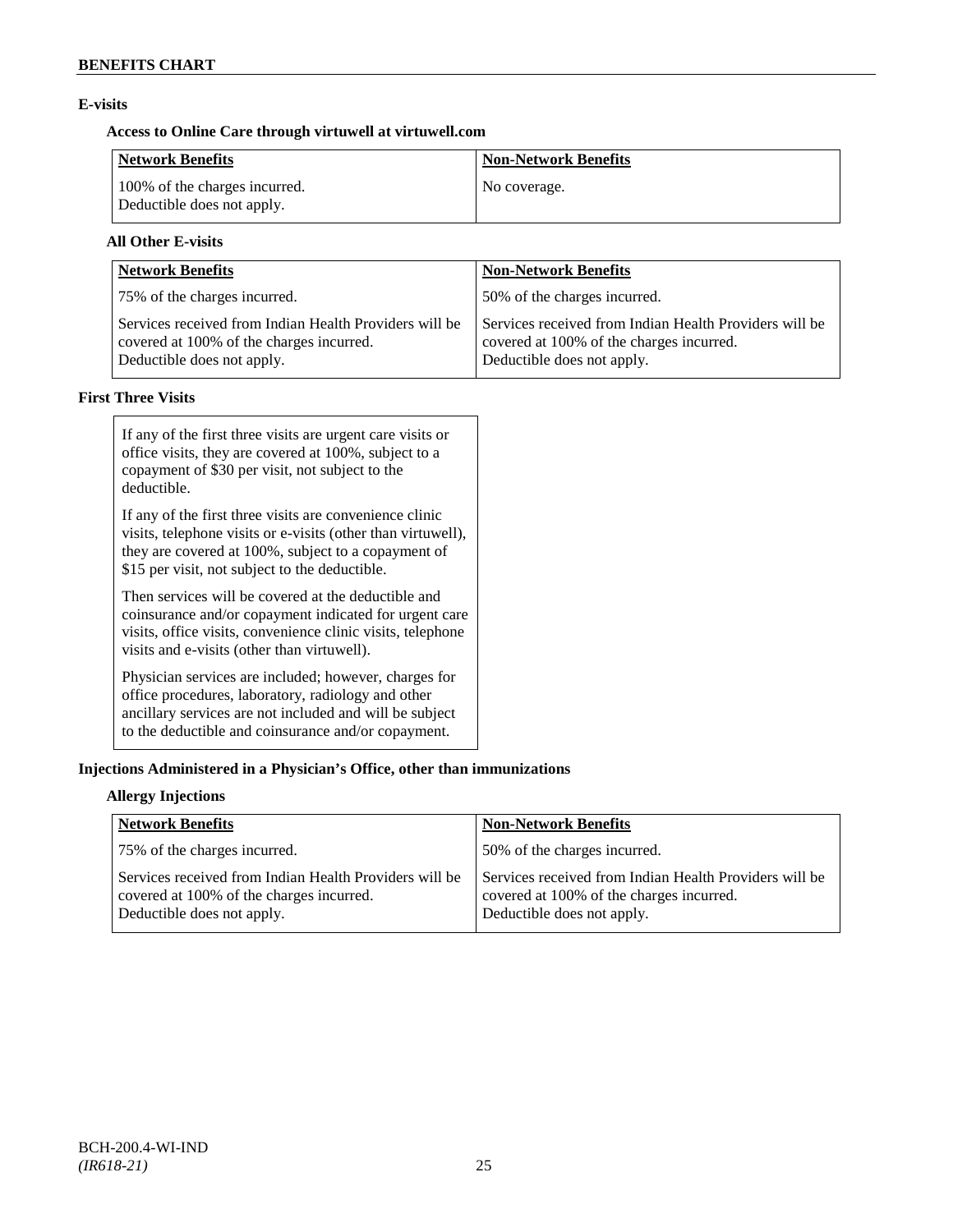## **E-visits**

## **Access to Online Care through virtuwell a[t virtuwell.com](http://www.virtuwell.com/)**

| Network Benefits                                            | <b>Non-Network Benefits</b> |
|-------------------------------------------------------------|-----------------------------|
| 100% of the charges incurred.<br>Deductible does not apply. | No coverage.                |

## **All Other E-visits**

| <b>Network Benefits</b><br><b>Non-Network Benefits</b>                                                                           |                                                                                                                                  |
|----------------------------------------------------------------------------------------------------------------------------------|----------------------------------------------------------------------------------------------------------------------------------|
| 75% of the charges incurred.                                                                                                     | 50% of the charges incurred.                                                                                                     |
| Services received from Indian Health Providers will be<br>covered at 100% of the charges incurred.<br>Deductible does not apply. | Services received from Indian Health Providers will be<br>covered at 100% of the charges incurred.<br>Deductible does not apply. |

## **First Three Visits**

| If any of the first three visits are urgent care visits or<br>office visits, they are covered at 100%, subject to a<br>copayment of \$30 per visit, not subject to the<br>deductible.                                            |
|----------------------------------------------------------------------------------------------------------------------------------------------------------------------------------------------------------------------------------|
| If any of the first three visits are convenience clinic<br>visits, telephone visits or e-visits (other than virtuwell),<br>they are covered at 100%, subject to a copayment of<br>\$15 per visit, not subject to the deductible. |
| Then services will be covered at the deductible and<br>coinsurance and/or copayment indicated for urgent care<br>visits, office visits, convenience clinic visits, telephone<br>visits and e-visits (other than virtuwell).      |
| Physician services are included; however, charges for<br>office procedures, laboratory, radiology and other<br>ancillary services are not included and will be subject<br>to the deductible and coinsurance and/or copayment.    |

## **Injections Administered in a Physician's Office, other than immunizations**

## **Allergy Injections**

| <b>Network Benefits</b>                                                                                                          | <b>Non-Network Benefits</b>                                                                                                      |
|----------------------------------------------------------------------------------------------------------------------------------|----------------------------------------------------------------------------------------------------------------------------------|
| 75% of the charges incurred.                                                                                                     | 50% of the charges incurred.                                                                                                     |
| Services received from Indian Health Providers will be<br>covered at 100% of the charges incurred.<br>Deductible does not apply. | Services received from Indian Health Providers will be<br>covered at 100% of the charges incurred.<br>Deductible does not apply. |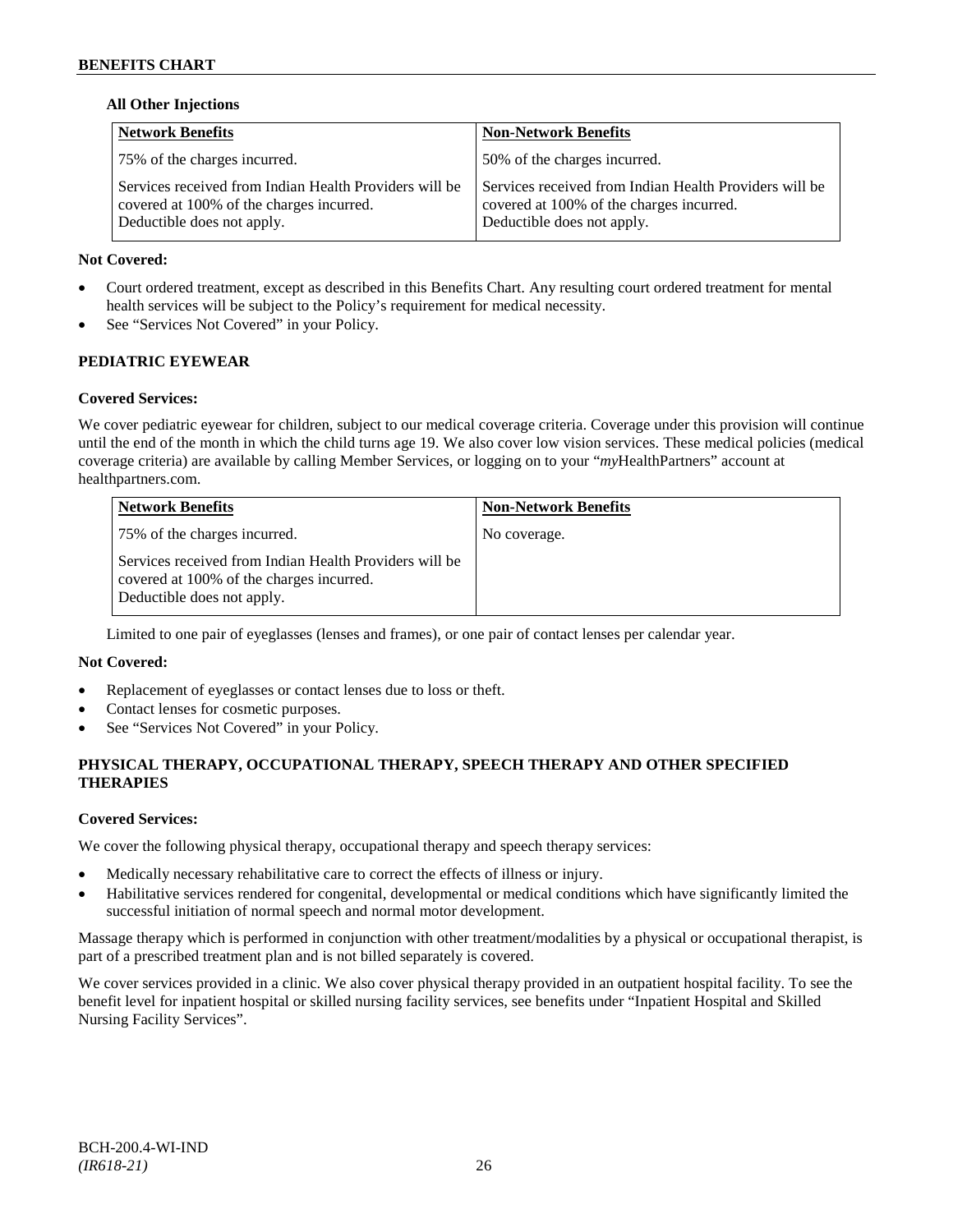## **All Other Injections**

| <b>Network Benefits</b>                                                                                                          | <b>Non-Network Benefits</b>                                                                                                      |
|----------------------------------------------------------------------------------------------------------------------------------|----------------------------------------------------------------------------------------------------------------------------------|
| 75% of the charges incurred.                                                                                                     | 50% of the charges incurred.                                                                                                     |
| Services received from Indian Health Providers will be<br>covered at 100% of the charges incurred.<br>Deductible does not apply. | Services received from Indian Health Providers will be<br>covered at 100% of the charges incurred.<br>Deductible does not apply. |

### **Not Covered:**

- Court ordered treatment, except as described in this Benefits Chart. Any resulting court ordered treatment for mental health services will be subject to the Policy's requirement for medical necessity.
- See "Services Not Covered" in your Policy.

## **PEDIATRIC EYEWEAR**

#### **Covered Services:**

We cover pediatric eyewear for children, subject to our medical coverage criteria. Coverage under this provision will continue until the end of the month in which the child turns age 19. We also cover low vision services. These medical policies (medical coverage criteria) are available by calling Member Services, or logging on to your "*my*HealthPartners" account at [healthpartners.com.](http://www.healthpartners.com/)

| <b>Network Benefits</b>                                                                                                          | <b>Non-Network Benefits</b> |
|----------------------------------------------------------------------------------------------------------------------------------|-----------------------------|
| 75% of the charges incurred.                                                                                                     | No coverage.                |
| Services received from Indian Health Providers will be<br>covered at 100% of the charges incurred.<br>Deductible does not apply. |                             |

Limited to one pair of eyeglasses (lenses and frames), or one pair of contact lenses per calendar year.

#### **Not Covered:**

- Replacement of eyeglasses or contact lenses due to loss or theft.
- Contact lenses for cosmetic purposes.
- See "Services Not Covered" in your Policy.

## **PHYSICAL THERAPY, OCCUPATIONAL THERAPY, SPEECH THERAPY AND OTHER SPECIFIED THERAPIES**

#### **Covered Services:**

We cover the following physical therapy, occupational therapy and speech therapy services:

- Medically necessary rehabilitative care to correct the effects of illness or injury.
- Habilitative services rendered for congenital, developmental or medical conditions which have significantly limited the successful initiation of normal speech and normal motor development.

Massage therapy which is performed in conjunction with other treatment/modalities by a physical or occupational therapist, is part of a prescribed treatment plan and is not billed separately is covered.

We cover services provided in a clinic. We also cover physical therapy provided in an outpatient hospital facility. To see the benefit level for inpatient hospital or skilled nursing facility services, see benefits under "Inpatient Hospital and Skilled Nursing Facility Services".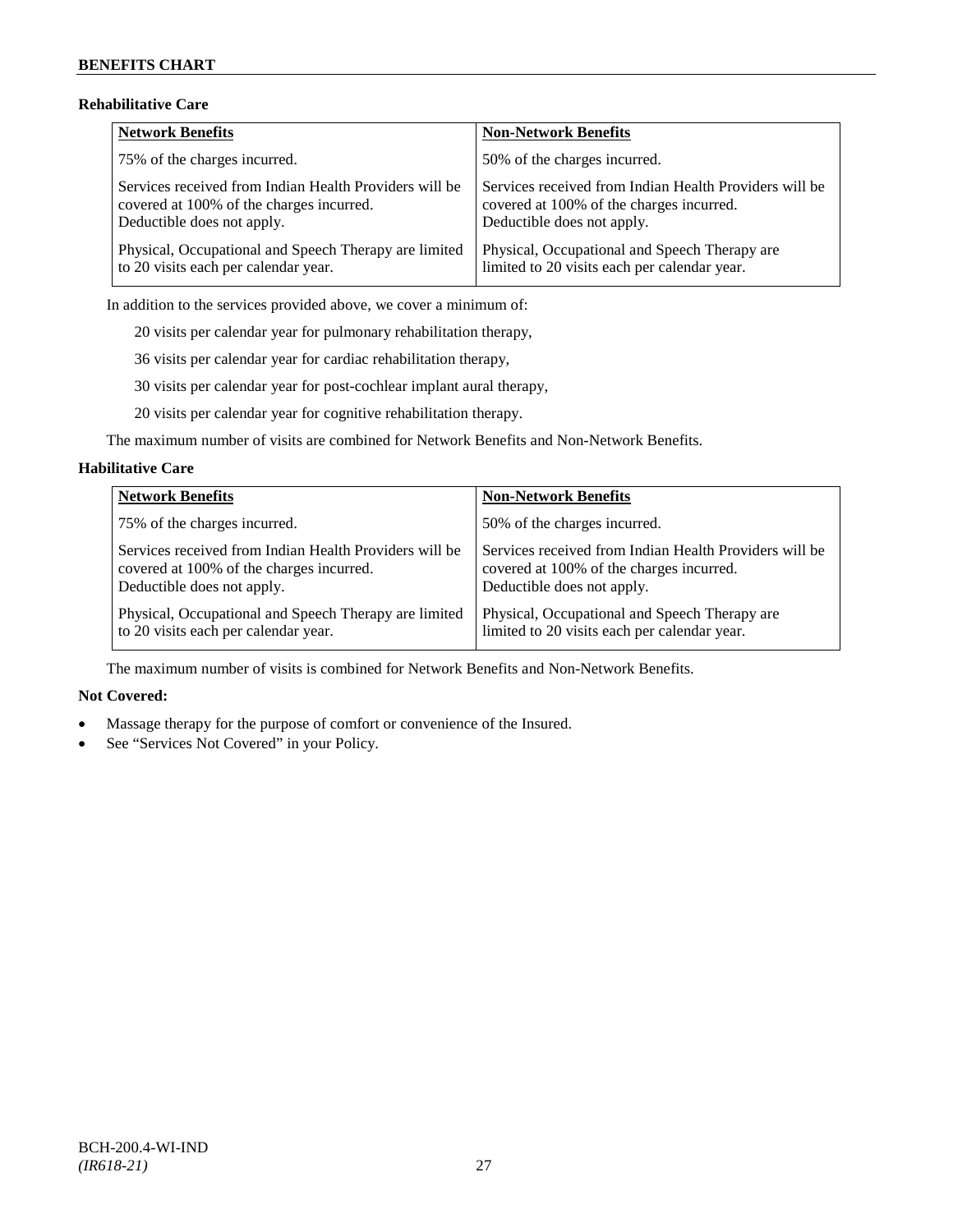## **Rehabilitative Care**

| Network Benefits                                       | <b>Non-Network Benefits</b>                            |
|--------------------------------------------------------|--------------------------------------------------------|
| 75% of the charges incurred.                           | 50% of the charges incurred.                           |
| Services received from Indian Health Providers will be | Services received from Indian Health Providers will be |
| covered at 100% of the charges incurred.               | covered at 100% of the charges incurred.               |
| Deductible does not apply.                             | Deductible does not apply.                             |
| Physical, Occupational and Speech Therapy are limited  | Physical, Occupational and Speech Therapy are          |
| to 20 visits each per calendar year.                   | limited to 20 visits each per calendar year.           |

In addition to the services provided above, we cover a minimum of:

20 visits per calendar year for pulmonary rehabilitation therapy,

36 visits per calendar year for cardiac rehabilitation therapy,

30 visits per calendar year for post-cochlear implant aural therapy,

20 visits per calendar year for cognitive rehabilitation therapy.

The maximum number of visits are combined for Network Benefits and Non-Network Benefits.

#### **Habilitative Care**

| <b>Network Benefits</b>                                | <b>Non-Network Benefits</b>                            |
|--------------------------------------------------------|--------------------------------------------------------|
| 75% of the charges incurred.                           | 50% of the charges incurred.                           |
| Services received from Indian Health Providers will be | Services received from Indian Health Providers will be |
| covered at 100% of the charges incurred.               | covered at 100% of the charges incurred.               |
| Deductible does not apply.                             | Deductible does not apply.                             |
| Physical, Occupational and Speech Therapy are limited  | Physical, Occupational and Speech Therapy are          |
| to 20 visits each per calendar year.                   | limited to 20 visits each per calendar year.           |

The maximum number of visits is combined for Network Benefits and Non-Network Benefits.

- Massage therapy for the purpose of comfort or convenience of the Insured.
- See "Services Not Covered" in your Policy.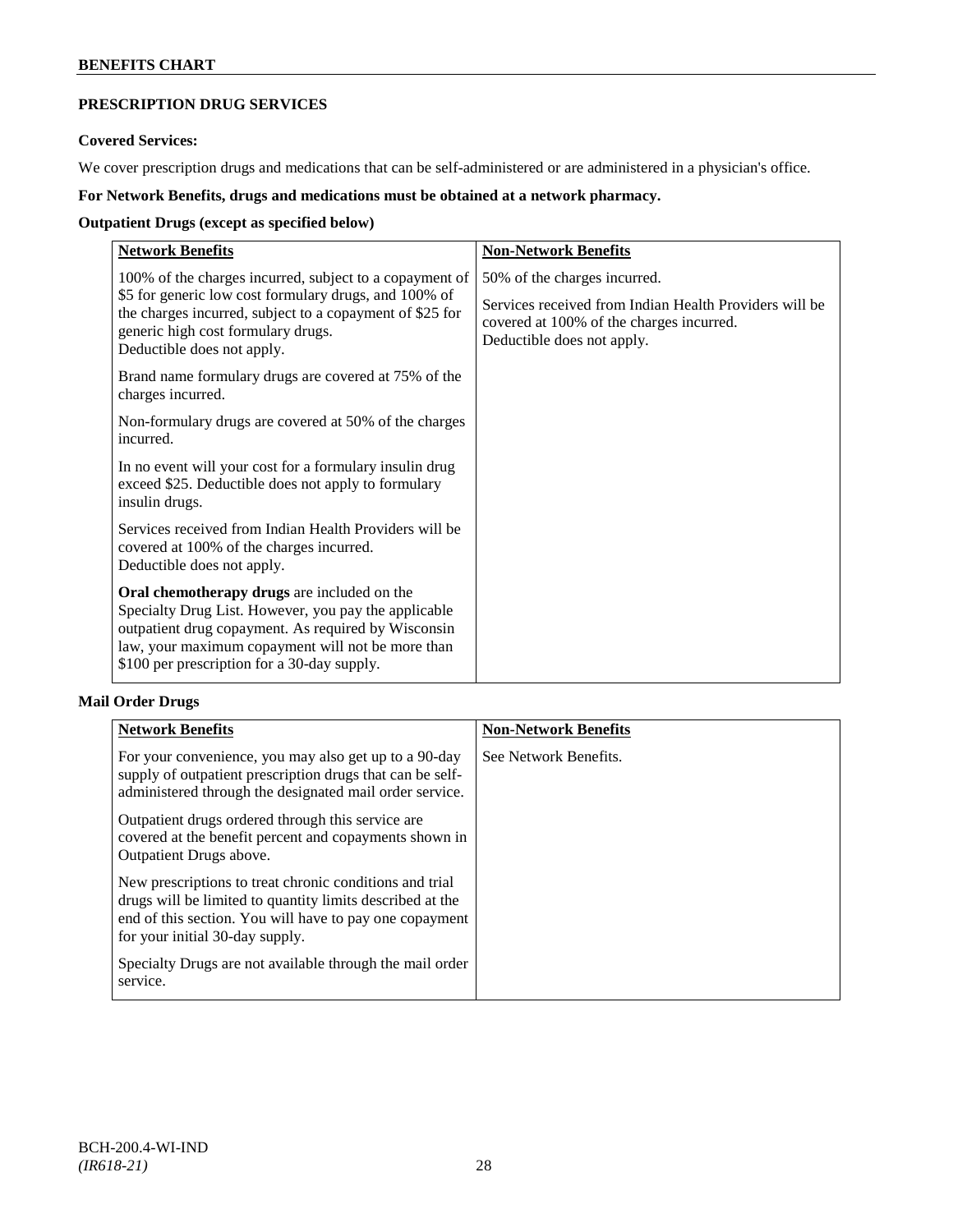## **BENEFITS CHART**

## **PRESCRIPTION DRUG SERVICES**

## **Covered Services:**

We cover prescription drugs and medications that can be self-administered or are administered in a physician's office.

## **For Network Benefits, drugs and medications must be obtained at a network pharmacy.**

## **Outpatient Drugs (except as specified below)**

| <b>Network Benefits</b>                                                                                                                                                                                                                                        | <b>Non-Network Benefits</b>                                                                                                                                      |
|----------------------------------------------------------------------------------------------------------------------------------------------------------------------------------------------------------------------------------------------------------------|------------------------------------------------------------------------------------------------------------------------------------------------------------------|
| 100% of the charges incurred, subject to a copayment of<br>\$5 for generic low cost formulary drugs, and 100% of<br>the charges incurred, subject to a copayment of \$25 for<br>generic high cost formulary drugs.<br>Deductible does not apply.               | 50% of the charges incurred.<br>Services received from Indian Health Providers will be<br>covered at 100% of the charges incurred.<br>Deductible does not apply. |
| Brand name formulary drugs are covered at 75% of the<br>charges incurred.                                                                                                                                                                                      |                                                                                                                                                                  |
| Non-formulary drugs are covered at 50% of the charges<br>incurred.                                                                                                                                                                                             |                                                                                                                                                                  |
| In no event will your cost for a formulary insulin drug<br>exceed \$25. Deductible does not apply to formulary<br>insulin drugs.                                                                                                                               |                                                                                                                                                                  |
| Services received from Indian Health Providers will be<br>covered at 100% of the charges incurred.<br>Deductible does not apply.                                                                                                                               |                                                                                                                                                                  |
| Oral chemotherapy drugs are included on the<br>Specialty Drug List. However, you pay the applicable<br>outpatient drug copayment. As required by Wisconsin<br>law, your maximum copayment will not be more than<br>\$100 per prescription for a 30-day supply. |                                                                                                                                                                  |

## **Mail Order Drugs**

| <b>Network Benefits</b>                                                                                                                                                                                            | <b>Non-Network Benefits</b> |
|--------------------------------------------------------------------------------------------------------------------------------------------------------------------------------------------------------------------|-----------------------------|
| For your convenience, you may also get up to a 90-day<br>supply of outpatient prescription drugs that can be self-<br>administered through the designated mail order service.                                      | See Network Benefits.       |
| Outpatient drugs ordered through this service are<br>covered at the benefit percent and copayments shown in<br>Outpatient Drugs above.                                                                             |                             |
| New prescriptions to treat chronic conditions and trial<br>drugs will be limited to quantity limits described at the<br>end of this section. You will have to pay one copayment<br>for your initial 30-day supply. |                             |
| Specialty Drugs are not available through the mail order<br>service.                                                                                                                                               |                             |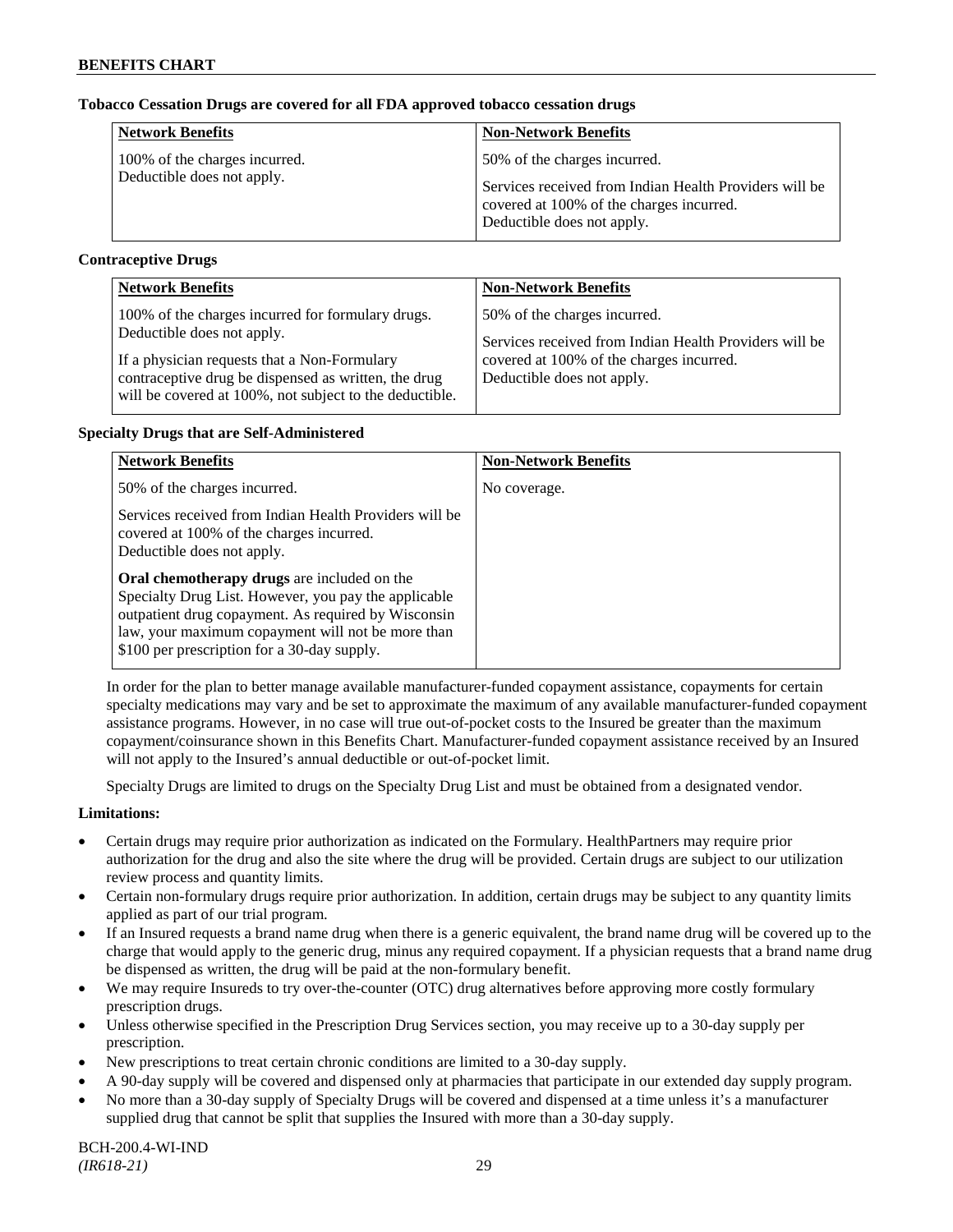## **Tobacco Cessation Drugs are covered for all FDA approved tobacco cessation drugs**

| <b>Network Benefits</b>       | <b>Non-Network Benefits</b>                                                                                                      |
|-------------------------------|----------------------------------------------------------------------------------------------------------------------------------|
| 100% of the charges incurred. | 50% of the charges incurred.                                                                                                     |
| Deductible does not apply.    | Services received from Indian Health Providers will be<br>covered at 100% of the charges incurred.<br>Deductible does not apply. |

## **Contraceptive Drugs**

| <b>Network Benefits</b>                                 | <b>Non-Network Benefits</b>                            |
|---------------------------------------------------------|--------------------------------------------------------|
| 100% of the charges incurred for formulary drugs.       | 50% of the charges incurred.                           |
| Deductible does not apply.                              | Services received from Indian Health Providers will be |
| If a physician requests that a Non-Formulary            | covered at 100% of the charges incurred.               |
| contraceptive drug be dispensed as written, the drug    | Deductible does not apply.                             |
| will be covered at 100%, not subject to the deductible. |                                                        |

## **Specialty Drugs that are Self-Administered**

| <b>Network Benefits</b>                                                                                                                                                                                                                                        | <b>Non-Network Benefits</b> |
|----------------------------------------------------------------------------------------------------------------------------------------------------------------------------------------------------------------------------------------------------------------|-----------------------------|
| 50% of the charges incurred.                                                                                                                                                                                                                                   | No coverage.                |
| Services received from Indian Health Providers will be<br>covered at 100% of the charges incurred.<br>Deductible does not apply.                                                                                                                               |                             |
| Oral chemotherapy drugs are included on the<br>Specialty Drug List. However, you pay the applicable<br>outpatient drug copayment. As required by Wisconsin<br>law, your maximum copayment will not be more than<br>\$100 per prescription for a 30-day supply. |                             |

In order for the plan to better manage available manufacturer-funded copayment assistance, copayments for certain specialty medications may vary and be set to approximate the maximum of any available manufacturer-funded copayment assistance programs. However, in no case will true out-of-pocket costs to the Insured be greater than the maximum copayment/coinsurance shown in this Benefits Chart. Manufacturer-funded copayment assistance received by an Insured will not apply to the Insured's annual deductible or out-of-pocket limit.

Specialty Drugs are limited to drugs on the Specialty Drug List and must be obtained from a designated vendor.

## **Limitations:**

- Certain drugs may require prior authorization as indicated on the Formulary. HealthPartners may require prior authorization for the drug and also the site where the drug will be provided. Certain drugs are subject to our utilization review process and quantity limits.
- Certain non-formulary drugs require prior authorization. In addition, certain drugs may be subject to any quantity limits applied as part of our trial program.
- If an Insured requests a brand name drug when there is a generic equivalent, the brand name drug will be covered up to the charge that would apply to the generic drug, minus any required copayment. If a physician requests that a brand name drug be dispensed as written, the drug will be paid at the non-formulary benefit.
- We may require Insureds to try over-the-counter (OTC) drug alternatives before approving more costly formulary prescription drugs.
- Unless otherwise specified in the Prescription Drug Services section, you may receive up to a 30-day supply per prescription.
- New prescriptions to treat certain chronic conditions are limited to a 30-day supply.
- A 90-day supply will be covered and dispensed only at pharmacies that participate in our extended day supply program.
- No more than a 30-day supply of Specialty Drugs will be covered and dispensed at a time unless it's a manufacturer supplied drug that cannot be split that supplies the Insured with more than a 30-day supply.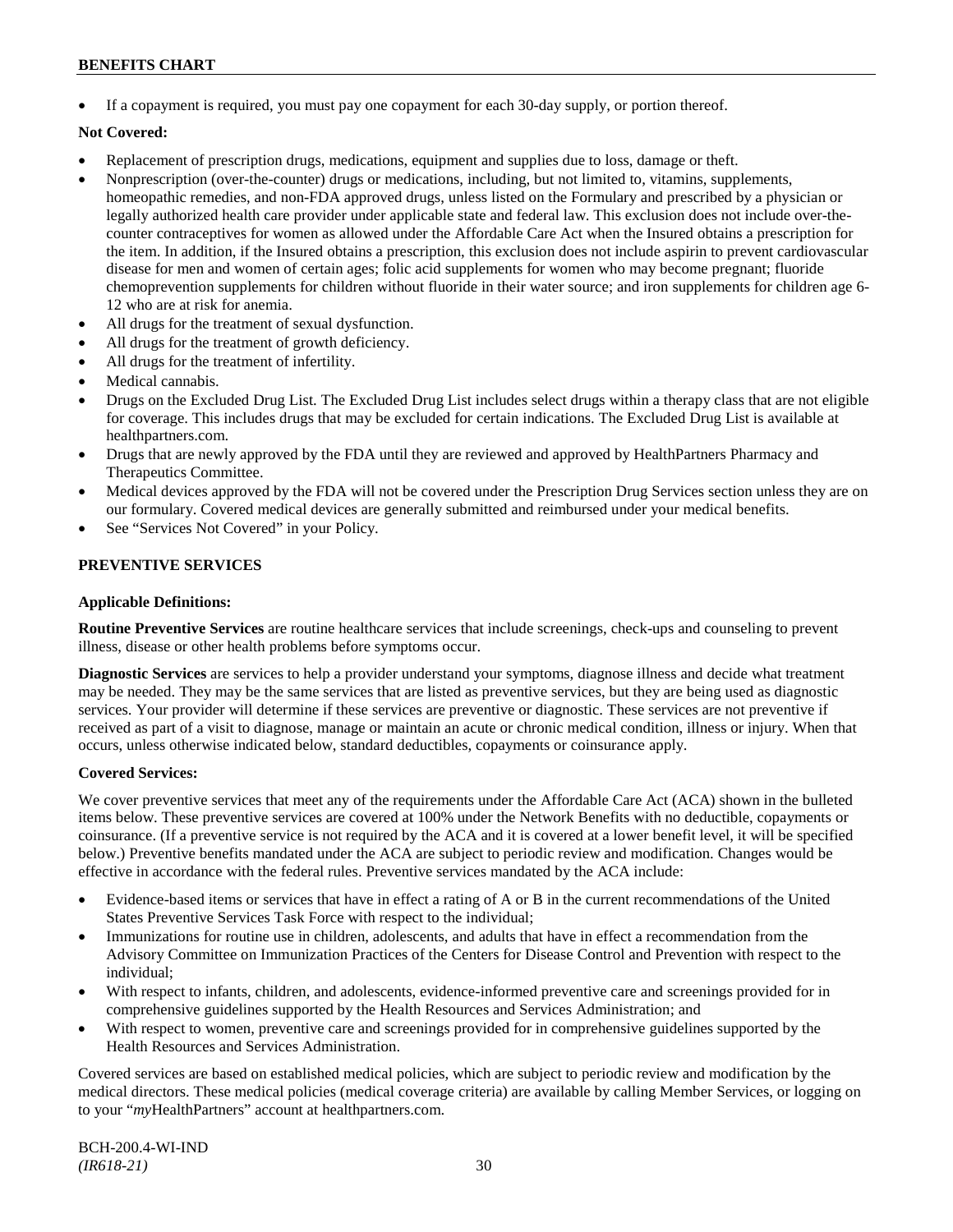## **BENEFITS CHART**

• If a copayment is required, you must pay one copayment for each 30-day supply, or portion thereof.

## **Not Covered:**

- Replacement of prescription drugs, medications, equipment and supplies due to loss, damage or theft.
- Nonprescription (over-the-counter) drugs or medications, including, but not limited to, vitamins, supplements, homeopathic remedies, and non-FDA approved drugs, unless listed on the Formulary and prescribed by a physician or legally authorized health care provider under applicable state and federal law. This exclusion does not include over-thecounter contraceptives for women as allowed under the Affordable Care Act when the Insured obtains a prescription for the item. In addition, if the Insured obtains a prescription, this exclusion does not include aspirin to prevent cardiovascular disease for men and women of certain ages; folic acid supplements for women who may become pregnant; fluoride chemoprevention supplements for children without fluoride in their water source; and iron supplements for children age 6- 12 who are at risk for anemia.
- All drugs for the treatment of sexual dysfunction.
- All drugs for the treatment of growth deficiency.
- All drugs for the treatment of infertility.
- Medical cannabis.
- Drugs on the Excluded Drug List. The Excluded Drug List includes select drugs within a therapy class that are not eligible for coverage. This includes drugs that may be excluded for certain indications. The Excluded Drug List is available at [healthpartners.com.](http://www.healthpartners.com/)
- Drugs that are newly approved by the FDA until they are reviewed and approved by HealthPartners Pharmacy and Therapeutics Committee.
- Medical devices approved by the FDA will not be covered under the Prescription Drug Services section unless they are on our formulary. Covered medical devices are generally submitted and reimbursed under your medical benefits.
- See "Services Not Covered" in your Policy.

## **PREVENTIVE SERVICES**

## **Applicable Definitions:**

**Routine Preventive Services** are routine healthcare services that include screenings, check-ups and counseling to prevent illness, disease or other health problems before symptoms occur.

**Diagnostic Services** are services to help a provider understand your symptoms, diagnose illness and decide what treatment may be needed. They may be the same services that are listed as preventive services, but they are being used as diagnostic services. Your provider will determine if these services are preventive or diagnostic. These services are not preventive if received as part of a visit to diagnose, manage or maintain an acute or chronic medical condition, illness or injury. When that occurs, unless otherwise indicated below, standard deductibles, copayments or coinsurance apply.

## **Covered Services:**

We cover preventive services that meet any of the requirements under the Affordable Care Act (ACA) shown in the bulleted items below. These preventive services are covered at 100% under the Network Benefits with no deductible, copayments or coinsurance. (If a preventive service is not required by the ACA and it is covered at a lower benefit level, it will be specified below.) Preventive benefits mandated under the ACA are subject to periodic review and modification. Changes would be effective in accordance with the federal rules. Preventive services mandated by the ACA include:

- Evidence-based items or services that have in effect a rating of A or B in the current recommendations of the United States Preventive Services Task Force with respect to the individual;
- Immunizations for routine use in children, adolescents, and adults that have in effect a recommendation from the Advisory Committee on Immunization Practices of the Centers for Disease Control and Prevention with respect to the individual;
- With respect to infants, children, and adolescents, evidence-informed preventive care and screenings provided for in comprehensive guidelines supported by the Health Resources and Services Administration; and
- With respect to women, preventive care and screenings provided for in comprehensive guidelines supported by the Health Resources and Services Administration.

Covered services are based on established medical policies, which are subject to periodic review and modification by the medical directors. These medical policies (medical coverage criteria) are available by calling Member Services, or logging on to your "*my*HealthPartners" account at [healthpartners.com.](http://www.healthpartners.com/)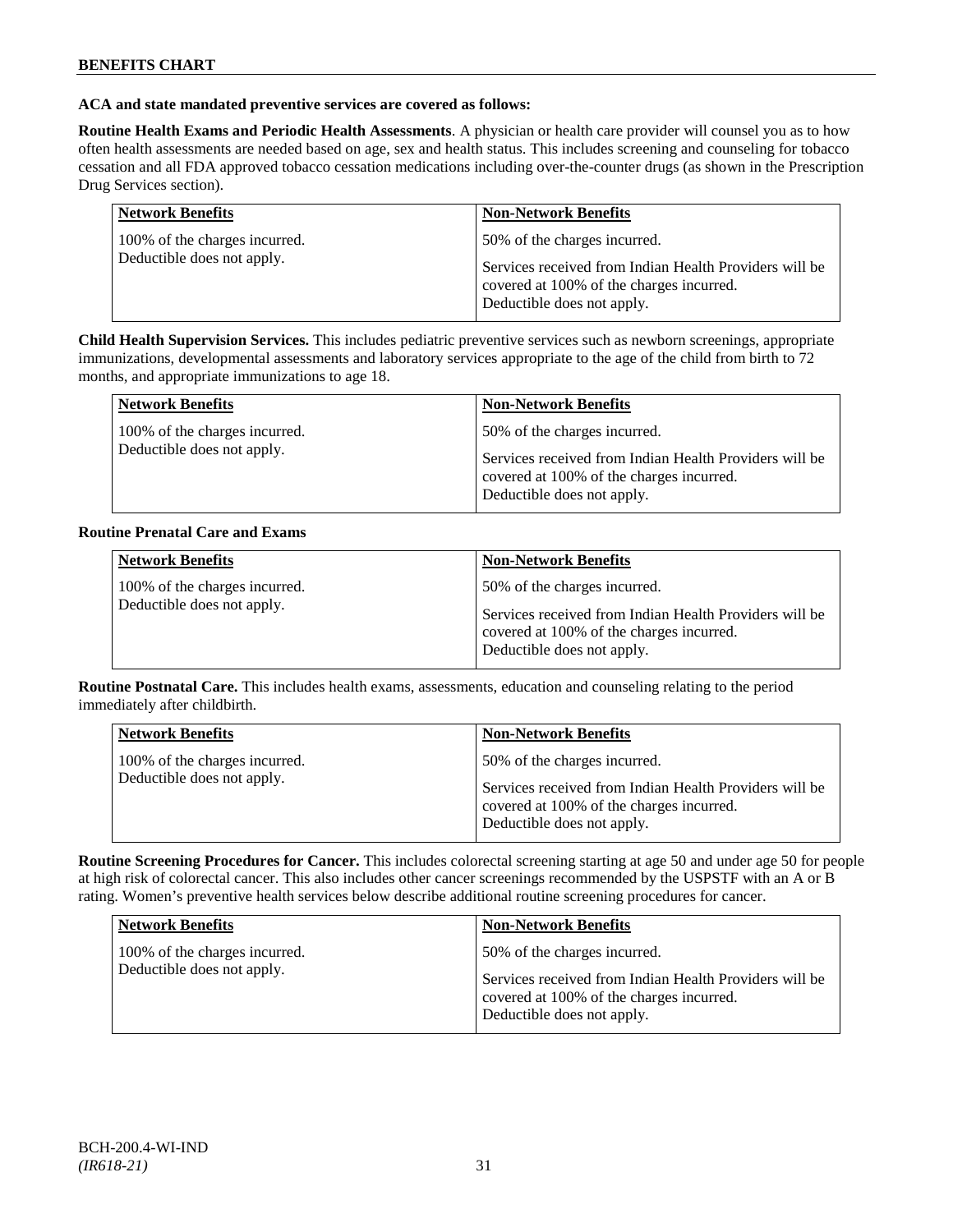### **ACA and state mandated preventive services are covered as follows:**

**Routine Health Exams and Periodic Health Assessments**. A physician or health care provider will counsel you as to how often health assessments are needed based on age, sex and health status. This includes screening and counseling for tobacco cessation and all FDA approved tobacco cessation medications including over-the-counter drugs (as shown in the Prescription Drug Services section).

| <b>Network Benefits</b>       | <b>Non-Network Benefits</b>                                                                                                      |
|-------------------------------|----------------------------------------------------------------------------------------------------------------------------------|
| 100% of the charges incurred. | 50% of the charges incurred.                                                                                                     |
| Deductible does not apply.    | Services received from Indian Health Providers will be<br>covered at 100% of the charges incurred.<br>Deductible does not apply. |

**Child Health Supervision Services.** This includes pediatric preventive services such as newborn screenings, appropriate immunizations, developmental assessments and laboratory services appropriate to the age of the child from birth to 72 months, and appropriate immunizations to age 18.

| <b>Network Benefits</b>                                     | <b>Non-Network Benefits</b>                                                                                                                                      |
|-------------------------------------------------------------|------------------------------------------------------------------------------------------------------------------------------------------------------------------|
| 100% of the charges incurred.<br>Deductible does not apply. | 50% of the charges incurred.<br>Services received from Indian Health Providers will be<br>covered at 100% of the charges incurred.<br>Deductible does not apply. |

## **Routine Prenatal Care and Exams**

| <b>Network Benefits</b>                                     | <b>Non-Network Benefits</b>                                                                                                                                      |
|-------------------------------------------------------------|------------------------------------------------------------------------------------------------------------------------------------------------------------------|
| 100% of the charges incurred.<br>Deductible does not apply. | 50% of the charges incurred.<br>Services received from Indian Health Providers will be<br>covered at 100% of the charges incurred.<br>Deductible does not apply. |

**Routine Postnatal Care.** This includes health exams, assessments, education and counseling relating to the period immediately after childbirth.

| <b>Network Benefits</b>                                     | <b>Non-Network Benefits</b>                                                                                                                                      |
|-------------------------------------------------------------|------------------------------------------------------------------------------------------------------------------------------------------------------------------|
| 100% of the charges incurred.<br>Deductible does not apply. | 50% of the charges incurred.<br>Services received from Indian Health Providers will be<br>covered at 100% of the charges incurred.<br>Deductible does not apply. |

**Routine Screening Procedures for Cancer.** This includes colorectal screening starting at age 50 and under age 50 for people at high risk of colorectal cancer. This also includes other cancer screenings recommended by the USPSTF with an A or B rating. Women's preventive health services below describe additional routine screening procedures for cancer.

| <b>Network Benefits</b>                                     | <b>Non-Network Benefits</b>                                                                                                                                      |
|-------------------------------------------------------------|------------------------------------------------------------------------------------------------------------------------------------------------------------------|
| 100% of the charges incurred.<br>Deductible does not apply. | 50% of the charges incurred.<br>Services received from Indian Health Providers will be<br>covered at 100% of the charges incurred.<br>Deductible does not apply. |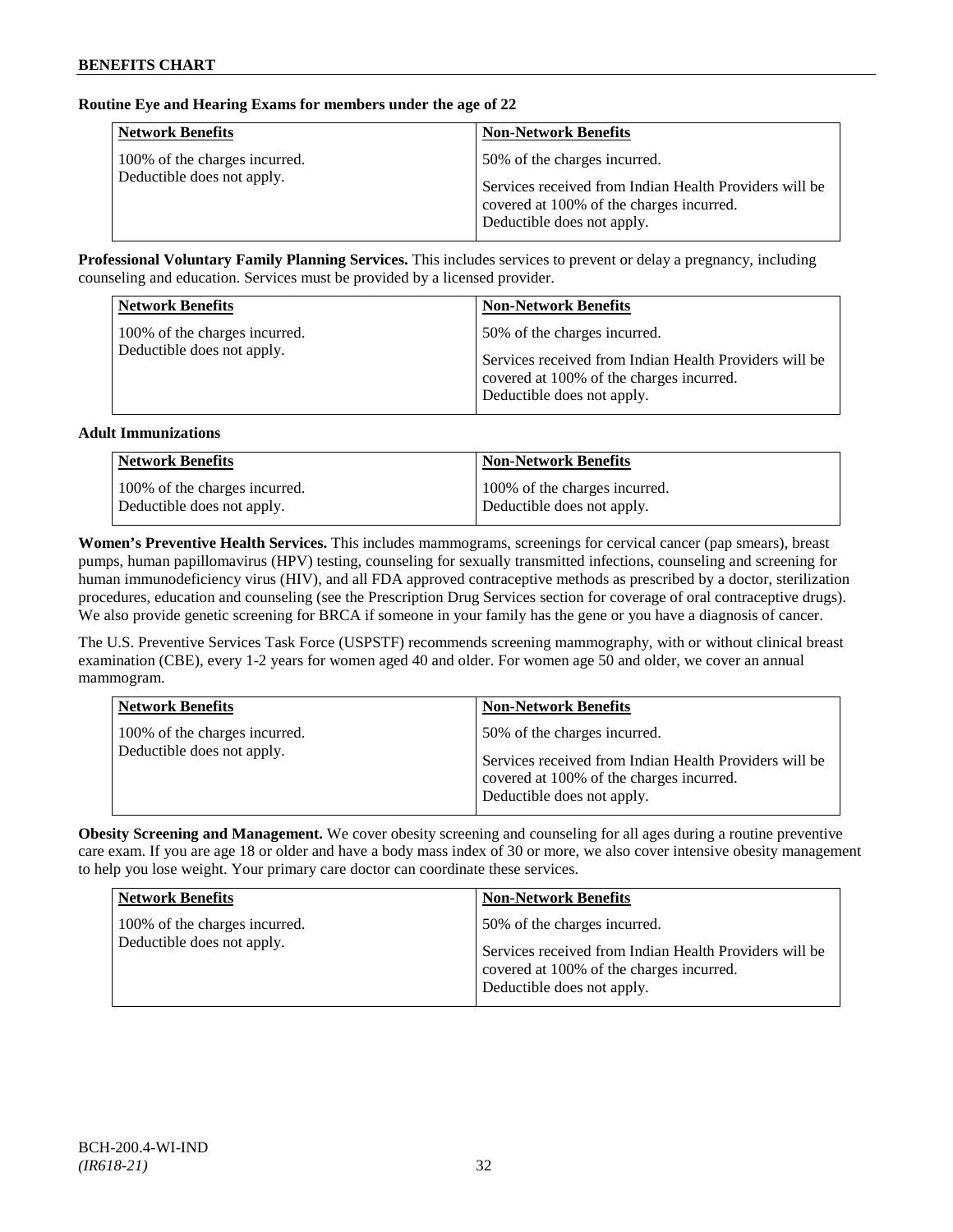## **Routine Eye and Hearing Exams for members under the age of 22**

| <b>Network Benefits</b>                                     | <b>Non-Network Benefits</b>                                                                                                                                      |
|-------------------------------------------------------------|------------------------------------------------------------------------------------------------------------------------------------------------------------------|
| 100% of the charges incurred.<br>Deductible does not apply. | 50% of the charges incurred.<br>Services received from Indian Health Providers will be<br>covered at 100% of the charges incurred.<br>Deductible does not apply. |

**Professional Voluntary Family Planning Services.** This includes services to prevent or delay a pregnancy, including counseling and education. Services must be provided by a licensed provider.

| <b>Network Benefits</b>                                     | <b>Non-Network Benefits</b>                                                                                                                                      |
|-------------------------------------------------------------|------------------------------------------------------------------------------------------------------------------------------------------------------------------|
| 100% of the charges incurred.<br>Deductible does not apply. | 50% of the charges incurred.<br>Services received from Indian Health Providers will be<br>covered at 100% of the charges incurred.<br>Deductible does not apply. |

#### **Adult Immunizations**

| <b>Network Benefits</b>       | <b>Non-Network Benefits</b>   |
|-------------------------------|-------------------------------|
| 100% of the charges incurred. | 100% of the charges incurred. |
| Deductible does not apply.    | Deductible does not apply.    |

**Women's Preventive Health Services.** This includes mammograms, screenings for cervical cancer (pap smears), breast pumps, human papillomavirus (HPV) testing, counseling for sexually transmitted infections, counseling and screening for human immunodeficiency virus (HIV), and all FDA approved contraceptive methods as prescribed by a doctor, sterilization procedures, education and counseling (see the Prescription Drug Services section for coverage of oral contraceptive drugs). We also provide genetic screening for BRCA if someone in your family has the gene or you have a diagnosis of cancer.

The U.S. Preventive Services Task Force (USPSTF) recommends screening mammography, with or without clinical breast examination (CBE), every 1-2 years for women aged 40 and older. For women age 50 and older, we cover an annual mammogram.

| <b>Network Benefits</b>                                     | <b>Non-Network Benefits</b>                                                                                                                                      |
|-------------------------------------------------------------|------------------------------------------------------------------------------------------------------------------------------------------------------------------|
| 100% of the charges incurred.<br>Deductible does not apply. | 50% of the charges incurred.<br>Services received from Indian Health Providers will be<br>covered at 100% of the charges incurred.<br>Deductible does not apply. |

**Obesity Screening and Management.** We cover obesity screening and counseling for all ages during a routine preventive care exam. If you are age 18 or older and have a body mass index of 30 or more, we also cover intensive obesity management to help you lose weight. Your primary care doctor can coordinate these services.

| <b>Network Benefits</b>       | <b>Non-Network Benefits</b>                                                                                                      |
|-------------------------------|----------------------------------------------------------------------------------------------------------------------------------|
| 100% of the charges incurred. | 50% of the charges incurred.                                                                                                     |
| Deductible does not apply.    | Services received from Indian Health Providers will be<br>covered at 100% of the charges incurred.<br>Deductible does not apply. |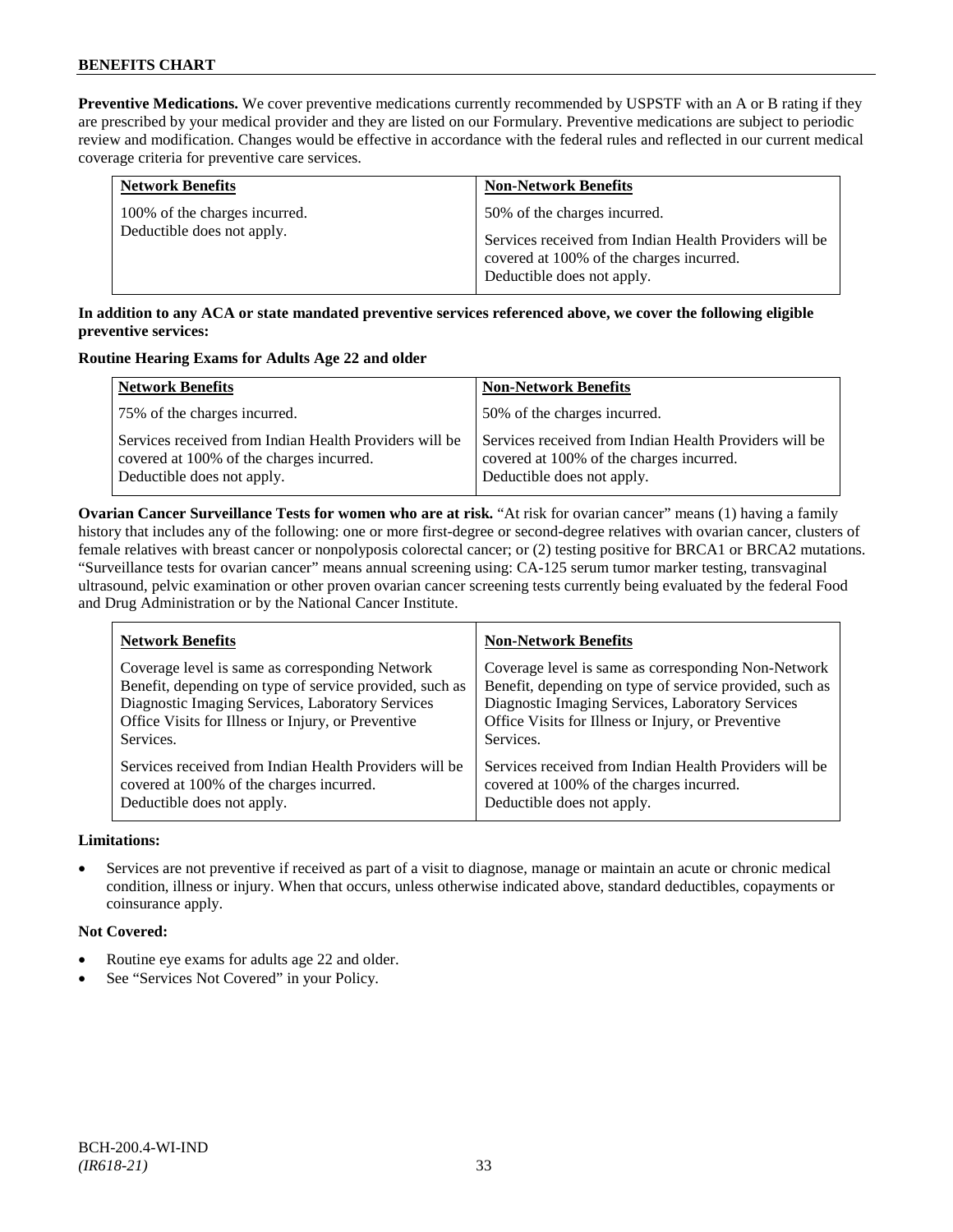**Preventive Medications.** We cover preventive medications currently recommended by USPSTF with an A or B rating if they are prescribed by your medical provider and they are listed on our Formulary. Preventive medications are subject to periodic review and modification. Changes would be effective in accordance with the federal rules and reflected in our current medical coverage criteria for preventive care services.

| <b>Network Benefits</b>       | <b>Non-Network Benefits</b>                                                                                                      |
|-------------------------------|----------------------------------------------------------------------------------------------------------------------------------|
| 100% of the charges incurred. | 50% of the charges incurred.                                                                                                     |
| Deductible does not apply.    | Services received from Indian Health Providers will be<br>covered at 100% of the charges incurred.<br>Deductible does not apply. |

## **In addition to any ACA or state mandated preventive services referenced above, we cover the following eligible preventive services:**

#### **Routine Hearing Exams for Adults Age 22 and older**

| <b>Network Benefits</b>                                                                                                          | <b>Non-Network Benefits</b>                                                                                                      |
|----------------------------------------------------------------------------------------------------------------------------------|----------------------------------------------------------------------------------------------------------------------------------|
| 75% of the charges incurred.                                                                                                     | 50% of the charges incurred.                                                                                                     |
| Services received from Indian Health Providers will be<br>covered at 100% of the charges incurred.<br>Deductible does not apply. | Services received from Indian Health Providers will be<br>covered at 100% of the charges incurred.<br>Deductible does not apply. |

**Ovarian Cancer Surveillance Tests for women who are at risk.** "At risk for ovarian cancer" means (1) having a family history that includes any of the following: one or more first-degree or second-degree relatives with ovarian cancer, clusters of female relatives with breast cancer or nonpolyposis colorectal cancer; or (2) testing positive for BRCA1 or BRCA2 mutations. "Surveillance tests for ovarian cancer" means annual screening using: CA-125 serum tumor marker testing, transvaginal ultrasound, pelvic examination or other proven ovarian cancer screening tests currently being evaluated by the federal Food and Drug Administration or by the National Cancer Institute.

| <b>Network Benefits</b>                                                                                                                                                                                                           | <b>Non-Network Benefits</b>                                                                                                                                                                                                           |
|-----------------------------------------------------------------------------------------------------------------------------------------------------------------------------------------------------------------------------------|---------------------------------------------------------------------------------------------------------------------------------------------------------------------------------------------------------------------------------------|
| Coverage level is same as corresponding Network<br>Benefit, depending on type of service provided, such as<br>Diagnostic Imaging Services, Laboratory Services<br>Office Visits for Illness or Injury, or Preventive<br>Services. | Coverage level is same as corresponding Non-Network<br>Benefit, depending on type of service provided, such as<br>Diagnostic Imaging Services, Laboratory Services<br>Office Visits for Illness or Injury, or Preventive<br>Services. |
| Services received from Indian Health Providers will be<br>covered at 100% of the charges incurred.<br>Deductible does not apply.                                                                                                  | Services received from Indian Health Providers will be<br>covered at 100% of the charges incurred.<br>Deductible does not apply.                                                                                                      |

## **Limitations:**

• Services are not preventive if received as part of a visit to diagnose, manage or maintain an acute or chronic medical condition, illness or injury. When that occurs, unless otherwise indicated above, standard deductibles, copayments or coinsurance apply.

- Routine eye exams for adults age 22 and older.
- See "Services Not Covered" in your Policy.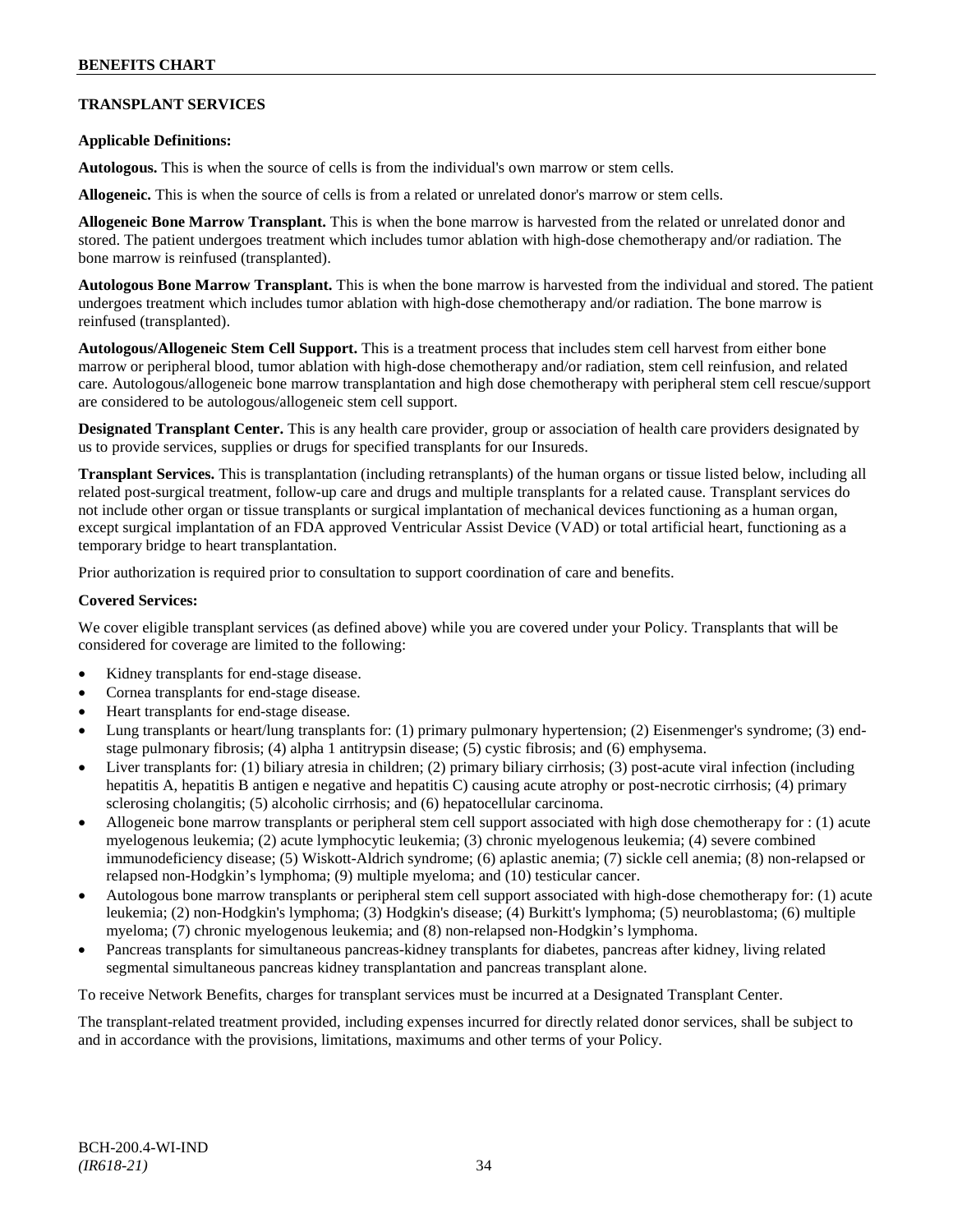## **TRANSPLANT SERVICES**

## **Applicable Definitions:**

**Autologous.** This is when the source of cells is from the individual's own marrow or stem cells.

**Allogeneic.** This is when the source of cells is from a related or unrelated donor's marrow or stem cells.

**Allogeneic Bone Marrow Transplant.** This is when the bone marrow is harvested from the related or unrelated donor and stored. The patient undergoes treatment which includes tumor ablation with high-dose chemotherapy and/or radiation. The bone marrow is reinfused (transplanted).

**Autologous Bone Marrow Transplant.** This is when the bone marrow is harvested from the individual and stored. The patient undergoes treatment which includes tumor ablation with high-dose chemotherapy and/or radiation. The bone marrow is reinfused (transplanted).

**Autologous/Allogeneic Stem Cell Support.** This is a treatment process that includes stem cell harvest from either bone marrow or peripheral blood, tumor ablation with high-dose chemotherapy and/or radiation, stem cell reinfusion, and related care. Autologous/allogeneic bone marrow transplantation and high dose chemotherapy with peripheral stem cell rescue/support are considered to be autologous/allogeneic stem cell support.

**Designated Transplant Center.** This is any health care provider, group or association of health care providers designated by us to provide services, supplies or drugs for specified transplants for our Insureds.

**Transplant Services.** This is transplantation (including retransplants) of the human organs or tissue listed below, including all related post-surgical treatment, follow-up care and drugs and multiple transplants for a related cause. Transplant services do not include other organ or tissue transplants or surgical implantation of mechanical devices functioning as a human organ, except surgical implantation of an FDA approved Ventricular Assist Device (VAD) or total artificial heart, functioning as a temporary bridge to heart transplantation.

Prior authorization is required prior to consultation to support coordination of care and benefits.

#### **Covered Services:**

We cover eligible transplant services (as defined above) while you are covered under your Policy. Transplants that will be considered for coverage are limited to the following:

- Kidney transplants for end-stage disease.
- Cornea transplants for end-stage disease.
- Heart transplants for end-stage disease.
- Lung transplants or heart/lung transplants for: (1) primary pulmonary hypertension; (2) Eisenmenger's syndrome; (3) endstage pulmonary fibrosis; (4) alpha 1 antitrypsin disease; (5) cystic fibrosis; and (6) emphysema.
- Liver transplants for: (1) biliary atresia in children; (2) primary biliary cirrhosis; (3) post-acute viral infection (including hepatitis A, hepatitis B antigen e negative and hepatitis C) causing acute atrophy or post-necrotic cirrhosis; (4) primary sclerosing cholangitis; (5) alcoholic cirrhosis; and (6) hepatocellular carcinoma.
- Allogeneic bone marrow transplants or peripheral stem cell support associated with high dose chemotherapy for : (1) acute myelogenous leukemia; (2) acute lymphocytic leukemia; (3) chronic myelogenous leukemia; (4) severe combined immunodeficiency disease; (5) Wiskott-Aldrich syndrome; (6) aplastic anemia; (7) sickle cell anemia; (8) non-relapsed or relapsed non-Hodgkin's lymphoma; (9) multiple myeloma; and (10) testicular cancer.
- Autologous bone marrow transplants or peripheral stem cell support associated with high-dose chemotherapy for: (1) acute leukemia; (2) non-Hodgkin's lymphoma; (3) Hodgkin's disease; (4) Burkitt's lymphoma; (5) neuroblastoma; (6) multiple myeloma; (7) chronic myelogenous leukemia; and (8) non-relapsed non-Hodgkin's lymphoma.
- Pancreas transplants for simultaneous pancreas-kidney transplants for diabetes, pancreas after kidney, living related segmental simultaneous pancreas kidney transplantation and pancreas transplant alone.

To receive Network Benefits, charges for transplant services must be incurred at a Designated Transplant Center.

The transplant-related treatment provided, including expenses incurred for directly related donor services, shall be subject to and in accordance with the provisions, limitations, maximums and other terms of your Policy.